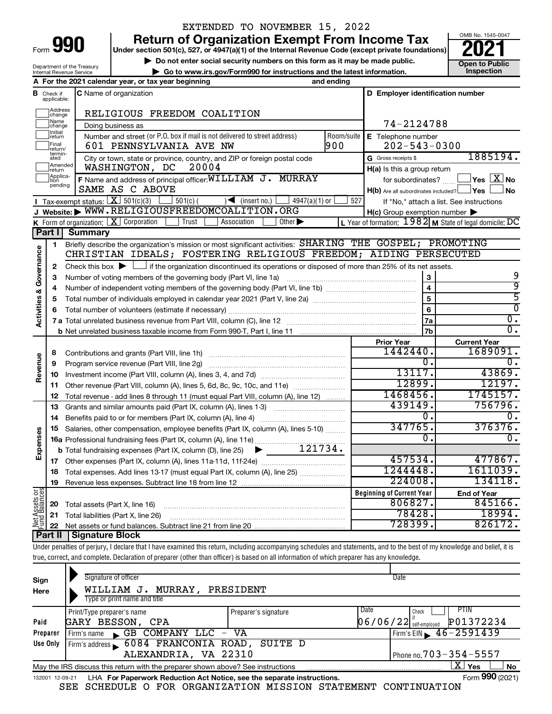| m<br>Form |
|-----------|
|-----------|

# EXTENDED TO NOVEMBER 15, 2022

**990 Return of Organization Exempt From Income Tax Punce 1845-004 2021** 

▶ Do not enter social security numbers on this form as it may be made public. <br>**● Go to www.irs.gov/Form990 for instructions and the latest information.** Inspection **| Go to www.irs.gov/Form990 for instructions and the latest information. Inspection**



Department of the Treasury Internal Revenue Service **A** For the 2021 calendar year, or tax year beginning **and and ending** and ending

|                         | <b>B</b> Check if applicable:           | <b>C</b> Name of organization                                                                                                                                              |            | D Employer identification number                    |                                                           |
|-------------------------|-----------------------------------------|----------------------------------------------------------------------------------------------------------------------------------------------------------------------------|------------|-----------------------------------------------------|-----------------------------------------------------------|
|                         | Address                                 |                                                                                                                                                                            |            |                                                     |                                                           |
|                         | change<br>Name<br>change                | RELIGIOUS FREEDOM COALITION                                                                                                                                                |            | 74-2124788                                          |                                                           |
|                         | Initial                                 | Doing business as                                                                                                                                                          |            |                                                     |                                                           |
|                         | return<br>Final                         | Number and street (or P.O. box if mail is not delivered to street address)                                                                                                 | Room/suite | E Telephone number                                  |                                                           |
|                         | return/<br>termin-                      | 601 PENNSYLVANIA AVE NW                                                                                                                                                    | 19 O O     | $202 - 543 - 0300$                                  | 1885194.                                                  |
|                         | ated                                    | City or town, state or province, country, and ZIP or foreign postal code                                                                                                   |            | G Gross receipts \$                                 |                                                           |
|                         | Amended<br>Ireturn<br>Applica-<br>Ition | WASHINGTON, DC<br>20004                                                                                                                                                    |            | H(a) Is this a group return                         |                                                           |
|                         | pending                                 | F Name and address of principal officer: WILLIAM J. MURRAY                                                                                                                 |            | for subordinates?                                   | $\sqrt{}$ Yes $\sqrt{X}$ No                               |
|                         |                                         | SAME AS C ABOVE                                                                                                                                                            |            | $H(b)$ Are all subordinates included? $\Box$ Yes    | <b>No</b>                                                 |
|                         |                                         | <b>I</b> Tax-exempt status: $X \overline{S}$ 501(c)(3)<br>$501(c)$ (<br>$\sqrt{\frac{1}{1}}$ (insert no.)<br>$4947(a)(1)$ or                                               | 527        |                                                     | If "No," attach a list. See instructions                  |
|                         |                                         | J Website: WWW.RELIGIOUSFREEDOMCOALITION.ORG                                                                                                                               |            | $H(c)$ Group exemption number $\blacktriangleright$ |                                                           |
|                         |                                         | <b>K</b> Form of organization: $\boxed{\mathbf{X}}$ Corporation<br>Trust<br>Other $\blacktriangleright$<br>Association                                                     |            |                                                     | L Year of formation: $1982$ M State of legal domicile: DC |
|                         | Part I                                  | <b>Summary</b>                                                                                                                                                             |            |                                                     |                                                           |
|                         | 1                                       | Briefly describe the organization's mission or most significant activities: SHARING THE GOSPEL; PROMOTING                                                                  |            |                                                     |                                                           |
| Governance              |                                         | CHRISTIAN IDEALS; FOSTERING RELIGIOUS FREEDOM; AIDING PERSECUTED                                                                                                           |            |                                                     |                                                           |
|                         | 2                                       | Check this box $\blacktriangleright$ $\Box$ if the organization discontinued its operations or disposed of more than 25% of its net assets.                                |            |                                                     |                                                           |
|                         | З                                       | Number of voting members of the governing body (Part VI, line 1a)                                                                                                          |            | 3                                                   | 9<br>ब्र                                                  |
|                         | 4                                       |                                                                                                                                                                            |            | $\overline{4}$                                      | $\overline{5}$                                            |
|                         | 5                                       |                                                                                                                                                                            |            | $\overline{5}$                                      |                                                           |
| <b>Activities &amp;</b> | 6                                       |                                                                                                                                                                            |            | $6\phantom{a}$                                      | $\overline{0}$                                            |
|                         |                                         |                                                                                                                                                                            |            | 7a                                                  | $\overline{0}$ .                                          |
|                         |                                         |                                                                                                                                                                            |            | 7b                                                  | $\overline{0}$ .                                          |
|                         |                                         |                                                                                                                                                                            |            | <b>Prior Year</b>                                   | <b>Current Year</b>                                       |
|                         | 8                                       | Contributions and grants (Part VIII, line 1h)                                                                                                                              |            | 1442440.                                            | 1689091.                                                  |
| Revenue                 | 9                                       | Program service revenue (Part VIII, line 2g)                                                                                                                               |            | Ο.                                                  | О.                                                        |
|                         | 10                                      |                                                                                                                                                                            |            | 13117.                                              | 43869.                                                    |
|                         | 11                                      | Other revenue (Part VIII, column (A), lines 5, 6d, 8c, 9c, 10c, and 11e)                                                                                                   |            | 12899.                                              | 12197.                                                    |
|                         | 12                                      | Total revenue - add lines 8 through 11 (must equal Part VIII, column (A), line 12)                                                                                         |            | 1468456.                                            | 1745157.                                                  |
|                         | 13                                      | Grants and similar amounts paid (Part IX, column (A), lines 1-3)                                                                                                           |            | 439149.                                             | 756796.                                                   |
|                         | 14                                      |                                                                                                                                                                            |            | 0.                                                  | Ο.                                                        |
|                         | 15                                      | Salaries, other compensation, employee benefits (Part IX, column (A), lines 5-10)                                                                                          |            | 347765.                                             | 376376.                                                   |
|                         |                                         | 16a Professional fundraising fees (Part IX, column (A), line 11e)                                                                                                          |            | 0.                                                  | О.                                                        |
| Expenses                |                                         | 121734.<br><b>b</b> Total fundraising expenses (Part IX, column (D), line 25)<br>▶                                                                                         |            |                                                     |                                                           |
|                         | 17                                      |                                                                                                                                                                            |            | 457534.                                             | 477867.                                                   |
|                         | 18                                      | Total expenses. Add lines 13-17 (must equal Part IX, column (A), line 25)                                                                                                  |            | 1244448.                                            | 1611039.                                                  |
|                         | 19                                      |                                                                                                                                                                            |            | 224008.                                             | 134118.                                                   |
|                         |                                         |                                                                                                                                                                            |            | <b>Beginning of Current Year</b>                    | <b>End of Year</b>                                        |
| Net Assets or           | 20                                      | Total assets (Part X, line 16)                                                                                                                                             |            | 806827.                                             | 845166.                                                   |
|                         | 21                                      | Total liabilities (Part X, line 26)                                                                                                                                        |            | 78428.                                              | 18994.                                                    |
|                         | 22                                      |                                                                                                                                                                            |            | 728399.                                             | 826172.                                                   |
|                         | Part II                                 | Signature Block                                                                                                                                                            |            |                                                     |                                                           |
|                         |                                         | Under penalties of perjury, I declare that I have examined this return, including accompanying schedules and statements, and to the best of my knowledge and belief, it is |            |                                                     |                                                           |

true, correct, and complete. Declaration of preparer (other than officer) is based on all information of which preparer has any knowledge.

| Sign<br>Here                                       | Signature of officer<br>WILLIAM J. MURRAY, PRESIDENT<br>Type or print name and title                             |                      | Date                           |           |  |  |  |  |
|----------------------------------------------------|------------------------------------------------------------------------------------------------------------------|----------------------|--------------------------------|-----------|--|--|--|--|
|                                                    | Print/Type preparer's name                                                                                       | Preparer's signature | l Date<br>Check                | PTIN      |  |  |  |  |
| Paid                                               | GARY BESSON, CPA                                                                                                 |                      | $06/06/22$ self-employed       | P01372234 |  |  |  |  |
| Preparer                                           | Firm's name GB COMPANY LLC -                                                                                     | VA                   | Firm's EIN $\sqrt{46-2591439}$ |           |  |  |  |  |
| Use Only                                           | Firm's address 6084 FRANCONIA ROAD, SUITE D                                                                      |                      |                                |           |  |  |  |  |
| ALEXANDRIA, VA 22310<br>Phone no. 703 - 354 - 5557 |                                                                                                                  |                      |                                |           |  |  |  |  |
|                                                    | $\mathbf{X}$ Yes<br><b>No</b><br>May the IRS discuss this return with the preparer shown above? See instructions |                      |                                |           |  |  |  |  |
|                                                    | Form 990 (2021)<br>LHA For Paperwork Reduction Act Notice, see the separate instructions.<br>132001 12-09-21     |                      |                                |           |  |  |  |  |

SEE SCHEDULE O FOR ORGANIZATION MISSION STATEMENT CONTINUATION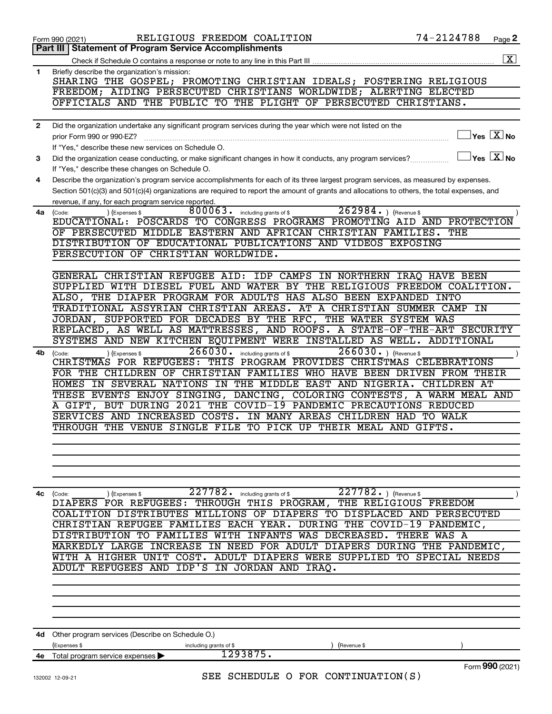|              | 74-2124788<br>RELIGIOUS FREEDOM COALITION<br>Page 2<br>Form 990 (2021)                                                                                                                                      |
|--------------|-------------------------------------------------------------------------------------------------------------------------------------------------------------------------------------------------------------|
|              | Part III   Statement of Program Service Accomplishments                                                                                                                                                     |
|              | $\overline{\mathbf{x}}$<br>Check if Schedule O contains a response or note to any line in this Part III                                                                                                     |
| 1.           | Briefly describe the organization's mission:<br>SHARING THE GOSPEL; PROMOTING CHRISTIAN IDEALS; FOSTERING RELIGIOUS                                                                                         |
|              | FREEDOM; AIDING PERSECUTED CHRISTIANS WORLDWIDE; ALERTING ELECTED<br>OFFICIALS AND THE PUBLIC TO THE PLIGHT OF PERSECUTED CHRISTIANS.                                                                       |
|              |                                                                                                                                                                                                             |
| $\mathbf{2}$ | Did the organization undertake any significant program services during the year which were not listed on the                                                                                                |
|              | $Yes \quad X \quad No$<br>prior Form 990 or 990-EZ?                                                                                                                                                         |
|              | If "Yes," describe these new services on Schedule O.<br>$\exists$ Yes $\boxed{\text{X}}$ No<br>Did the organization cease conducting, or make significant changes in how it conducts, any program services? |
| 3            | If "Yes," describe these changes on Schedule O.                                                                                                                                                             |
| 4            | Describe the organization's program service accomplishments for each of its three largest program services, as measured by expenses.                                                                        |
|              | Section 501(c)(3) and 501(c)(4) organizations are required to report the amount of grants and allocations to others, the total expenses, and                                                                |
|              | revenue, if any, for each program service reported.<br>$262984.$ ) (Revenue \$<br>800063. including grants of \$                                                                                            |
| 4a           | (Code:<br>(Expenses \$<br>EDUCATIONAL: POSCARDS TO CONGRESS PROGRAMS PROMOTING AID AND PROTECTION                                                                                                           |
|              | OF PERSECUTED MIDDLE EASTERN AND AFRICAN CHRISTIAN FAMILIES.<br>THE                                                                                                                                         |
|              | DISTRIBUTION OF EDUCATIONAL PUBLICATIONS AND VIDEOS EXPOSING                                                                                                                                                |
|              | PERSECUTION OF CHRISTIAN WORLDWIDE.                                                                                                                                                                         |
|              |                                                                                                                                                                                                             |
|              | GENERAL CHRISTIAN REFUGEE AID: IDP CAMPS IN NORTHERN IRAQ HAVE BEEN                                                                                                                                         |
|              | SUPPLIED WITH DIESEL FUEL AND WATER BY THE RELIGIOUS FREEDOM COALITION.                                                                                                                                     |
|              | ALSO, THE DIAPER PROGRAM FOR ADULTS HAS ALSO BEEN EXPANDED<br>INTO                                                                                                                                          |
|              | TRADITIONAL ASSYRIAN CHRISTIAN AREAS. AT A CHRISTIAN SUMMER CAMP<br>ΙN                                                                                                                                      |
|              | JORDAN, SUPPORTED FOR DECADES BY THE RFC, THE WATER SYSTEM WAS                                                                                                                                              |
|              | REPLACED, AS WELL AS MATTRESSES, AND ROOFS. A STATE-OF-THE-ART SECURITY                                                                                                                                     |
|              | SYSTEMS AND NEW KITCHEN EQUIPMENT WERE INSTALLED AS WELL.<br>ADDITIONAL                                                                                                                                     |
| 4b           | 266030.<br>$266030.$ (Revenue \$)<br>including grants of \$<br>) (Expenses \$<br>(Code:                                                                                                                     |
|              | CHRISTMAS FOR REFUGEES: THIS PROGRAM PROVIDES CHRISTMAS CELEBRATIONS                                                                                                                                        |
|              | FOR THE CHILDREN OF CHRISTIAN FAMILIES WHO HAVE BEEN DRIVEN FROM THEIR                                                                                                                                      |
|              | HOMES IN SEVERAL NATIONS IN THE MIDDLE EAST AND NIGERIA.<br>CHILDREN AT<br>THESE EVENTS ENJOY SINGING, DANCING, COLORING CONTESTS, A WARM MEAL AND                                                          |
|              | A GIFT, BUT DURING 2021 THE COVID-19 PANDEMIC PRECAUTIONS REDUCED                                                                                                                                           |
|              | SERVICES AND INCREASED COSTS.<br>IN MANY AREAS CHILDREN HAD<br>TO WALK                                                                                                                                      |
|              | THROUGH THE VENUE SINGLE FILE TO PICK UP THEIR MEAL AND GIFTS.                                                                                                                                              |
|              |                                                                                                                                                                                                             |
|              |                                                                                                                                                                                                             |
|              |                                                                                                                                                                                                             |
|              |                                                                                                                                                                                                             |
|              |                                                                                                                                                                                                             |
| 4с           | 227782.<br>227782.<br>) (Revenue \$<br>including grants of \$<br>(Code:<br>) (Expenses \$                                                                                                                   |
|              | DIAPERS FOR REFUGEES: THROUGH THIS PROGRAM, THE RELIGIOUS FREEDOM                                                                                                                                           |
|              | COALITION DISTRIBUTES MILLIONS OF DIAPERS TO DISPLACED AND PERSECUTED                                                                                                                                       |
|              | REFUGEE FAMILIES EACH YEAR.<br>DURING THE COVID-19 PANDEMIC,<br>CHRISTIAN                                                                                                                                   |
|              | TO FAMILIES<br>WITH<br>INFANTS WAS DECREASED.<br>THERE WAS A<br>DI STRI BUTION                                                                                                                              |
|              | INCREASE IN NEED FOR ADULT DIAPERS DURING THE PANDEMIC,<br>LARGE<br>RKEDLY                                                                                                                                  |
|              | ADULT DIAPERS WERE SUPPLIED<br>COST.<br>TO SPECIAL NEEDS<br>A<br>HIGHER UNIT                                                                                                                                |
|              | ADULT REFUGEES AND<br>IDP'S<br>IN JORDAN AND<br>IRAQ.                                                                                                                                                       |
|              |                                                                                                                                                                                                             |
|              |                                                                                                                                                                                                             |
|              |                                                                                                                                                                                                             |
|              |                                                                                                                                                                                                             |
|              | 4d Other program services (Describe on Schedule O.)                                                                                                                                                         |
|              | (Expenses \$<br>including grants of \$<br>(Revenue \$                                                                                                                                                       |
| 4е           | 1293875.<br>Total program service expenses                                                                                                                                                                  |
|              | Form 990 (2021)                                                                                                                                                                                             |
|              | SEE SCHEDULE O FOR CONTINUATION(S)<br>132002 12-09-21                                                                                                                                                       |
|              |                                                                                                                                                                                                             |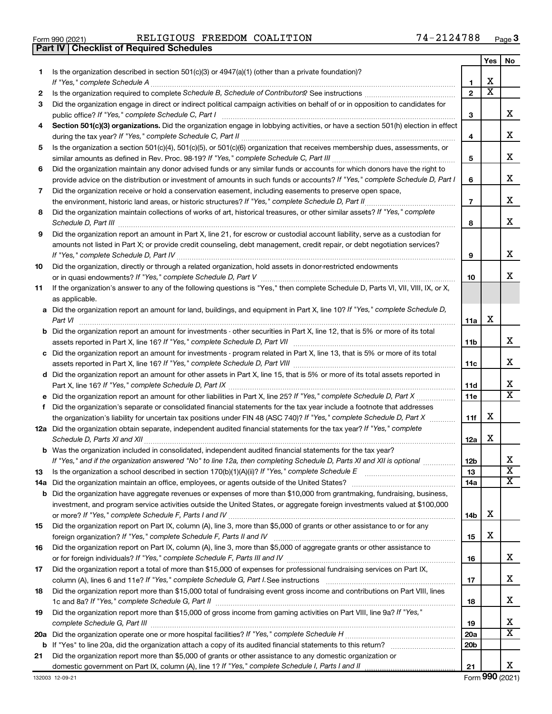|  | Form 990 (2021) |
|--|-----------------|

**Part IV Checklist of Required Schedules**

 $\frac{1}{4}$  -  $\frac{1}{4}$  -  $\frac{1}{4}$  -  $\frac{1}{4}$  -  $\frac{1}{4}$  -  $\frac{1}{4}$  -  $\frac{1}{4}$  -  $\frac{1}{4}$  -  $\frac{1}{4}$  -  $\frac{1}{4}$  -  $\frac{1}{4}$  -  $\frac{1}{4}$  -  $\frac{1}{4}$  -  $\frac{1}{4}$  -  $\frac{1}{4}$  -  $\frac{1}{4}$  -  $\frac{1}{4}$  -  $\frac{1}{4}$  -  $\frac{1$ RELIGIOUS FREEDOM COALITION 74-2124788

|    |                                                                                                                                                                                                                                                             |                 | Yes | No                           |
|----|-------------------------------------------------------------------------------------------------------------------------------------------------------------------------------------------------------------------------------------------------------------|-----------------|-----|------------------------------|
| 1  | Is the organization described in section $501(c)(3)$ or $4947(a)(1)$ (other than a private foundation)?                                                                                                                                                     |                 |     |                              |
|    | If "Yes," complete Schedule A                                                                                                                                                                                                                               | 1               | x   |                              |
| 2  |                                                                                                                                                                                                                                                             | $\overline{2}$  | х   |                              |
| 3  | Did the organization engage in direct or indirect political campaign activities on behalf of or in opposition to candidates for                                                                                                                             |                 |     |                              |
|    | public office? If "Yes," complete Schedule C, Part I                                                                                                                                                                                                        | 3               |     | x                            |
| 4  | Section 501(c)(3) organizations. Did the organization engage in lobbying activities, or have a section 501(h) election in effect                                                                                                                            | 4               |     | x                            |
| 5  | Is the organization a section 501(c)(4), 501(c)(5), or 501(c)(6) organization that receives membership dues, assessments, or                                                                                                                                |                 |     |                              |
|    |                                                                                                                                                                                                                                                             | 5               |     | x                            |
| 6  | Did the organization maintain any donor advised funds or any similar funds or accounts for which donors have the right to                                                                                                                                   |                 |     |                              |
|    | provide advice on the distribution or investment of amounts in such funds or accounts? If "Yes," complete Schedule D, Part I                                                                                                                                | 6               |     | x                            |
| 7  | Did the organization receive or hold a conservation easement, including easements to preserve open space,                                                                                                                                                   |                 |     |                              |
|    | .                                                                                                                                                                                                                                                           | $\overline{7}$  |     | x                            |
| 8  | Did the organization maintain collections of works of art, historical treasures, or other similar assets? If "Yes," complete<br>Schedule D, Part III <b>Marting Commission Commission Commission</b> Commission Commission Commission Commission Commission | 8               |     | x                            |
| 9  | Did the organization report an amount in Part X, line 21, for escrow or custodial account liability, serve as a custodian for                                                                                                                               |                 |     |                              |
|    | amounts not listed in Part X; or provide credit counseling, debt management, credit repair, or debt negotiation services?                                                                                                                                   |                 |     | х                            |
| 10 | Did the organization, directly or through a related organization, hold assets in donor-restricted endowments                                                                                                                                                | 9               |     |                              |
|    |                                                                                                                                                                                                                                                             | 10              |     | x                            |
| 11 | If the organization's answer to any of the following questions is "Yes," then complete Schedule D, Parts VI, VII, VIII, IX, or X,                                                                                                                           |                 |     |                              |
|    | as applicable.                                                                                                                                                                                                                                              |                 |     |                              |
|    | a Did the organization report an amount for land, buildings, and equipment in Part X, line 10? If "Yes," complete Schedule D,                                                                                                                               |                 |     |                              |
|    | Part VI                                                                                                                                                                                                                                                     | 11a             | х   |                              |
|    | <b>b</b> Did the organization report an amount for investments - other securities in Part X, line 12, that is 5% or more of its total                                                                                                                       |                 |     |                              |
|    |                                                                                                                                                                                                                                                             | 11b             |     | x                            |
|    | c Did the organization report an amount for investments - program related in Part X, line 13, that is 5% or more of its total                                                                                                                               | 11c             |     | x                            |
|    | d Did the organization report an amount for other assets in Part X, line 15, that is 5% or more of its total assets reported in                                                                                                                             |                 |     |                              |
|    |                                                                                                                                                                                                                                                             | 11d             |     | x                            |
|    |                                                                                                                                                                                                                                                             | 11e             |     | $\overline{\mathbf{X}}$      |
| f  | Did the organization's separate or consolidated financial statements for the tax year include a footnote that addresses                                                                                                                                     |                 |     |                              |
|    | the organization's liability for uncertain tax positions under FIN 48 (ASC 740)? If "Yes," complete Schedule D, Part X                                                                                                                                      | 11f             | x   |                              |
|    | 12a Did the organization obtain separate, independent audited financial statements for the tax year? If "Yes," complete                                                                                                                                     |                 |     |                              |
|    | Schedule D, Parts XI and XII                                                                                                                                                                                                                                | 12a             | x   |                              |
|    | <b>b</b> Was the organization included in consolidated, independent audited financial statements for the tax year?                                                                                                                                          |                 |     |                              |
|    | If "Yes," and if the organization answered "No" to line 12a, then completing Schedule D, Parts XI and XII is optional www.                                                                                                                                  | 12 <sub>b</sub> |     | Χ<br>$\overline{\textbf{x}}$ |
| 13 |                                                                                                                                                                                                                                                             | 13              |     | x                            |
|    | 14a Did the organization maintain an office, employees, or agents outside of the United States?<br><b>b</b> Did the organization have aggregate revenues or expenses of more than \$10,000 from grantmaking, fundraising, business,                         | <b>14a</b>      |     |                              |
|    | investment, and program service activities outside the United States, or aggregate foreign investments valued at \$100,000                                                                                                                                  |                 |     |                              |
|    |                                                                                                                                                                                                                                                             | 14b             | x   |                              |
| 15 | Did the organization report on Part IX, column (A), line 3, more than \$5,000 of grants or other assistance to or for any                                                                                                                                   |                 |     |                              |
|    |                                                                                                                                                                                                                                                             | 15              | x   |                              |
| 16 | Did the organization report on Part IX, column (A), line 3, more than \$5,000 of aggregate grants or other assistance to                                                                                                                                    |                 |     |                              |
|    |                                                                                                                                                                                                                                                             | 16              |     | x                            |
| 17 | Did the organization report a total of more than \$15,000 of expenses for professional fundraising services on Part IX,                                                                                                                                     |                 |     |                              |
|    |                                                                                                                                                                                                                                                             | 17              |     | x                            |
| 18 | Did the organization report more than \$15,000 total of fundraising event gross income and contributions on Part VIII, lines                                                                                                                                | 18              |     | x                            |
| 19 | Did the organization report more than \$15,000 of gross income from gaming activities on Part VIII, line 9a? If "Yes,"                                                                                                                                      |                 |     |                              |
|    |                                                                                                                                                                                                                                                             | 19              |     | х                            |
|    |                                                                                                                                                                                                                                                             | 20a             |     | x                            |
|    |                                                                                                                                                                                                                                                             | 20 <sub>b</sub> |     |                              |
| 21 | Did the organization report more than \$5,000 of grants or other assistance to any domestic organization or                                                                                                                                                 |                 |     |                              |
|    |                                                                                                                                                                                                                                                             | 21              |     | x                            |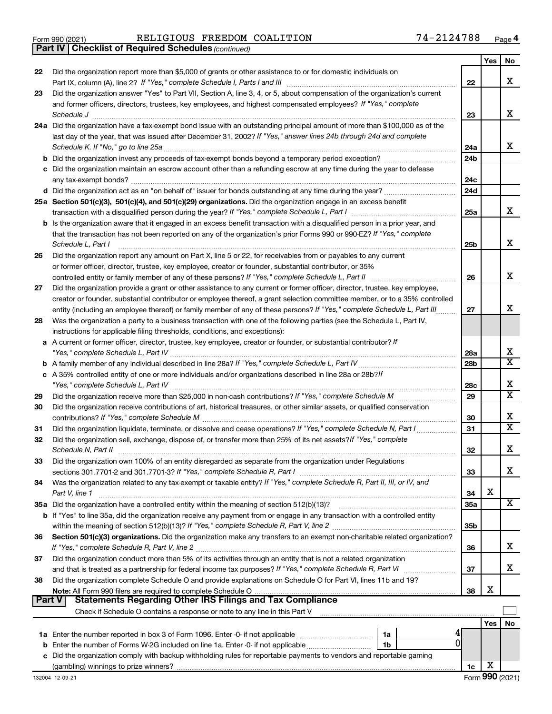|  | Form 990 (2021) |  |
|--|-----------------|--|
|  |                 |  |

Form 990 (2021) RELIGIOUS FREEDOM COALITION  $74-2124788$  Page

*(continued)* **Part IV Checklist of Required Schedules**

|               | <b>Part IV   Checklist of Required Schedules</b> (continued)                                                                                                    |                 |     |                              |
|---------------|-----------------------------------------------------------------------------------------------------------------------------------------------------------------|-----------------|-----|------------------------------|
|               |                                                                                                                                                                 |                 | Yes | No                           |
| 22            | Did the organization report more than \$5,000 of grants or other assistance to or for domestic individuals on                                                   |                 |     |                              |
|               |                                                                                                                                                                 | 22              |     | X                            |
| 23            | Did the organization answer "Yes" to Part VII, Section A, line 3, 4, or 5, about compensation of the organization's current                                     |                 |     |                              |
|               | and former officers, directors, trustees, key employees, and highest compensated employees? If "Yes," complete                                                  |                 |     |                              |
|               | Schedule J                                                                                                                                                      | 23              |     | x                            |
|               | 24a Did the organization have a tax-exempt bond issue with an outstanding principal amount of more than \$100,000 as of the                                     |                 |     |                              |
|               | last day of the year, that was issued after December 31, 2002? If "Yes," answer lines 24b through 24d and complete                                              |                 |     |                              |
|               |                                                                                                                                                                 | 24a             |     | x                            |
|               | <b>b</b> Did the organization invest any proceeds of tax-exempt bonds beyond a temporary period exception?                                                      | 24 <sub>b</sub> |     |                              |
|               | c Did the organization maintain an escrow account other than a refunding escrow at any time during the year to defease                                          |                 |     |                              |
|               |                                                                                                                                                                 | 24c             |     |                              |
|               |                                                                                                                                                                 | 24d             |     |                              |
|               | 25a Section 501(c)(3), 501(c)(4), and 501(c)(29) organizations. Did the organization engage in an excess benefit                                                |                 |     |                              |
|               |                                                                                                                                                                 | 25a             |     | x                            |
|               | b Is the organization aware that it engaged in an excess benefit transaction with a disqualified person in a prior year, and                                    |                 |     |                              |
|               | that the transaction has not been reported on any of the organization's prior Forms 990 or 990-EZ? If "Yes," complete                                           |                 |     |                              |
|               | Schedule L, Part I                                                                                                                                              | 25b             |     | x                            |
| 26            | Did the organization report any amount on Part X, line 5 or 22, for receivables from or payables to any current                                                 |                 |     |                              |
|               | or former officer, director, trustee, key employee, creator or founder, substantial contributor, or 35%                                                         |                 |     |                              |
|               | controlled entity or family member of any of these persons? If "Yes," complete Schedule L, Part II                                                              | 26              |     | X                            |
| 27            | Did the organization provide a grant or other assistance to any current or former officer, director, trustee, key employee,                                     |                 |     |                              |
|               | creator or founder, substantial contributor or employee thereof, a grant selection committee member, or to a 35% controlled                                     |                 |     |                              |
|               | entity (including an employee thereof) or family member of any of these persons? If "Yes," complete Schedule L, Part III                                        | 27              |     | x                            |
|               |                                                                                                                                                                 |                 |     |                              |
| 28            | Was the organization a party to a business transaction with one of the following parties (see the Schedule L, Part IV,                                          |                 |     |                              |
|               | instructions for applicable filing thresholds, conditions, and exceptions):                                                                                     |                 |     |                              |
| а             | A current or former officer, director, trustee, key employee, creator or founder, or substantial contributor? If                                                |                 |     | х                            |
|               |                                                                                                                                                                 | 28a             |     | $\overline{\textbf{X}}$      |
|               |                                                                                                                                                                 | 28 <sub>b</sub> |     |                              |
|               | c A 35% controlled entity of one or more individuals and/or organizations described in line 28a or 28b?/f                                                       |                 |     |                              |
|               |                                                                                                                                                                 | 28c             |     | х<br>$\overline{\textbf{X}}$ |
| 29            |                                                                                                                                                                 | 29              |     |                              |
| 30            | Did the organization receive contributions of art, historical treasures, or other similar assets, or qualified conservation                                     |                 |     |                              |
|               |                                                                                                                                                                 | 30              |     | х<br>$\overline{\text{x}}$   |
| 31            |                                                                                                                                                                 | 31              |     |                              |
| 32            | Did the organization sell, exchange, dispose of, or transfer more than 25% of its net assets? If "Yes," complete                                                |                 |     |                              |
|               |                                                                                                                                                                 | 32              |     | Χ                            |
| 33            | Did the organization own 100% of an entity disregarded as separate from the organization under Regulations                                                      |                 |     |                              |
|               |                                                                                                                                                                 | 33              |     | х                            |
| 34            | Was the organization related to any tax-exempt or taxable entity? If "Yes," complete Schedule R, Part II, III, or IV, and                                       |                 |     |                              |
|               | Part V, line 1                                                                                                                                                  | 34              | х   |                              |
|               |                                                                                                                                                                 | <b>35a</b>      |     | х                            |
|               | b If "Yes" to line 35a, did the organization receive any payment from or engage in any transaction with a controlled entity                                     |                 |     |                              |
|               |                                                                                                                                                                 | 35 <sub>b</sub> |     |                              |
| 36            | Section 501(c)(3) organizations. Did the organization make any transfers to an exempt non-charitable related organization?                                      |                 |     |                              |
|               |                                                                                                                                                                 | 36              |     | х                            |
| 37            | Did the organization conduct more than 5% of its activities through an entity that is not a related organization                                                |                 |     |                              |
|               |                                                                                                                                                                 | 37              |     | х                            |
| 38            | Did the organization complete Schedule O and provide explanations on Schedule O for Part VI, lines 11b and 19?                                                  |                 |     |                              |
|               |                                                                                                                                                                 | 38              | х   |                              |
| <b>Part V</b> | <b>Statements Regarding Other IRS Filings and Tax Compliance</b>                                                                                                |                 |     |                              |
|               | Check if Schedule O contains a response or note to any line in this Part V [11] [12] Check if Schedule O contains a response or note to any line in this Part V |                 |     |                              |
|               |                                                                                                                                                                 |                 | Yes | No                           |
|               | 1a                                                                                                                                                              |                 |     |                              |
| b             | Enter the number of Forms W-2G included on line 1a. Enter -0- if not applicable<br>1b                                                                           |                 |     |                              |
|               | c Did the organization comply with backup withholding rules for reportable payments to vendors and reportable gaming                                            |                 |     |                              |
|               |                                                                                                                                                                 | 1c              | х   |                              |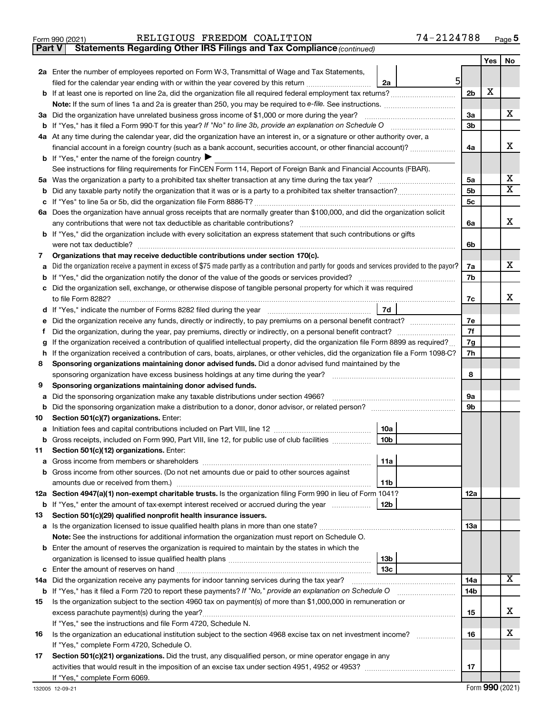|  | Form 990 (2021) |
|--|-----------------|
|  |                 |

**Part V** Statements Regarding Other IRS Filings and Tax Compliance (continued)

|    |                                                                                                                                                                    |                | Yes | No                      |
|----|--------------------------------------------------------------------------------------------------------------------------------------------------------------------|----------------|-----|-------------------------|
|    | 2a Enter the number of employees reported on Form W-3, Transmittal of Wage and Tax Statements,                                                                     |                |     |                         |
|    | 51<br>filed for the calendar year ending with or within the year covered by this return <i>manumumumum</i><br>2a                                                   |                |     |                         |
|    |                                                                                                                                                                    | 2 <sub>b</sub> | х   |                         |
|    |                                                                                                                                                                    |                |     |                         |
|    | 3a Did the organization have unrelated business gross income of \$1,000 or more during the year?                                                                   | 3a             |     | x                       |
|    |                                                                                                                                                                    | 3b             |     |                         |
|    | 4a At any time during the calendar year, did the organization have an interest in, or a signature or other authority over, a                                       |                |     |                         |
|    | financial account in a foreign country (such as a bank account, securities account, or other financial account)?                                                   | 4a             |     | х                       |
|    | <b>b</b> If "Yes," enter the name of the foreign country I                                                                                                         |                |     |                         |
|    | See instructions for filing requirements for FinCEN Form 114, Report of Foreign Bank and Financial Accounts (FBAR).                                                |                |     | х                       |
|    |                                                                                                                                                                    | 5a<br>5b       |     | $\overline{\mathbf{X}}$ |
| b  |                                                                                                                                                                    | 5c             |     |                         |
|    | 6a Does the organization have annual gross receipts that are normally greater than \$100,000, and did the organization solicit                                     |                |     |                         |
|    | any contributions that were not tax deductible as charitable contributions?                                                                                        | 6a             |     | х                       |
|    | <b>b</b> If "Yes," did the organization include with every solicitation an express statement that such contributions or gifts                                      |                |     |                         |
|    | were not tax deductible?                                                                                                                                           | 6b             |     |                         |
| 7  | Organizations that may receive deductible contributions under section 170(c).                                                                                      |                |     |                         |
|    | a Did the organization receive a payment in excess of \$75 made partly as a contribution and partly for goods and services provided to the payor?                  | 7a             |     | x                       |
|    |                                                                                                                                                                    | 7b             |     |                         |
|    | c Did the organization sell, exchange, or otherwise dispose of tangible personal property for which it was required                                                |                |     |                         |
|    | to file Form 8282?                                                                                                                                                 | 7c             |     | х                       |
|    | 7d                                                                                                                                                                 |                |     |                         |
| е  | Did the organization receive any funds, directly or indirectly, to pay premiums on a personal benefit contract?                                                    | 7e             |     |                         |
| f. |                                                                                                                                                                    | 7f             |     |                         |
| g  | If the organization received a contribution of qualified intellectual property, did the organization file Form 8899 as required?                                   | 7g             |     |                         |
| h. | If the organization received a contribution of cars, boats, airplanes, or other vehicles, did the organization file a Form 1098-C?                                 | 7h             |     |                         |
| 8  | Sponsoring organizations maintaining donor advised funds. Did a donor advised fund maintained by the                                                               |                |     |                         |
|    | sponsoring organization have excess business holdings at any time during the year?                                                                                 | 8              |     |                         |
| 9  | Sponsoring organizations maintaining donor advised funds.                                                                                                          |                |     |                         |
| a  | Did the sponsoring organization make any taxable distributions under section 4966?                                                                                 | 9а             |     |                         |
| b  |                                                                                                                                                                    | 9b             |     |                         |
| 10 | Section 501(c)(7) organizations. Enter:                                                                                                                            |                |     |                         |
|    | 10a                                                                                                                                                                |                |     |                         |
|    | 10 <sub>b</sub><br>b Gross receipts, included on Form 990, Part VIII, line 12, for public use of club facilities                                                   |                |     |                         |
| 11 | Section 501(c)(12) organizations. Enter:                                                                                                                           |                |     |                         |
|    | l 11a<br><b>a</b> Gross income from members or shareholders                                                                                                        |                |     |                         |
|    | <b>b</b> Gross income from other sources. (Do not net amounts due or paid to other sources against                                                                 |                |     |                         |
|    | amounts due or received from them.)<br>11b                                                                                                                         |                |     |                         |
|    | 12a Section 4947(a)(1) non-exempt charitable trusts. Is the organization filing Form 990 in lieu of Form 1041?<br>  12b                                            | 12a            |     |                         |
| 13 | <b>b</b> If "Yes," enter the amount of tax-exempt interest received or accrued during the year<br>Section 501(c)(29) qualified nonprofit health insurance issuers. |                |     |                         |
|    | a Is the organization licensed to issue qualified health plans in more than one state?                                                                             | 1За            |     |                         |
|    | Note: See the instructions for additional information the organization must report on Schedule O.                                                                  |                |     |                         |
|    | <b>b</b> Enter the amount of reserves the organization is required to maintain by the states in which the                                                          |                |     |                         |
|    | 13 <sub>b</sub>                                                                                                                                                    |                |     |                         |
|    | 13с                                                                                                                                                                |                |     |                         |
|    | 14a Did the organization receive any payments for indoor tanning services during the tax year?                                                                     | 14a            |     | x                       |
|    | <b>b</b> If "Yes," has it filed a Form 720 to report these payments? If "No," provide an explanation on Schedule O                                                 | 14b            |     |                         |
| 15 | Is the organization subject to the section 4960 tax on payment(s) of more than \$1,000,000 in remuneration or                                                      |                |     |                         |
|    |                                                                                                                                                                    | 15             |     | x                       |
|    | If "Yes," see the instructions and file Form 4720, Schedule N.                                                                                                     |                |     |                         |
| 16 | Is the organization an educational institution subject to the section 4968 excise tax on net investment income?                                                    | 16             |     | x                       |
|    | If "Yes," complete Form 4720, Schedule O.                                                                                                                          |                |     |                         |
| 17 | Section 501(c)(21) organizations. Did the trust, any disqualified person, or mine operator engage in any                                                           |                |     |                         |
|    |                                                                                                                                                                    | 17             |     |                         |
|    | If "Yes," complete Form 6069.                                                                                                                                      |                |     |                         |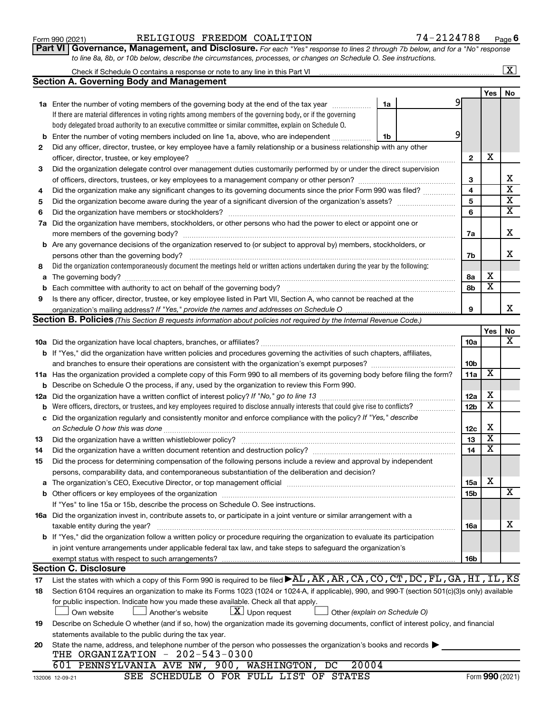| Form 990 (2021) |  |
|-----------------|--|
|-----------------|--|

### Form 990 (2021) RELIGIOUS FREEDOM COALITION  $74-2124788$  Page

**Part VI** Governance, Management, and Disclosure. For each "Yes" response to lines 2 through 7b below, and for a "No" response *to line 8a, 8b, or 10b below, describe the circumstances, processes, or changes on Schedule O. See instructions.*

|     |                                                                                                                                                                                                                               |                 |                         | $\mathbf{X}$            |
|-----|-------------------------------------------------------------------------------------------------------------------------------------------------------------------------------------------------------------------------------|-----------------|-------------------------|-------------------------|
|     | Section A. Governing Body and Management                                                                                                                                                                                      |                 |                         |                         |
|     |                                                                                                                                                                                                                               |                 | Yes                     | No                      |
|     | <b>1a</b> Enter the number of voting members of the governing body at the end of the tax year<br>1a                                                                                                                           | 9               |                         |                         |
|     | If there are material differences in voting rights among members of the governing body, or if the governing                                                                                                                   |                 |                         |                         |
|     | body delegated broad authority to an executive committee or similar committee, explain on Schedule O.                                                                                                                         |                 |                         |                         |
| b   | Enter the number of voting members included on line 1a, above, who are independent<br>1b                                                                                                                                      | 9               |                         |                         |
| 2   | Did any officer, director, trustee, or key employee have a family relationship or a business relationship with any other                                                                                                      |                 |                         |                         |
|     | officer, director, trustee, or key employee?                                                                                                                                                                                  | $\mathbf{2}$    | х                       |                         |
| 3   | Did the organization delegate control over management duties customarily performed by or under the direct supervision                                                                                                         |                 |                         |                         |
|     |                                                                                                                                                                                                                               | з               |                         | х                       |
| 4   | Did the organization make any significant changes to its governing documents since the prior Form 990 was filed?                                                                                                              | 4               |                         | $\overline{\textbf{x}}$ |
| 5   |                                                                                                                                                                                                                               | 5               |                         | $\overline{\textbf{X}}$ |
| 6   | Did the organization have members or stockholders?                                                                                                                                                                            | 6               |                         | $\overline{\textbf{X}}$ |
| 7a  | Did the organization have members, stockholders, or other persons who had the power to elect or appoint one or                                                                                                                |                 |                         |                         |
|     |                                                                                                                                                                                                                               | 7a              |                         | х                       |
|     | <b>b</b> Are any governance decisions of the organization reserved to (or subject to approval by) members, stockholders, or                                                                                                   |                 |                         |                         |
|     | persons other than the governing body?                                                                                                                                                                                        | 7b              |                         | x                       |
| 8   | Did the organization contemporaneously document the meetings held or written actions undertaken during the year by the following:                                                                                             |                 |                         |                         |
| a   |                                                                                                                                                                                                                               | 8а              | х                       |                         |
| b   |                                                                                                                                                                                                                               | 8b              | $\overline{\mathbf{x}}$ |                         |
| 9   | Is there any officer, director, trustee, or key employee listed in Part VII, Section A, who cannot be reached at the                                                                                                          |                 |                         |                         |
|     |                                                                                                                                                                                                                               | 9               |                         | x                       |
|     | Section B. Policies (This Section B requests information about policies not required by the Internal Revenue Code.)                                                                                                           |                 |                         |                         |
|     |                                                                                                                                                                                                                               |                 | Yes                     | No                      |
|     |                                                                                                                                                                                                                               | 10a             |                         | х                       |
|     | <b>b</b> If "Yes," did the organization have written policies and procedures governing the activities of such chapters, affiliates,                                                                                           |                 |                         |                         |
|     | and branches to ensure their operations are consistent with the organization's exempt purposes? www.www.www.www.                                                                                                              | 10 <sub>b</sub> |                         |                         |
|     | 11a Has the organization provided a complete copy of this Form 990 to all members of its governing body before filing the form?                                                                                               | 11a             | X                       |                         |
| b   | Describe on Schedule O the process, if any, used by the organization to review this Form 990.                                                                                                                                 |                 |                         |                         |
| 12a | Did the organization have a written conflict of interest policy? If "No," go to line 13                                                                                                                                       | 12a             | х                       |                         |
| b   | Were officers, directors, or trustees, and key employees required to disclose annually interests that could give rise to conflicts?                                                                                           | 12 <sub>b</sub> | х                       |                         |
| с   | Did the organization regularly and consistently monitor and enforce compliance with the policy? If "Yes," describe                                                                                                            |                 |                         |                         |
|     | on Schedule O how this was done                                                                                                                                                                                               | 12c             | х                       |                         |
| 13  | Did the organization have a written whistleblower policy?                                                                                                                                                                     | 13              | $\overline{\textbf{x}}$ |                         |
| 14  |                                                                                                                                                                                                                               | 14              | $\overline{\mathbf{X}}$ |                         |
| 15  | Did the process for determining compensation of the following persons include a review and approval by independent                                                                                                            |                 |                         |                         |
|     | persons, comparability data, and contemporaneous substantiation of the deliberation and decision?                                                                                                                             |                 |                         |                         |
| а   | The organization's CEO, Executive Director, or top management official manufactured content content of the organization's CEO, executive Director, or top management official manufactured content of the original content of | 15a             | х                       |                         |
|     |                                                                                                                                                                                                                               | 15b             |                         | х                       |
|     | If "Yes" to line 15a or 15b, describe the process on Schedule O. See instructions.                                                                                                                                            |                 |                         |                         |
|     | 16a Did the organization invest in, contribute assets to, or participate in a joint venture or similar arrangement with a                                                                                                     |                 |                         |                         |
|     | taxable entity during the year?                                                                                                                                                                                               | 16a             |                         | х                       |
|     | <b>b</b> If "Yes," did the organization follow a written policy or procedure requiring the organization to evaluate its participation                                                                                         |                 |                         |                         |
|     | in joint venture arrangements under applicable federal tax law, and take steps to safequard the organization's                                                                                                                |                 |                         |                         |
|     | exempt status with respect to such arrangements?                                                                                                                                                                              | 16b             |                         |                         |
|     | <b>Section C. Disclosure</b>                                                                                                                                                                                                  |                 |                         |                         |
| 17  | List the states with which a copy of this Form 990 is required to be filed $\blacktriangleright$ AL, AK, AR, CA, CO, CT, DC, FL, GA, HI, IL, KS                                                                               |                 |                         |                         |
| 18  | Section 6104 requires an organization to make its Forms 1023 (1024 or 1024-A, if applicable), 990, and 990-T (section 501(c)(3)s only) available                                                                              |                 |                         |                         |
|     | for public inspection. Indicate how you made these available. Check all that apply.                                                                                                                                           |                 |                         |                         |
|     | $\lfloor x \rfloor$ Upon request<br>Another's website<br>Other (explain on Schedule O)<br>Own website                                                                                                                         |                 |                         |                         |
| 19  | Describe on Schedule O whether (and if so, how) the organization made its governing documents, conflict of interest policy, and financial                                                                                     |                 |                         |                         |
|     | statements available to the public during the tax year.                                                                                                                                                                       |                 |                         |                         |
| 20  | State the name, address, and telephone number of the person who possesses the organization's books and records                                                                                                                |                 |                         |                         |
|     | THE ORGANIZATION - 202-543-0300                                                                                                                                                                                               |                 |                         |                         |
|     | 20004<br>601 PENNSYLVANIA AVE NW, 900, WASHINGTON, DC                                                                                                                                                                         |                 |                         |                         |

SEE SCHEDULE O FOR FULL LIST OF STATES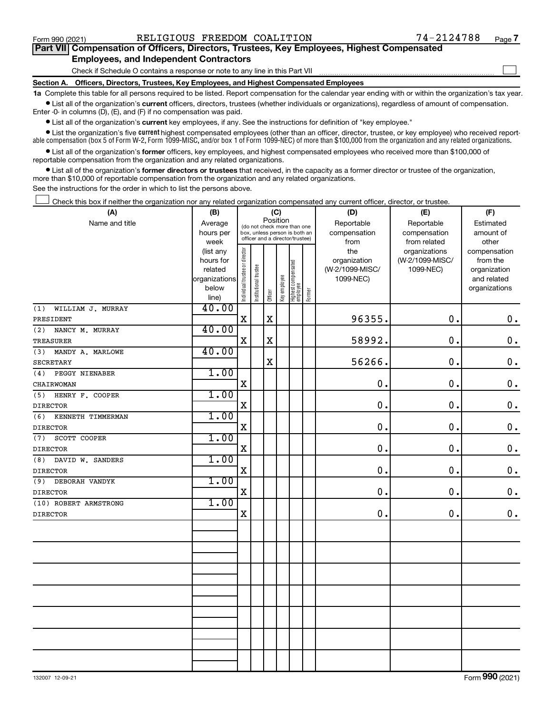$\Box$ 

| Part VII Compensation of Officers, Directors, Trustees, Key Employees, Highest Compensated |  |  |
|--------------------------------------------------------------------------------------------|--|--|
| <b>Employees, and Independent Contractors</b>                                              |  |  |

#### Check if Schedule O contains a response or note to any line in this Part VII

**Section A. Officers, Directors, Trustees, Key Employees, and Highest Compensated Employees**

**1a**  Complete this table for all persons required to be listed. Report compensation for the calendar year ending with or within the organization's tax year.  $\bullet$  List all of the organization's current officers, directors, trustees (whether individuals or organizations), regardless of amount of compensation.

Enter -0- in columns (D), (E), and (F) if no compensation was paid.

**•** List all of the organization's **current** key employees, if any. See the instructions for definition of "key employee."

• List the organization's five *current* highest compensated employees (other than an officer, director, trustee, or key employee) who received reportable compensation (box 5 of Form W-2, Form 1099-MISC, and/or box 1 of Form 1099-NEC) of more than \$100,000 from the organization and any related organizations.

 $\bullet$  List all of the organization's former officers, key employees, and highest compensated employees who received more than \$100,000 of reportable compensation from the organization and any related organizations.

**•** List all of the organization's former directors or trustees that received, in the capacity as a former director or trustee of the organization, more than \$10,000 of reportable compensation from the organization and any related organizations.

See the instructions for the order in which to list the persons above.

Check this box if neither the organization nor any related organization compensated any current officer, director, or trustee.  $\Box$ 

| (A)                      | (B)                    | (C)                            |                                                                  | (D)         | (E)          | (F)                             |           |                 |                 |               |
|--------------------------|------------------------|--------------------------------|------------------------------------------------------------------|-------------|--------------|---------------------------------|-----------|-----------------|-----------------|---------------|
| Name and title           | Average                |                                | Position<br>(do not check more than one                          |             | Reportable   | Reportable                      | Estimated |                 |                 |               |
|                          | hours per              |                                | box, unless person is both an<br>officer and a director/trustee) |             |              |                                 |           | compensation    | compensation    | amount of     |
|                          | week                   |                                |                                                                  |             |              |                                 |           | from            | from related    | other         |
|                          | (list any              |                                |                                                                  |             |              |                                 |           | the             | organizations   | compensation  |
|                          | hours for              |                                |                                                                  |             |              |                                 |           | organization    | (W-2/1099-MISC/ | from the      |
|                          | related                |                                |                                                                  |             |              |                                 |           | (W-2/1099-MISC/ | 1099-NEC)       | organization  |
|                          | organizations<br>below |                                |                                                                  |             |              |                                 |           | 1099-NEC)       |                 | and related   |
|                          | line)                  | Individual trustee or director | Institutional trustee                                            | Officer     | Key employee | Highest compensated<br>employee | Former    |                 |                 | organizations |
| WILLIAM J. MURRAY<br>(1) | 40.00                  |                                |                                                                  |             |              |                                 |           |                 |                 |               |
| PRESIDENT                |                        | X                              |                                                                  | $\mathbf X$ |              |                                 |           | 96355.          | $\mathbf 0$ .   | $\mathbf 0$ . |
| (2)<br>NANCY M. MURRAY   | 40.00                  |                                |                                                                  |             |              |                                 |           |                 |                 |               |
| <b>TREASURER</b>         |                        | $\mathbf x$                    |                                                                  | $\mathbf X$ |              |                                 |           | 58992.          | 0.              | $0$ .         |
| (3)<br>MANDY A. MARLOWE  | 40.00                  |                                |                                                                  |             |              |                                 |           |                 |                 |               |
| <b>SECRETARY</b>         |                        |                                |                                                                  | $\mathbf x$ |              |                                 |           | 56266.          | $\mathbf 0$ .   | $\mathbf 0$ . |
| PEGGY NIENABER<br>(4)    | 1.00                   |                                |                                                                  |             |              |                                 |           |                 |                 |               |
| CHAIRWOMAN               |                        | $\mathbf X$                    |                                                                  |             |              |                                 |           | $\mathbf 0$ .   | 0.              | $\mathbf 0$ . |
| (5)<br>HENRY F. COOPER   | 1.00                   |                                |                                                                  |             |              |                                 |           |                 |                 |               |
| <b>DIRECTOR</b>          |                        | $\mathbf X$                    |                                                                  |             |              |                                 |           | 0.              | 0.              | $\mathbf 0$ . |
| (6)<br>KENNETH TIMMERMAN | 1.00                   |                                |                                                                  |             |              |                                 |           |                 |                 |               |
| <b>DIRECTOR</b>          |                        | $\mathbf X$                    |                                                                  |             |              |                                 |           | $\mathbf 0$ .   | 0.              | $\mathbf 0$ . |
| SCOTT COOPER<br>(7)      | 1.00                   |                                |                                                                  |             |              |                                 |           |                 |                 |               |
| <b>DIRECTOR</b>          |                        | $\mathbf X$                    |                                                                  |             |              |                                 |           | 0.              | 0.              | $\mathbf 0$ . |
| DAVID W. SANDERS<br>(8)  | 1.00                   |                                |                                                                  |             |              |                                 |           |                 |                 |               |
| <b>DIRECTOR</b>          |                        | $\rm X$                        |                                                                  |             |              |                                 |           | 0.              | 0.              | $0$ .         |
| (9)<br>DEBORAH VANDYK    | 1.00                   |                                |                                                                  |             |              |                                 |           |                 |                 |               |
| <b>DIRECTOR</b>          |                        | $\mathbf X$                    |                                                                  |             |              |                                 |           | 0.              | 0.              | $\mathbf 0$ . |
| (10) ROBERT ARMSTRONG    | 1.00                   |                                |                                                                  |             |              |                                 |           |                 |                 |               |
| <b>DIRECTOR</b>          |                        | $\mathbf X$                    |                                                                  |             |              |                                 |           | 0               | 0.              | 0.            |
|                          |                        |                                |                                                                  |             |              |                                 |           |                 |                 |               |
|                          |                        |                                |                                                                  |             |              |                                 |           |                 |                 |               |
|                          |                        |                                |                                                                  |             |              |                                 |           |                 |                 |               |
|                          |                        |                                |                                                                  |             |              |                                 |           |                 |                 |               |
|                          |                        |                                |                                                                  |             |              |                                 |           |                 |                 |               |
|                          |                        |                                |                                                                  |             |              |                                 |           |                 |                 |               |
|                          |                        |                                |                                                                  |             |              |                                 |           |                 |                 |               |
|                          |                        |                                |                                                                  |             |              |                                 |           |                 |                 |               |
|                          |                        |                                |                                                                  |             |              |                                 |           |                 |                 |               |
|                          |                        |                                |                                                                  |             |              |                                 |           |                 |                 |               |
|                          |                        |                                |                                                                  |             |              |                                 |           |                 |                 |               |
|                          |                        |                                |                                                                  |             |              |                                 |           |                 |                 |               |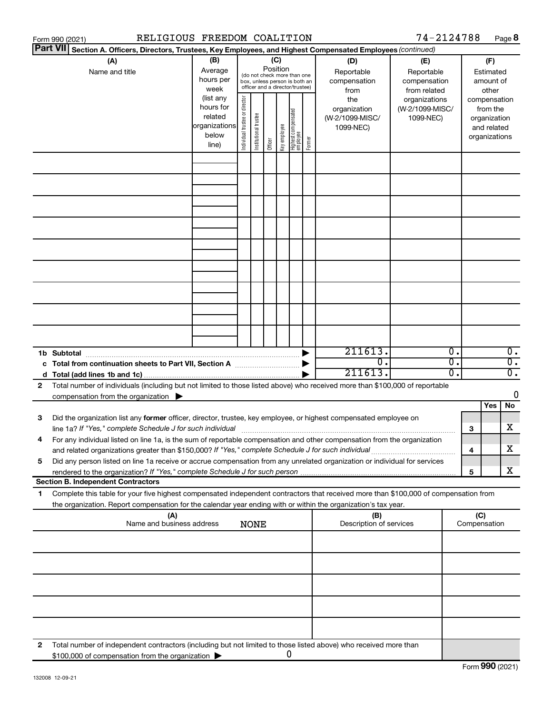|    | RELIGIOUS FREEDOM COALITION<br>Form 990 (2021)                                                                                                                                                                                                                                                                               |                                                                      |                                |                       |                                                                                                                    |              |                                   |        |                                                     | 74-2124788                                        |                                    |  | Page 8                                                                   |
|----|------------------------------------------------------------------------------------------------------------------------------------------------------------------------------------------------------------------------------------------------------------------------------------------------------------------------------|----------------------------------------------------------------------|--------------------------------|-----------------------|--------------------------------------------------------------------------------------------------------------------|--------------|-----------------------------------|--------|-----------------------------------------------------|---------------------------------------------------|------------------------------------|--|--------------------------------------------------------------------------|
|    | <b>Part VII</b><br>Section A. Officers, Directors, Trustees, Key Employees, and Highest Compensated Employees (continued)                                                                                                                                                                                                    |                                                                      |                                |                       |                                                                                                                    |              |                                   |        |                                                     |                                                   |                                    |  |                                                                          |
|    | (A)<br>Name and title                                                                                                                                                                                                                                                                                                        | (B)<br>Average<br>hours per<br>week                                  |                                |                       | (C)<br>Position<br>(do not check more than one<br>box, unless person is both an<br>officer and a director/trustee) |              |                                   |        | (D)<br>Reportable<br>compensation<br>from           | (E)<br>Reportable<br>compensation<br>from related |                                    |  | (F)<br>Estimated<br>amount of<br>other                                   |
|    |                                                                                                                                                                                                                                                                                                                              | (list any<br>hours for<br>related<br>organizations<br>below<br>line) | Individual trustee or director | Institutional trustee | Officer                                                                                                            | Key employee | Highest compensated<br>  employee | Former | the<br>organization<br>(W-2/1099-MISC/<br>1099-NEC) | organizations<br>(W-2/1099-MISC/<br>1099-NEC)     |                                    |  | compensation<br>from the<br>organization<br>and related<br>organizations |
|    |                                                                                                                                                                                                                                                                                                                              |                                                                      |                                |                       |                                                                                                                    |              |                                   |        |                                                     |                                                   |                                    |  |                                                                          |
|    |                                                                                                                                                                                                                                                                                                                              |                                                                      |                                |                       |                                                                                                                    |              |                                   |        |                                                     |                                                   |                                    |  |                                                                          |
|    |                                                                                                                                                                                                                                                                                                                              |                                                                      |                                |                       |                                                                                                                    |              |                                   |        |                                                     |                                                   |                                    |  |                                                                          |
|    |                                                                                                                                                                                                                                                                                                                              |                                                                      |                                |                       |                                                                                                                    |              |                                   |        |                                                     |                                                   |                                    |  |                                                                          |
|    |                                                                                                                                                                                                                                                                                                                              |                                                                      |                                |                       |                                                                                                                    |              |                                   |        |                                                     |                                                   |                                    |  |                                                                          |
|    |                                                                                                                                                                                                                                                                                                                              |                                                                      |                                |                       |                                                                                                                    |              |                                   |        |                                                     |                                                   |                                    |  |                                                                          |
|    |                                                                                                                                                                                                                                                                                                                              |                                                                      |                                |                       |                                                                                                                    |              |                                   |        |                                                     |                                                   |                                    |  |                                                                          |
|    |                                                                                                                                                                                                                                                                                                                              |                                                                      |                                |                       |                                                                                                                    |              |                                   |        |                                                     |                                                   |                                    |  |                                                                          |
|    | 1b Subtotal                                                                                                                                                                                                                                                                                                                  |                                                                      |                                |                       |                                                                                                                    |              |                                   |        | 211613.                                             |                                                   | $\overline{0}$ .                   |  | $\overline{0}$ .                                                         |
|    |                                                                                                                                                                                                                                                                                                                              |                                                                      |                                |                       |                                                                                                                    |              |                                   |        | о.<br>211613.                                       |                                                   | $\overline{0}$ .<br>$\mathbf{0}$ . |  | $\overline{0}$ .<br>$\overline{0}$ .                                     |
| 2  | Total number of individuals (including but not limited to those listed above) who received more than \$100,000 of reportable                                                                                                                                                                                                 |                                                                      |                                |                       |                                                                                                                    |              |                                   |        |                                                     |                                                   |                                    |  |                                                                          |
|    | compensation from the organization $\blacktriangleright$                                                                                                                                                                                                                                                                     |                                                                      |                                |                       |                                                                                                                    |              |                                   |        |                                                     |                                                   |                                    |  | 0                                                                        |
|    |                                                                                                                                                                                                                                                                                                                              |                                                                      |                                |                       |                                                                                                                    |              |                                   |        |                                                     |                                                   |                                    |  | No<br>Yes                                                                |
| 3  | Did the organization list any former officer, director, trustee, key employee, or highest compensated employee on                                                                                                                                                                                                            |                                                                      |                                |                       |                                                                                                                    |              |                                   |        |                                                     |                                                   |                                    |  | х                                                                        |
|    | line 1a? If "Yes," complete Schedule J for such individual manufactured content to the set of the set of the s<br>For any individual listed on line 1a, is the sum of reportable compensation and other compensation from the organization                                                                                   |                                                                      |                                |                       |                                                                                                                    |              |                                   |        |                                                     |                                                   | 3                                  |  |                                                                          |
|    | and related organizations greater than \$150,000? If "Yes," complete Schedule J for such individual                                                                                                                                                                                                                          |                                                                      |                                |                       |                                                                                                                    |              |                                   |        |                                                     |                                                   | 4                                  |  | x                                                                        |
| 5  | Did any person listed on line 1a receive or accrue compensation from any unrelated organization or individual for services<br>rendered to the organization? If "Yes," complete Schedule J for such person manufactured to the organization? If "Yes," complete Schedule J for such person manufactured and the organization? |                                                                      |                                |                       |                                                                                                                    |              |                                   |        |                                                     |                                                   | 5                                  |  | x                                                                        |
|    | <b>Section B. Independent Contractors</b>                                                                                                                                                                                                                                                                                    |                                                                      |                                |                       |                                                                                                                    |              |                                   |        |                                                     |                                                   |                                    |  |                                                                          |
| 1. | Complete this table for your five highest compensated independent contractors that received more than \$100,000 of compensation from<br>the organization. Report compensation for the calendar year ending with or within the organization's tax year.                                                                       |                                                                      |                                |                       |                                                                                                                    |              |                                   |        |                                                     |                                                   |                                    |  |                                                                          |
|    | (A)<br>(B)<br>Name and business address<br>Description of services<br><b>NONE</b>                                                                                                                                                                                                                                            |                                                                      |                                |                       |                                                                                                                    | (C)          | Compensation                      |        |                                                     |                                                   |                                    |  |                                                                          |
|    |                                                                                                                                                                                                                                                                                                                              |                                                                      |                                |                       |                                                                                                                    |              |                                   |        |                                                     |                                                   |                                    |  |                                                                          |
|    |                                                                                                                                                                                                                                                                                                                              |                                                                      |                                |                       |                                                                                                                    |              |                                   |        |                                                     |                                                   |                                    |  |                                                                          |
|    |                                                                                                                                                                                                                                                                                                                              |                                                                      |                                |                       |                                                                                                                    |              |                                   |        |                                                     |                                                   |                                    |  |                                                                          |
|    |                                                                                                                                                                                                                                                                                                                              |                                                                      |                                |                       |                                                                                                                    |              |                                   |        |                                                     |                                                   |                                    |  |                                                                          |
| 2  | Total number of independent contractors (including but not limited to those listed above) who received more than<br>\$100,000 of compensation from the organization                                                                                                                                                          |                                                                      |                                |                       |                                                                                                                    |              | 0                                 |        |                                                     |                                                   |                                    |  |                                                                          |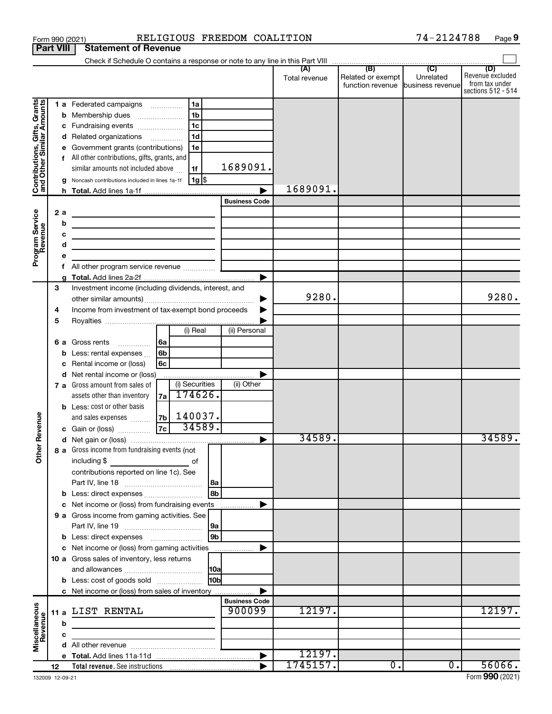|                                                                                         | <b>Part VIII</b>              | <b>Statement of Revenue</b>                                                                                                                                                                                                                                                                                                                                                                                                                                                                                                                                                                                                                             |                                         |                                                                                  |                                  |               |                                                        |                  |                                                          |
|-----------------------------------------------------------------------------------------|-------------------------------|---------------------------------------------------------------------------------------------------------------------------------------------------------------------------------------------------------------------------------------------------------------------------------------------------------------------------------------------------------------------------------------------------------------------------------------------------------------------------------------------------------------------------------------------------------------------------------------------------------------------------------------------------------|-----------------------------------------|----------------------------------------------------------------------------------|----------------------------------|---------------|--------------------------------------------------------|------------------|----------------------------------------------------------|
|                                                                                         |                               |                                                                                                                                                                                                                                                                                                                                                                                                                                                                                                                                                                                                                                                         |                                         |                                                                                  |                                  |               |                                                        |                  | (D)                                                      |
|                                                                                         |                               |                                                                                                                                                                                                                                                                                                                                                                                                                                                                                                                                                                                                                                                         |                                         |                                                                                  |                                  | Total revenue | Related or exempt<br>function revenue business revenue | Unrelated        | Revenue excluded<br>from tax under<br>sections 512 - 514 |
| Contributions, Gifts, Grants<br>and Other Similar Amounts<br>Program Service<br>Revenue | 2 a<br>b<br>с<br>d<br>е<br>f. | 1 a Federated campaigns<br><b>b</b> Membership dues<br>c Fundraising events<br>d Related organizations<br>e Government grants (contributions)<br>f All other contributions, gifts, grants, and<br>similar amounts not included above<br>Noncash contributions included in lines 1a-1f<br><u> 1989 - Johann Barn, mars ann an t-Amhain Aonaich an t-Aonaich an t-Aonaich ann an t-Aonaich ann an t-Aonaich</u><br>the control of the control of the control of the control of the control of<br>the control of the control of the control of the control of the control of<br>the control of the control of the control of the control of the control of | $\ldots \ldots \ldots \ldots \ldots$    | 1a<br>1 <sub>b</sub><br>1 <sub>c</sub><br>1 <sub>d</sub><br>1e<br>1f<br>  1g  \$ | 1689091.<br><b>Business Code</b> | 1689091.      |                                                        |                  |                                                          |
|                                                                                         | 3<br>4<br>5                   | Investment income (including dividends, interest, and<br>Income from investment of tax-exempt bond proceeds                                                                                                                                                                                                                                                                                                                                                                                                                                                                                                                                             |                                         |                                                                                  |                                  | 9280.         |                                                        |                  | 9280.                                                    |
|                                                                                         | b                             | <b>6 a</b> Gross rents<br>Less: rental expenses<br>Rental income or (loss)                                                                                                                                                                                                                                                                                                                                                                                                                                                                                                                                                                              | l 6a<br>6b<br>6с                        | (i) Real                                                                         | (ii) Personal                    |               |                                                        |                  |                                                          |
| Revenue                                                                                 |                               | d Net rental income or (loss)<br>7 a Gross amount from sales of<br>assets other than inventory<br><b>b</b> Less: cost or other basis<br>and sales expenses<br>c Gain or (loss)                                                                                                                                                                                                                                                                                                                                                                                                                                                                          | 7a<br> 7b  140037.<br>$7c$ 34589.       | (i) Securities<br>174626.                                                        | (ii) Other                       |               |                                                        |                  |                                                          |
| $\check{\epsilon}$                                                                      |                               | 8 a Gross income from fundraising events (not  <br>including \$<br>contributions reported on line 1c). See                                                                                                                                                                                                                                                                                                                                                                                                                                                                                                                                              |                                         | of<br>l 8a<br>8b                                                                 |                                  | 34589.        |                                                        |                  | 34589.                                                   |
|                                                                                         |                               | c Net income or (loss) from fundraising events<br>9 a Gross income from gaming activities. See                                                                                                                                                                                                                                                                                                                                                                                                                                                                                                                                                          |                                         | 9a<br>l 9b                                                                       | .                                |               |                                                        |                  |                                                          |
|                                                                                         |                               | 10 a Gross sales of inventory, less returns<br><b>b</b> Less: cost of goods sold<br>c Net income or (loss) from sales of inventory                                                                                                                                                                                                                                                                                                                                                                                                                                                                                                                      |                                         | H <sub>0b</sub>                                                                  |                                  |               |                                                        |                  |                                                          |
| Miscellaneous<br>Revenue                                                                | b<br>с                        | 11 a LIST RENTAL<br>the control of the control of the control of the control of the control of                                                                                                                                                                                                                                                                                                                                                                                                                                                                                                                                                          | <u> 1989 - Johann Barbara, martin a</u> |                                                                                  | <b>Business Code</b><br>900099   | 12197.        |                                                        |                  | 12197.                                                   |
|                                                                                         |                               |                                                                                                                                                                                                                                                                                                                                                                                                                                                                                                                                                                                                                                                         |                                         |                                                                                  |                                  | 12197.        |                                                        |                  |                                                          |
|                                                                                         | 12                            |                                                                                                                                                                                                                                                                                                                                                                                                                                                                                                                                                                                                                                                         |                                         |                                                                                  |                                  | 1745157.      | $\overline{0}$ .                                       | $\overline{0}$ . | 56066.                                                   |

Form 990 (2021) RELIGIOUS FREEDOM COALITION 74-2124788 Page

**9**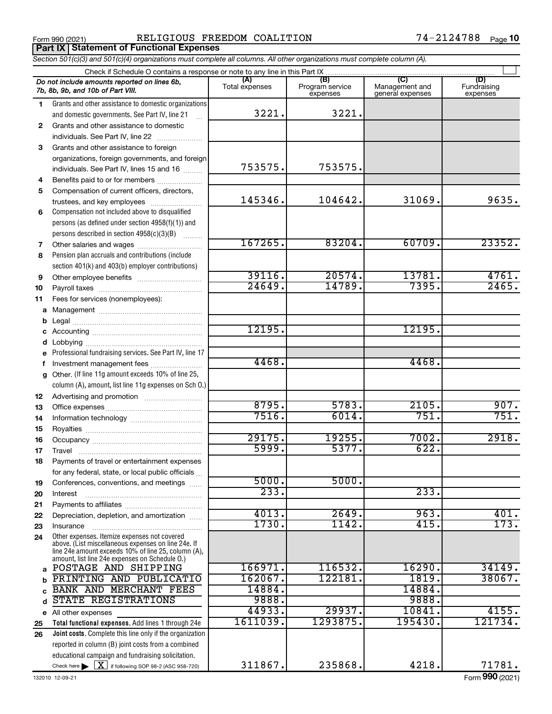Form 990 (2021) RELIGIOUS FREEDOM COALITION  $74-2124788$  Page

|    | <b>Part IX   Statement of Functional Expenses</b>                                                                                                                                                                                                                                                                                                                                              |                       |                                    |                                           |                                |  |  |  |  |  |  |
|----|------------------------------------------------------------------------------------------------------------------------------------------------------------------------------------------------------------------------------------------------------------------------------------------------------------------------------------------------------------------------------------------------|-----------------------|------------------------------------|-------------------------------------------|--------------------------------|--|--|--|--|--|--|
|    | Section 501(c)(3) and 501(c)(4) organizations must complete all columns. All other organizations must complete column (A).                                                                                                                                                                                                                                                                     |                       |                                    |                                           |                                |  |  |  |  |  |  |
|    |                                                                                                                                                                                                                                                                                                                                                                                                |                       |                                    |                                           |                                |  |  |  |  |  |  |
|    | Do not include amounts reported on lines 6b,<br>7b, 8b, 9b, and 10b of Part VIII.                                                                                                                                                                                                                                                                                                              | (A)<br>Total expenses | (B)<br>Program service<br>expenses | (C)<br>Management and<br>general expenses | (D)<br>Fundraising<br>expenses |  |  |  |  |  |  |
| 1. | Grants and other assistance to domestic organizations                                                                                                                                                                                                                                                                                                                                          |                       |                                    |                                           |                                |  |  |  |  |  |  |
|    | and domestic governments. See Part IV, line 21                                                                                                                                                                                                                                                                                                                                                 | 3221.                 | 3221.                              |                                           |                                |  |  |  |  |  |  |
| 2  | Grants and other assistance to domestic                                                                                                                                                                                                                                                                                                                                                        |                       |                                    |                                           |                                |  |  |  |  |  |  |
|    | individuals. See Part IV, line 22<br>$\mathcal{L} = \{1, 2, \ldots, 1, 2, \ldots, 2, \ldots, 2, \ldots, 2, \ldots, 2, \ldots, 2, \ldots, 2, \ldots, 2, \ldots, 2, \ldots, 2, \ldots, 2, \ldots, 2, \ldots, 2, \ldots, 2, \ldots, 2, \ldots, 2, \ldots, 2, \ldots, 2, \ldots, 2, \ldots, 2, \ldots, 2, \ldots, 2, \ldots, 2, \ldots, 2, \ldots, 2, \ldots, 2, \ldots, 2, \ldots, 2, \ldots, 2,$ |                       |                                    |                                           |                                |  |  |  |  |  |  |
| 3  | Grants and other assistance to foreign                                                                                                                                                                                                                                                                                                                                                         |                       |                                    |                                           |                                |  |  |  |  |  |  |
|    | organizations, foreign governments, and foreign                                                                                                                                                                                                                                                                                                                                                |                       |                                    |                                           |                                |  |  |  |  |  |  |
|    | individuals. See Part IV, lines 15 and 16                                                                                                                                                                                                                                                                                                                                                      | 753575.               | 753575.                            |                                           |                                |  |  |  |  |  |  |
| 4  | Benefits paid to or for members                                                                                                                                                                                                                                                                                                                                                                |                       |                                    |                                           |                                |  |  |  |  |  |  |
| 5  | Compensation of current officers, directors,                                                                                                                                                                                                                                                                                                                                                   |                       |                                    |                                           |                                |  |  |  |  |  |  |
|    | trustees, and key employees                                                                                                                                                                                                                                                                                                                                                                    | 145346.               | 104642.                            | 31069.                                    | 9635.                          |  |  |  |  |  |  |
| 6  | Compensation not included above to disqualified                                                                                                                                                                                                                                                                                                                                                |                       |                                    |                                           |                                |  |  |  |  |  |  |
|    | persons (as defined under section 4958(f)(1)) and                                                                                                                                                                                                                                                                                                                                              |                       |                                    |                                           |                                |  |  |  |  |  |  |
|    | persons described in section 4958(c)(3)(B)                                                                                                                                                                                                                                                                                                                                                     |                       |                                    |                                           |                                |  |  |  |  |  |  |
| 7  | Other salaries and wages                                                                                                                                                                                                                                                                                                                                                                       | 167265.               | 83204.                             | 60709.                                    | 23352.                         |  |  |  |  |  |  |
| 8  | Pension plan accruals and contributions (include                                                                                                                                                                                                                                                                                                                                               |                       |                                    |                                           |                                |  |  |  |  |  |  |
|    | section 401(k) and 403(b) employer contributions)                                                                                                                                                                                                                                                                                                                                              |                       |                                    |                                           |                                |  |  |  |  |  |  |
| 9  |                                                                                                                                                                                                                                                                                                                                                                                                | 39116.                | 20574.                             | 13781.                                    | 4761.                          |  |  |  |  |  |  |
| 10 |                                                                                                                                                                                                                                                                                                                                                                                                | 24649.                | 14789.                             | 7395.                                     | 2465.                          |  |  |  |  |  |  |
| 11 | Fees for services (nonemployees):                                                                                                                                                                                                                                                                                                                                                              |                       |                                    |                                           |                                |  |  |  |  |  |  |
| a  |                                                                                                                                                                                                                                                                                                                                                                                                |                       |                                    |                                           |                                |  |  |  |  |  |  |
| b  |                                                                                                                                                                                                                                                                                                                                                                                                | 12195.                |                                    | 12195.                                    |                                |  |  |  |  |  |  |
|    |                                                                                                                                                                                                                                                                                                                                                                                                |                       |                                    |                                           |                                |  |  |  |  |  |  |
| d  |                                                                                                                                                                                                                                                                                                                                                                                                |                       |                                    |                                           |                                |  |  |  |  |  |  |
|    | Professional fundraising services. See Part IV, line 17                                                                                                                                                                                                                                                                                                                                        | 4468.                 |                                    | 4468.                                     |                                |  |  |  |  |  |  |
| f  | Investment management fees                                                                                                                                                                                                                                                                                                                                                                     |                       |                                    |                                           |                                |  |  |  |  |  |  |
| g  | Other. (If line 11g amount exceeds 10% of line 25,<br>column (A), amount, list line 11g expenses on Sch O.)                                                                                                                                                                                                                                                                                    |                       |                                    |                                           |                                |  |  |  |  |  |  |
| 12 |                                                                                                                                                                                                                                                                                                                                                                                                |                       |                                    |                                           |                                |  |  |  |  |  |  |
| 13 |                                                                                                                                                                                                                                                                                                                                                                                                | 8795.                 | 5783.                              | 2105.                                     | 907.                           |  |  |  |  |  |  |
| 14 |                                                                                                                                                                                                                                                                                                                                                                                                | 7516.                 | 6014.                              | 751.                                      | 751.                           |  |  |  |  |  |  |
| 15 |                                                                                                                                                                                                                                                                                                                                                                                                |                       |                                    |                                           |                                |  |  |  |  |  |  |
| 16 |                                                                                                                                                                                                                                                                                                                                                                                                | 29175.                | 19255.                             | 7002.                                     | 2918.                          |  |  |  |  |  |  |
| 17 | Travel                                                                                                                                                                                                                                                                                                                                                                                         | 5999.                 | 5377.                              | 622.                                      |                                |  |  |  |  |  |  |
| 18 | Payments of travel or entertainment expenses                                                                                                                                                                                                                                                                                                                                                   |                       |                                    |                                           |                                |  |  |  |  |  |  |
|    | for any federal, state, or local public officials                                                                                                                                                                                                                                                                                                                                              |                       |                                    |                                           |                                |  |  |  |  |  |  |
| 19 | Conferences, conventions, and meetings                                                                                                                                                                                                                                                                                                                                                         | 5000.                 | 5000.                              |                                           |                                |  |  |  |  |  |  |
| 20 | Interest                                                                                                                                                                                                                                                                                                                                                                                       | 233.                  |                                    | 233.                                      |                                |  |  |  |  |  |  |
| 21 |                                                                                                                                                                                                                                                                                                                                                                                                |                       |                                    |                                           |                                |  |  |  |  |  |  |
| 22 | Depreciation, depletion, and amortization                                                                                                                                                                                                                                                                                                                                                      | 4013.                 | 2649.                              | 963.                                      | 401.                           |  |  |  |  |  |  |
| 23 | Insurance                                                                                                                                                                                                                                                                                                                                                                                      | 1730.                 | 1142.                              | 415.                                      | 173.                           |  |  |  |  |  |  |
| 24 | Other expenses. Itemize expenses not covered<br>above. (List miscellaneous expenses on line 24e. If<br>line 24e amount exceeds 10% of line 25, column (A),<br>amount, list line 24e expenses on Schedule O.)                                                                                                                                                                                   |                       |                                    |                                           |                                |  |  |  |  |  |  |
|    | a POSTAGE AND SHIPPING                                                                                                                                                                                                                                                                                                                                                                         | 166971.               | 116532.                            | 16290.                                    | 34149.                         |  |  |  |  |  |  |
| b  | PRINTING AND PUBLICATIO                                                                                                                                                                                                                                                                                                                                                                        | 162067.               | 122181.                            | 1819.                                     | 38067.                         |  |  |  |  |  |  |
| C  | BANK AND MERCHANT FEES                                                                                                                                                                                                                                                                                                                                                                         | 14884.                |                                    | 14884.                                    |                                |  |  |  |  |  |  |
| d  | STATE REGISTRATIONS                                                                                                                                                                                                                                                                                                                                                                            | 9888.                 |                                    | 9888.                                     |                                |  |  |  |  |  |  |
|    | e All other expenses                                                                                                                                                                                                                                                                                                                                                                           | 44933.                | 29937.                             | 10841                                     | 4155.                          |  |  |  |  |  |  |
| 25 | Total functional expenses. Add lines 1 through 24e                                                                                                                                                                                                                                                                                                                                             | 1611039.              | 1293875.                           | 195430                                    | 121734.                        |  |  |  |  |  |  |
| 26 | Joint costs. Complete this line only if the organization                                                                                                                                                                                                                                                                                                                                       |                       |                                    |                                           |                                |  |  |  |  |  |  |

Check here  $\blacktriangleright \boxed{\text{X}}$  if following SOP 98-2 (ASC 958-720)  $\ket{311867.} \ket{235868.} \ket{4218.} \ket{71781.}$ 

reported in column (B) joint costs from a combined educational campaign and fundraising solicitation.

Form (2021) **990**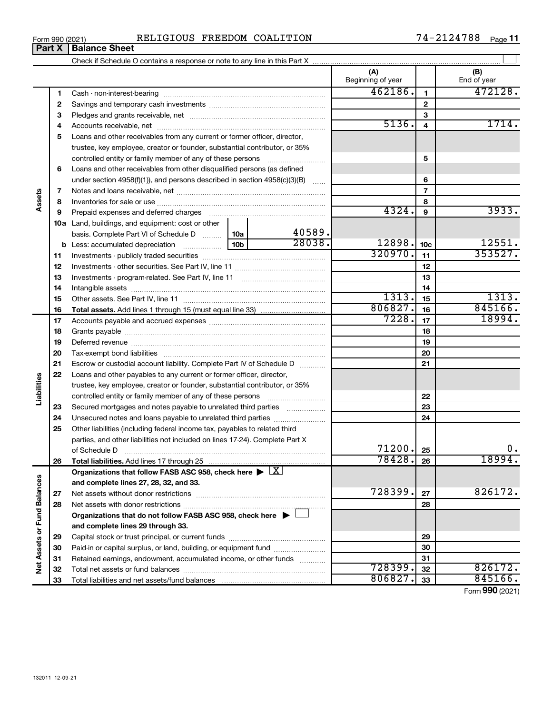| Form 990 (2021) | RELIGIOUS FREEDOM COALITION | 74-2124788<br>Page 11 |
|-----------------|-----------------------------|-----------------------|
|-----------------|-----------------------------|-----------------------|

| $\mathbf{X}$ | <b>Balance Sheet</b>                                                                                                                                                                                                          |                 |        |                          |                 |                    |
|--------------|-------------------------------------------------------------------------------------------------------------------------------------------------------------------------------------------------------------------------------|-----------------|--------|--------------------------|-----------------|--------------------|
|              |                                                                                                                                                                                                                               |                 |        |                          |                 |                    |
|              |                                                                                                                                                                                                                               |                 |        | (A)<br>Beginning of year |                 | (B)<br>End of year |
| 1            | Cash - non-interest-bearing                                                                                                                                                                                                   |                 |        | 462186.                  |                 | 472128.            |
| $\mathbf{2}$ |                                                                                                                                                                                                                               |                 |        |                          | 2               |                    |
| 3            |                                                                                                                                                                                                                               |                 |        | 3                        |                 |                    |
| 4            |                                                                                                                                                                                                                               | 5136.           | 4      |                          |                 |                    |
| 5            | Loans and other receivables from any current or former officer, director,                                                                                                                                                     |                 |        |                          |                 |                    |
|              | trustee, key employee, creator or founder, substantial contributor, or 35%                                                                                                                                                    |                 |        |                          |                 |                    |
|              | controlled entity or family member of any of these persons                                                                                                                                                                    |                 |        |                          | 5               |                    |
| 6            | Loans and other receivables from other disqualified persons (as defined                                                                                                                                                       |                 |        |                          |                 |                    |
|              | under section $4958(f)(1)$ , and persons described in section $4958(c)(3)(B)$                                                                                                                                                 |                 |        |                          | 6               |                    |
| 7            |                                                                                                                                                                                                                               |                 |        | 7                        |                 |                    |
| 8            |                                                                                                                                                                                                                               |                 |        |                          | 8               |                    |
| 9            | Prepaid expenses and deferred charges [11] [11] Prepaid expenses and deferred charges [11] [11] Martin Marian Marian Marian Marian Marian Marian Marian Marian Marian Marian Marian Marian Marian Marian Marian Marian Marian |                 |        | 4324.                    | 9               | 3933.              |
|              | <b>10a</b> Land, buildings, and equipment: cost or other                                                                                                                                                                      |                 |        |                          |                 |                    |
|              | basis. Complete Part VI of Schedule D                                                                                                                                                                                         | 10a             | 40589. |                          |                 |                    |
|              | <b>b</b> Less: accumulated depreciation                                                                                                                                                                                       | 10 <sub>b</sub> | 28038. | 12898.                   | 10 <sub>c</sub> | 12551.             |

|                             |    |                                                                                                        |  | 28038.  | 12898.  | 10 <sub>c</sub> | 12551.  |
|-----------------------------|----|--------------------------------------------------------------------------------------------------------|--|---------|---------|-----------------|---------|
|                             | 11 |                                                                                                        |  |         | 320970. | 11              | 353527. |
|                             | 12 |                                                                                                        |  |         | 12      |                 |         |
|                             | 13 |                                                                                                        |  |         |         | 13              |         |
|                             | 14 |                                                                                                        |  |         |         | 14              |         |
|                             | 15 |                                                                                                        |  |         | 1313.   | 15              | 1313.   |
|                             | 16 |                                                                                                        |  | 806827. | 16      | 845166.         |         |
|                             | 17 |                                                                                                        |  |         | 7228.   | 17              | 18994.  |
|                             | 18 |                                                                                                        |  |         |         | 18              |         |
|                             | 19 |                                                                                                        |  |         |         | 19              |         |
|                             | 20 |                                                                                                        |  |         |         | 20              |         |
|                             | 21 | Escrow or custodial account liability. Complete Part IV of Schedule D                                  |  |         |         | 21              |         |
|                             | 22 | Loans and other payables to any current or former officer, director,                                   |  |         |         |                 |         |
| Liabilities                 |    | trustee, key employee, creator or founder, substantial contributor, or 35%                             |  |         |         |                 |         |
|                             |    | controlled entity or family member of any of these persons                                             |  |         | 22      |                 |         |
|                             | 23 | Secured mortgages and notes payable to unrelated third parties                                         |  |         | 23      |                 |         |
|                             | 24 | Unsecured notes and loans payable to unrelated third parties                                           |  |         |         | 24              |         |
|                             | 25 | Other liabilities (including federal income tax, payables to related third                             |  |         |         |                 |         |
|                             |    | parties, and other liabilities not included on lines 17-24). Complete Part X                           |  |         | 71200.  |                 |         |
|                             |    | of Schedule D                                                                                          |  |         | 78428.  | 25              | 18994.  |
|                             | 26 |                                                                                                        |  |         |         | 26              |         |
|                             |    | Organizations that follow FASB ASC 958, check here $\blacktriangleright \lfloor \underline{X} \rfloor$ |  |         |         |                 |         |
|                             |    | and complete lines 27, 28, 32, and 33.                                                                 |  |         | 728399. | 27              | 826172. |
|                             | 27 |                                                                                                        |  |         |         | 28              |         |
|                             | 28 |                                                                                                        |  |         |         |                 |         |
|                             |    | Organizations that do not follow FASB ASC 958, check here ▶ □                                          |  |         |         |                 |         |
|                             | 29 | and complete lines 29 through 33.                                                                      |  |         | 29      |                 |         |
|                             | 30 | Paid-in or capital surplus, or land, building, or equipment fund <i></i>                               |  |         | 30      |                 |         |
|                             | 31 | Retained earnings, endowment, accumulated income, or other funds                                       |  |         | 31      |                 |         |
| Net Assets or Fund Balances | 32 |                                                                                                        |  |         | 728399. | 32              | 826172. |
|                             | 33 |                                                                                                        |  |         | 806827. | 33              | 845166. |
|                             |    |                                                                                                        |  |         |         |                 |         |

**Part** 

**Assets**

Form (2021) **990**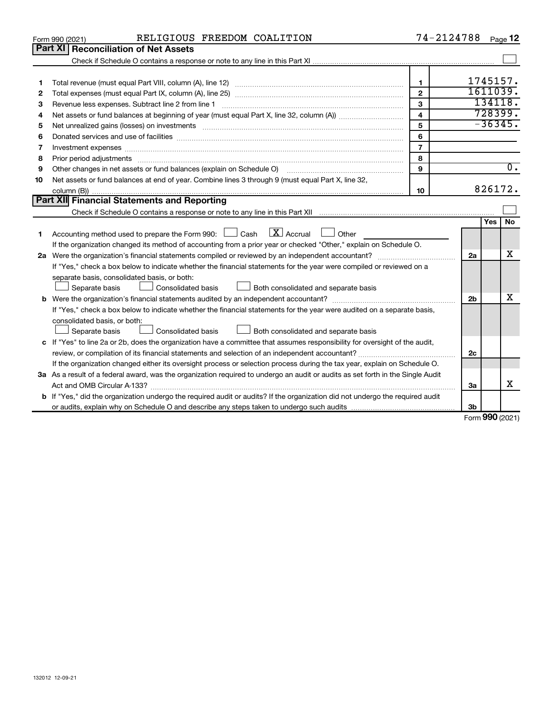|    | RELIGIOUS FREEDOM COALITION<br>Form 990 (2021)                                                                                                                                                                                 | 74-2124788              |                |                      | Page 12           |
|----|--------------------------------------------------------------------------------------------------------------------------------------------------------------------------------------------------------------------------------|-------------------------|----------------|----------------------|-------------------|
|    | Part XI<br><b>Reconciliation of Net Assets</b>                                                                                                                                                                                 |                         |                |                      |                   |
|    |                                                                                                                                                                                                                                |                         |                |                      |                   |
|    |                                                                                                                                                                                                                                |                         |                |                      |                   |
| 1  |                                                                                                                                                                                                                                | $\mathbf{1}$            |                | 1745157.<br>1611039. |                   |
| 2  |                                                                                                                                                                                                                                | $\mathbf{2}$            |                |                      | 134118.           |
| 3  | Revenue less expenses. Subtract line 2 from line 1                                                                                                                                                                             | 3                       |                |                      |                   |
| 4  |                                                                                                                                                                                                                                | $\overline{\mathbf{4}}$ |                |                      | 728399.           |
| 5  | Net unrealized gains (losses) on investments [11] matter in the content of the state of the state of the state of the state of the state of the state of the state of the state of the state of the state of the state of the  | 5                       |                |                      | $-36345.$         |
| 6  |                                                                                                                                                                                                                                | 6                       |                |                      |                   |
| 7  | Investment expenses www.communication.com/www.communication.com/www.communication.com/www.com                                                                                                                                  | $\overline{7}$          |                |                      |                   |
| 8  | Prior period adjustments material contents and content and content and content and content and content and content and content and content and content and content and content and content and content and content and content | 8                       |                |                      |                   |
| 9  | Other changes in net assets or fund balances (explain on Schedule O)                                                                                                                                                           | 9                       |                |                      | $\overline{0}$ .  |
| 10 | Net assets or fund balances at end of year. Combine lines 3 through 9 (must equal Part X, line 32,                                                                                                                             |                         |                |                      |                   |
|    |                                                                                                                                                                                                                                | 10                      |                | 826172.              |                   |
|    | Part XII Financial Statements and Reporting                                                                                                                                                                                    |                         |                |                      |                   |
|    |                                                                                                                                                                                                                                |                         |                |                      |                   |
|    |                                                                                                                                                                                                                                |                         |                | <b>Yes</b>           | No                |
| 1  | $\boxed{\mathbf{X}}$ Accrual $\boxed{\phantom{0}}$ Other<br>Accounting method used to prepare the Form 990: $\Box$ Cash                                                                                                        |                         |                |                      |                   |
|    | If the organization changed its method of accounting from a prior year or checked "Other," explain on Schedule O.                                                                                                              |                         |                |                      |                   |
| 2a |                                                                                                                                                                                                                                |                         | 2a             |                      | x                 |
|    | If "Yes," check a box below to indicate whether the financial statements for the year were compiled or reviewed on a                                                                                                           |                         |                |                      |                   |
|    | separate basis, consolidated basis, or both:                                                                                                                                                                                   |                         |                |                      |                   |
|    | Consolidated basis<br>Both consolidated and separate basis<br>Separate basis                                                                                                                                                   |                         |                |                      |                   |
|    |                                                                                                                                                                                                                                |                         | 2 <sub>b</sub> |                      | x                 |
|    | If "Yes," check a box below to indicate whether the financial statements for the year were audited on a separate basis,                                                                                                        |                         |                |                      |                   |
|    | consolidated basis, or both:                                                                                                                                                                                                   |                         |                |                      |                   |
|    | Both consolidated and separate basis<br>Separate basis<br>Consolidated basis<br>$\mathbf{1}$                                                                                                                                   |                         |                |                      |                   |
|    | c If "Yes" to line 2a or 2b, does the organization have a committee that assumes responsibility for oversight of the audit,                                                                                                    |                         |                |                      |                   |
|    |                                                                                                                                                                                                                                |                         | 2c             |                      |                   |
|    | If the organization changed either its oversight process or selection process during the tax year, explain on Schedule O.                                                                                                      |                         |                |                      |                   |
|    | 3a As a result of a federal award, was the organization required to undergo an audit or audits as set forth in the Single Audit                                                                                                |                         |                |                      |                   |
|    |                                                                                                                                                                                                                                |                         | 3a             |                      | x                 |
|    | <b>b</b> If "Yes," did the organization undergo the required audit or audits? If the organization did not undergo the required audit                                                                                           |                         |                |                      |                   |
|    |                                                                                                                                                                                                                                |                         | 3 <sub>b</sub> |                      |                   |
|    |                                                                                                                                                                                                                                |                         |                |                      | $Form$ 990 (2021) |

Form (2021) **990**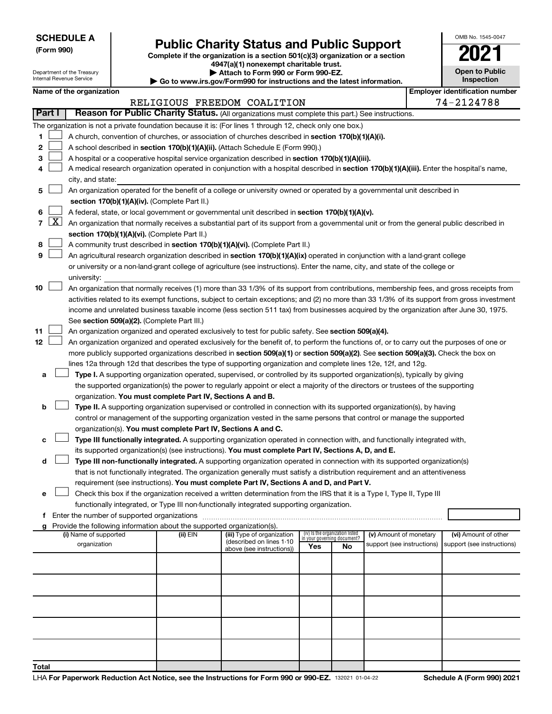Department of the Treasury Internal Revenue Service

# Form 990)<br> **Complete if the organization is a section 501(c)(3) organization or a section**<br> **Public Charity Status and Public Support**

**4947(a)(1) nonexempt charitable trust.**

**| Attach to Form 990 or Form 990-EZ. | Go to www.irs.gov/Form990 for instructions and the latest information.**

| U.                                    |
|---------------------------------------|
| <b>Open to Public</b><br>Inspection   |
| <b>Employer identification number</b> |

OMB No. 1545-0047

| Name of the organization |  |
|--------------------------|--|
|--------------------------|--|

|                |                     |                                                                                                                                              |                                               | RELIGIOUS FREEDOM COALITION                                                                                                           |                                    |    |                            |  | 74-2124788                 |  |  |
|----------------|---------------------|----------------------------------------------------------------------------------------------------------------------------------------------|-----------------------------------------------|---------------------------------------------------------------------------------------------------------------------------------------|------------------------------------|----|----------------------------|--|----------------------------|--|--|
|                | Part I              | Reason for Public Charity Status. (All organizations must complete this part.) See instructions.                                             |                                               |                                                                                                                                       |                                    |    |                            |  |                            |  |  |
|                |                     | The organization is not a private foundation because it is: (For lines 1 through 12, check only one box.)                                    |                                               |                                                                                                                                       |                                    |    |                            |  |                            |  |  |
| 1              |                     | A church, convention of churches, or association of churches described in section 170(b)(1)(A)(i).                                           |                                               |                                                                                                                                       |                                    |    |                            |  |                            |  |  |
| $\mathbf{2}$   |                     | A school described in section 170(b)(1)(A)(ii). (Attach Schedule E (Form 990).)                                                              |                                               |                                                                                                                                       |                                    |    |                            |  |                            |  |  |
| 3              |                     | A hospital or a cooperative hospital service organization described in section 170(b)(1)(A)(iii).                                            |                                               |                                                                                                                                       |                                    |    |                            |  |                            |  |  |
| 4              |                     | A medical research organization operated in conjunction with a hospital described in section 170(b)(1)(A)(iii). Enter the hospital's name,   |                                               |                                                                                                                                       |                                    |    |                            |  |                            |  |  |
|                |                     | city, and state:                                                                                                                             |                                               |                                                                                                                                       |                                    |    |                            |  |                            |  |  |
| 5.             |                     | An organization operated for the benefit of a college or university owned or operated by a governmental unit described in                    |                                               |                                                                                                                                       |                                    |    |                            |  |                            |  |  |
|                |                     | section 170(b)(1)(A)(iv). (Complete Part II.)                                                                                                |                                               |                                                                                                                                       |                                    |    |                            |  |                            |  |  |
| 6.             |                     | A federal, state, or local government or governmental unit described in section 170(b)(1)(A)(v).                                             |                                               |                                                                                                                                       |                                    |    |                            |  |                            |  |  |
| $\overline{7}$ | $\lfloor x \rfloor$ | An organization that normally receives a substantial part of its support from a governmental unit or from the general public described in    |                                               |                                                                                                                                       |                                    |    |                            |  |                            |  |  |
|                |                     |                                                                                                                                              | section 170(b)(1)(A)(vi). (Complete Part II.) |                                                                                                                                       |                                    |    |                            |  |                            |  |  |
| 8              |                     | A community trust described in section 170(b)(1)(A)(vi). (Complete Part II.)                                                                 |                                               |                                                                                                                                       |                                    |    |                            |  |                            |  |  |
| 9              |                     | An agricultural research organization described in section 170(b)(1)(A)(ix) operated in conjunction with a land-grant college                |                                               |                                                                                                                                       |                                    |    |                            |  |                            |  |  |
|                |                     | or university or a non-land-grant college of agriculture (see instructions). Enter the name, city, and state of the college or               |                                               |                                                                                                                                       |                                    |    |                            |  |                            |  |  |
|                |                     | university:                                                                                                                                  |                                               |                                                                                                                                       |                                    |    |                            |  |                            |  |  |
| 10             |                     | An organization that normally receives (1) more than 33 1/3% of its support from contributions, membership fees, and gross receipts from     |                                               |                                                                                                                                       |                                    |    |                            |  |                            |  |  |
|                |                     | activities related to its exempt functions, subject to certain exceptions; and (2) no more than 33 1/3% of its support from gross investment |                                               |                                                                                                                                       |                                    |    |                            |  |                            |  |  |
|                |                     |                                                                                                                                              |                                               |                                                                                                                                       |                                    |    |                            |  |                            |  |  |
|                |                     | See section 509(a)(2). (Complete Part III.)                                                                                                  |                                               | income and unrelated business taxable income (less section 511 tax) from businesses acquired by the organization after June 30, 1975. |                                    |    |                            |  |                            |  |  |
| 11             |                     | An organization organized and operated exclusively to test for public safety. See section 509(a)(4).                                         |                                               |                                                                                                                                       |                                    |    |                            |  |                            |  |  |
| 12             |                     | An organization organized and operated exclusively for the benefit of, to perform the functions of, or to carry out the purposes of one or   |                                               |                                                                                                                                       |                                    |    |                            |  |                            |  |  |
|                |                     | more publicly supported organizations described in section 509(a)(1) or section 509(a)(2). See section 509(a)(3). Check the box on           |                                               |                                                                                                                                       |                                    |    |                            |  |                            |  |  |
|                |                     | lines 12a through 12d that describes the type of supporting organization and complete lines 12e, 12f, and 12g.                               |                                               |                                                                                                                                       |                                    |    |                            |  |                            |  |  |
| а              |                     | Type I. A supporting organization operated, supervised, or controlled by its supported organization(s), typically by giving                  |                                               |                                                                                                                                       |                                    |    |                            |  |                            |  |  |
|                |                     | the supported organization(s) the power to regularly appoint or elect a majority of the directors or trustees of the supporting              |                                               |                                                                                                                                       |                                    |    |                            |  |                            |  |  |
|                |                     | organization. You must complete Part IV, Sections A and B.                                                                                   |                                               |                                                                                                                                       |                                    |    |                            |  |                            |  |  |
| b              |                     | Type II. A supporting organization supervised or controlled in connection with its supported organization(s), by having                      |                                               |                                                                                                                                       |                                    |    |                            |  |                            |  |  |
|                |                     | control or management of the supporting organization vested in the same persons that control or manage the supported                         |                                               |                                                                                                                                       |                                    |    |                            |  |                            |  |  |
|                |                     | organization(s). You must complete Part IV, Sections A and C.                                                                                |                                               |                                                                                                                                       |                                    |    |                            |  |                            |  |  |
| с              |                     | Type III functionally integrated. A supporting organization operated in connection with, and functionally integrated with,                   |                                               |                                                                                                                                       |                                    |    |                            |  |                            |  |  |
|                |                     | its supported organization(s) (see instructions). You must complete Part IV, Sections A, D, and E.                                           |                                               |                                                                                                                                       |                                    |    |                            |  |                            |  |  |
| d              |                     | Type III non-functionally integrated. A supporting organization operated in connection with its supported organization(s)                    |                                               |                                                                                                                                       |                                    |    |                            |  |                            |  |  |
|                |                     | that is not functionally integrated. The organization generally must satisfy a distribution requirement and an attentiveness                 |                                               |                                                                                                                                       |                                    |    |                            |  |                            |  |  |
|                |                     | requirement (see instructions). You must complete Part IV, Sections A and D, and Part V.                                                     |                                               |                                                                                                                                       |                                    |    |                            |  |                            |  |  |
| е              |                     | Check this box if the organization received a written determination from the IRS that it is a Type I, Type II, Type III                      |                                               |                                                                                                                                       |                                    |    |                            |  |                            |  |  |
|                |                     | functionally integrated, or Type III non-functionally integrated supporting organization.                                                    |                                               |                                                                                                                                       |                                    |    |                            |  |                            |  |  |
| f              |                     | Enter the number of supported organizations                                                                                                  |                                               |                                                                                                                                       |                                    |    |                            |  |                            |  |  |
| g              |                     | Provide the following information about the supported organization(s).<br>(i) Name of supported                                              | (ii) EIN                                      | (iii) Type of organization                                                                                                            | (iv) Is the organization listed    |    | (v) Amount of monetary     |  | (vi) Amount of other       |  |  |
|                |                     | organization                                                                                                                                 |                                               | (described on lines 1-10                                                                                                              | in your governing document?<br>Yes | No | support (see instructions) |  | support (see instructions) |  |  |
|                |                     |                                                                                                                                              |                                               | above (see instructions))                                                                                                             |                                    |    |                            |  |                            |  |  |
|                |                     |                                                                                                                                              |                                               |                                                                                                                                       |                                    |    |                            |  |                            |  |  |
|                |                     |                                                                                                                                              |                                               |                                                                                                                                       |                                    |    |                            |  |                            |  |  |
|                |                     |                                                                                                                                              |                                               |                                                                                                                                       |                                    |    |                            |  |                            |  |  |
|                |                     |                                                                                                                                              |                                               |                                                                                                                                       |                                    |    |                            |  |                            |  |  |
|                |                     |                                                                                                                                              |                                               |                                                                                                                                       |                                    |    |                            |  |                            |  |  |
|                |                     |                                                                                                                                              |                                               |                                                                                                                                       |                                    |    |                            |  |                            |  |  |
|                |                     |                                                                                                                                              |                                               |                                                                                                                                       |                                    |    |                            |  |                            |  |  |
|                |                     |                                                                                                                                              |                                               |                                                                                                                                       |                                    |    |                            |  |                            |  |  |
|                |                     |                                                                                                                                              |                                               |                                                                                                                                       |                                    |    |                            |  |                            |  |  |
| <b>Total</b>   |                     |                                                                                                                                              |                                               |                                                                                                                                       |                                    |    |                            |  |                            |  |  |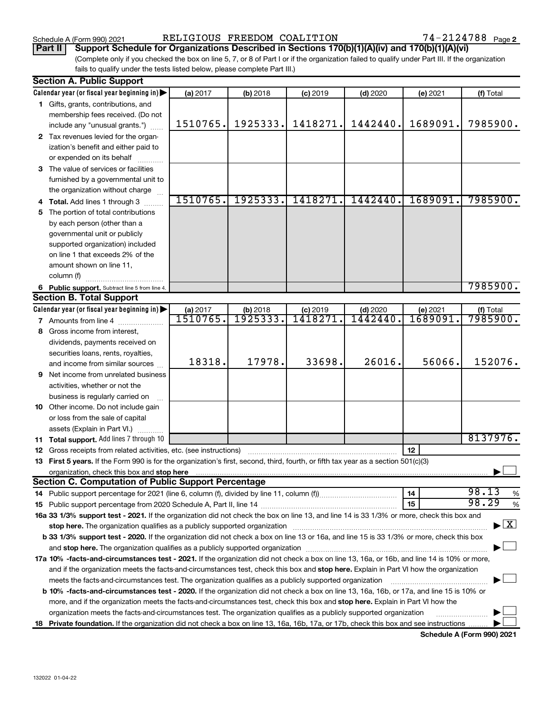Schedule A (Form 990) 2021 RELIGIOUS FREEDOM COALITION 74-2124788 page

**Part II Support Schedule for Organizations Described in Sections 170(b)(1)(A)(iv) and 170(b)(1)(A)(vi)**

(Complete only if you checked the box on line 5, 7, or 8 of Part I or if the organization failed to qualify under Part III. If the organization fails to qualify under the tests listed below, please complete Part III.)

|   | <b>Section A. Public Support</b>                                                                                                                                                                                                                                                                 |          |            |            |            |          |                                    |
|---|--------------------------------------------------------------------------------------------------------------------------------------------------------------------------------------------------------------------------------------------------------------------------------------------------|----------|------------|------------|------------|----------|------------------------------------|
|   | Calendar year (or fiscal year beginning in)                                                                                                                                                                                                                                                      | (a) 2017 | (b) 2018   | $(c)$ 2019 | $(d)$ 2020 | (e) 2021 | (f) Total                          |
|   | 1 Gifts, grants, contributions, and                                                                                                                                                                                                                                                              |          |            |            |            |          |                                    |
|   | membership fees received. (Do not                                                                                                                                                                                                                                                                |          |            |            |            |          |                                    |
|   | include any "unusual grants.")                                                                                                                                                                                                                                                                   | 1510765. | 1925333.   | 1418271.   | 1442440.   | 1689091. | 7985900.                           |
|   | 2 Tax revenues levied for the organ-                                                                                                                                                                                                                                                             |          |            |            |            |          |                                    |
|   | ization's benefit and either paid to                                                                                                                                                                                                                                                             |          |            |            |            |          |                                    |
|   | or expended on its behalf                                                                                                                                                                                                                                                                        |          |            |            |            |          |                                    |
|   | 3 The value of services or facilities                                                                                                                                                                                                                                                            |          |            |            |            |          |                                    |
|   | furnished by a governmental unit to                                                                                                                                                                                                                                                              |          |            |            |            |          |                                    |
|   | the organization without charge                                                                                                                                                                                                                                                                  |          |            |            |            |          |                                    |
|   | 4 Total. Add lines 1 through 3                                                                                                                                                                                                                                                                   | 1510765. | 1925333.   | 1418271    | 1442440.   | 1689091  | 7985900.                           |
|   | 5 The portion of total contributions                                                                                                                                                                                                                                                             |          |            |            |            |          |                                    |
|   | by each person (other than a                                                                                                                                                                                                                                                                     |          |            |            |            |          |                                    |
|   | governmental unit or publicly                                                                                                                                                                                                                                                                    |          |            |            |            |          |                                    |
|   | supported organization) included                                                                                                                                                                                                                                                                 |          |            |            |            |          |                                    |
|   | on line 1 that exceeds 2% of the                                                                                                                                                                                                                                                                 |          |            |            |            |          |                                    |
|   | amount shown on line 11,                                                                                                                                                                                                                                                                         |          |            |            |            |          |                                    |
|   | column (f)                                                                                                                                                                                                                                                                                       |          |            |            |            |          |                                    |
|   | 6 Public support. Subtract line 5 from line 4.                                                                                                                                                                                                                                                   |          |            |            |            |          | 7985900.                           |
|   | <b>Section B. Total Support</b>                                                                                                                                                                                                                                                                  |          |            |            |            |          |                                    |
|   | Calendar year (or fiscal year beginning in)                                                                                                                                                                                                                                                      | (a) 2017 | $(b)$ 2018 | $(c)$ 2019 | $(d)$ 2020 | (e) 2021 | (f) Total                          |
|   | <b>7</b> Amounts from line 4                                                                                                                                                                                                                                                                     | 1510765. | 1925333    | 1418271    | 1442440    | 1689091  | 7985900.                           |
|   | 8 Gross income from interest,                                                                                                                                                                                                                                                                    |          |            |            |            |          |                                    |
|   | dividends, payments received on                                                                                                                                                                                                                                                                  |          |            |            |            |          |                                    |
|   | securities loans, rents, royalties,                                                                                                                                                                                                                                                              |          |            |            |            |          |                                    |
|   | and income from similar sources                                                                                                                                                                                                                                                                  | 18318.   | 17978.     | 33698.     | 26016.     | 56066.   | 152076.                            |
|   | Net income from unrelated business                                                                                                                                                                                                                                                               |          |            |            |            |          |                                    |
| 9 |                                                                                                                                                                                                                                                                                                  |          |            |            |            |          |                                    |
|   | activities, whether or not the                                                                                                                                                                                                                                                                   |          |            |            |            |          |                                    |
|   | business is regularly carried on                                                                                                                                                                                                                                                                 |          |            |            |            |          |                                    |
|   | 10 Other income. Do not include gain                                                                                                                                                                                                                                                             |          |            |            |            |          |                                    |
|   | or loss from the sale of capital                                                                                                                                                                                                                                                                 |          |            |            |            |          |                                    |
|   | assets (Explain in Part VI.)                                                                                                                                                                                                                                                                     |          |            |            |            |          | 8137976.                           |
|   | 11 Total support. Add lines 7 through 10                                                                                                                                                                                                                                                         |          |            |            |            |          |                                    |
|   | <b>12</b> Gross receipts from related activities, etc. (see instructions)                                                                                                                                                                                                                        |          |            |            |            | 12       |                                    |
|   | 13 First 5 years. If the Form 990 is for the organization's first, second, third, fourth, or fifth tax year as a section 501(c)(3)                                                                                                                                                               |          |            |            |            |          |                                    |
|   | organization, check this box and stop here <b>construction and the construction</b> of the construction of the construction of the construction of the construction of the construction of the construction of the construction of<br><b>Section C. Computation of Public Support Percentage</b> |          |            |            |            |          |                                    |
|   |                                                                                                                                                                                                                                                                                                  |          |            |            |            |          | 98.13                              |
|   |                                                                                                                                                                                                                                                                                                  |          |            |            |            | 14       | %<br>98.29                         |
|   |                                                                                                                                                                                                                                                                                                  |          |            |            |            | 15       | %                                  |
|   | 16a 33 1/3% support test - 2021. If the organization did not check the box on line 13, and line 14 is 33 1/3% or more, check this box and                                                                                                                                                        |          |            |            |            |          | $\blacktriangleright$ $\mathbf{X}$ |
|   | stop here. The organization qualifies as a publicly supported organization manufaction manufacture or the organization                                                                                                                                                                           |          |            |            |            |          |                                    |
|   | b 33 1/3% support test - 2020. If the organization did not check a box on line 13 or 16a, and line 15 is 33 1/3% or more, check this box                                                                                                                                                         |          |            |            |            |          |                                    |
|   |                                                                                                                                                                                                                                                                                                  |          |            |            |            |          |                                    |
|   | 17a 10% -facts-and-circumstances test - 2021. If the organization did not check a box on line 13, 16a, or 16b, and line 14 is 10% or more,                                                                                                                                                       |          |            |            |            |          |                                    |
|   | and if the organization meets the facts-and-circumstances test, check this box and stop here. Explain in Part VI how the organization                                                                                                                                                            |          |            |            |            |          |                                    |
|   | meets the facts-and-circumstances test. The organization qualifies as a publicly supported organization                                                                                                                                                                                          |          |            |            |            |          |                                    |
|   | <b>b 10%</b> -facts-and-circumstances test - 2020. If the organization did not check a box on line 13, 16a, 16b, or 17a, and line 15 is 10% or                                                                                                                                                   |          |            |            |            |          |                                    |
|   | more, and if the organization meets the facts-and-circumstances test, check this box and stop here. Explain in Part VI how the                                                                                                                                                                   |          |            |            |            |          |                                    |
|   | organization meets the facts-and-circumstances test. The organization qualifies as a publicly supported organization                                                                                                                                                                             |          |            |            |            |          |                                    |
|   | 18 Private foundation. If the organization did not check a box on line 13, 16a, 16b, 17a, or 17b, check this box and see instructions.                                                                                                                                                           |          |            |            |            |          | Schodule A (Form 000) 2021         |

**Schedule A (Form 990) 2021**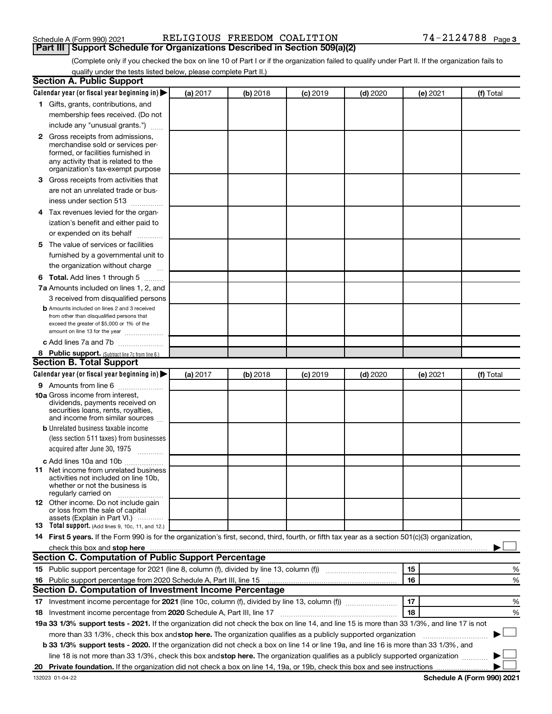# Schedule A (Form 990) 2021 RELIGIOUS FREEDOM COALITION 74-2124788 page

# **Part III** | Schedule A (Form 990) 2021 **RELIGIOUS FREEDOM COALITION**<br>**Part III** | Support Schedule for Organizations Described in Section 509(a)(2)

(Complete only if you checked the box on line 10 of Part I or if the organization failed to qualify under Part II. If the organization fails to qualify under the tests listed below, please complete Part II.)

| <b>Section A. Public Support</b>                                                                                                                                                                                                     |          |            |            |            |          |           |
|--------------------------------------------------------------------------------------------------------------------------------------------------------------------------------------------------------------------------------------|----------|------------|------------|------------|----------|-----------|
| Calendar year (or fiscal year beginning in)                                                                                                                                                                                          | (a) 2017 | (b) 2018   | $(c)$ 2019 | $(d)$ 2020 | (e) 2021 | (f) Total |
| 1 Gifts, grants, contributions, and                                                                                                                                                                                                  |          |            |            |            |          |           |
| membership fees received. (Do not                                                                                                                                                                                                    |          |            |            |            |          |           |
| include any "unusual grants.")                                                                                                                                                                                                       |          |            |            |            |          |           |
| <b>2</b> Gross receipts from admissions,                                                                                                                                                                                             |          |            |            |            |          |           |
| merchandise sold or services per-                                                                                                                                                                                                    |          |            |            |            |          |           |
| formed, or facilities furnished in                                                                                                                                                                                                   |          |            |            |            |          |           |
| any activity that is related to the<br>organization's tax-exempt purpose                                                                                                                                                             |          |            |            |            |          |           |
| 3 Gross receipts from activities that                                                                                                                                                                                                |          |            |            |            |          |           |
| are not an unrelated trade or bus-                                                                                                                                                                                                   |          |            |            |            |          |           |
| iness under section 513                                                                                                                                                                                                              |          |            |            |            |          |           |
| 4 Tax revenues levied for the organ-                                                                                                                                                                                                 |          |            |            |            |          |           |
| ization's benefit and either paid to                                                                                                                                                                                                 |          |            |            |            |          |           |
| or expended on its behalf                                                                                                                                                                                                            |          |            |            |            |          |           |
|                                                                                                                                                                                                                                      |          |            |            |            |          |           |
| 5 The value of services or facilities                                                                                                                                                                                                |          |            |            |            |          |           |
| furnished by a governmental unit to                                                                                                                                                                                                  |          |            |            |            |          |           |
| the organization without charge                                                                                                                                                                                                      |          |            |            |            |          |           |
| 6 Total. Add lines 1 through 5                                                                                                                                                                                                       |          |            |            |            |          |           |
| 7a Amounts included on lines 1, 2, and                                                                                                                                                                                               |          |            |            |            |          |           |
| 3 received from disqualified persons                                                                                                                                                                                                 |          |            |            |            |          |           |
| <b>b</b> Amounts included on lines 2 and 3 received<br>from other than disqualified persons that                                                                                                                                     |          |            |            |            |          |           |
| exceed the greater of \$5,000 or 1% of the                                                                                                                                                                                           |          |            |            |            |          |           |
| amount on line 13 for the year                                                                                                                                                                                                       |          |            |            |            |          |           |
| c Add lines 7a and 7b                                                                                                                                                                                                                |          |            |            |            |          |           |
| 8 Public support. (Subtract line 7c from line 6.)                                                                                                                                                                                    |          |            |            |            |          |           |
| <b>Section B. Total Support</b>                                                                                                                                                                                                      |          |            |            |            |          |           |
| Calendar year (or fiscal year beginning in)                                                                                                                                                                                          | (a) 2017 | $(b)$ 2018 | $(c)$ 2019 | $(d)$ 2020 | (e) 2021 | (f) Total |
| 9 Amounts from line 6                                                                                                                                                                                                                |          |            |            |            |          |           |
| <b>10a</b> Gross income from interest,<br>dividends, payments received on                                                                                                                                                            |          |            |            |            |          |           |
| securities loans, rents, royalties,                                                                                                                                                                                                  |          |            |            |            |          |           |
| and income from similar sources                                                                                                                                                                                                      |          |            |            |            |          |           |
| <b>b</b> Unrelated business taxable income                                                                                                                                                                                           |          |            |            |            |          |           |
| (less section 511 taxes) from businesses                                                                                                                                                                                             |          |            |            |            |          |           |
| acquired after June 30, 1975                                                                                                                                                                                                         |          |            |            |            |          |           |
| c Add lines 10a and 10b                                                                                                                                                                                                              |          |            |            |            |          |           |
| <b>11</b> Net income from unrelated business                                                                                                                                                                                         |          |            |            |            |          |           |
| activities not included on line 10b.<br>whether or not the business is                                                                                                                                                               |          |            |            |            |          |           |
| regularly carried on                                                                                                                                                                                                                 |          |            |            |            |          |           |
| 12 Other income. Do not include gain                                                                                                                                                                                                 |          |            |            |            |          |           |
| or loss from the sale of capital                                                                                                                                                                                                     |          |            |            |            |          |           |
| assets (Explain in Part VI.)<br><b>13</b> Total support. (Add lines 9, 10c, 11, and 12.)                                                                                                                                             |          |            |            |            |          |           |
| 14 First 5 years. If the Form 990 is for the organization's first, second, third, fourth, or fifth tax year as a section 501(c)(3) organization,                                                                                     |          |            |            |            |          |           |
| check this box and stop here <b>contained and according to the set of the set of the set of the set of the set of the set of the set of the set of the set of the set of the set of the set of the set of the set of the set of </b> |          |            |            |            |          |           |
| Section C. Computation of Public Support Percentage                                                                                                                                                                                  |          |            |            |            |          |           |
|                                                                                                                                                                                                                                      |          |            |            |            | 15       | ℅         |
| 16 Public support percentage from 2020 Schedule A, Part III, line 15                                                                                                                                                                 |          |            |            |            | 16       | %         |
| Section D. Computation of Investment Income Percentage                                                                                                                                                                               |          |            |            |            |          |           |
|                                                                                                                                                                                                                                      |          |            |            |            | 17       | %         |
| 18 Investment income percentage from 2020 Schedule A, Part III, line 17                                                                                                                                                              |          |            |            |            | 18       | %         |
| 19a 33 1/3% support tests - 2021. If the organization did not check the box on line 14, and line 15 is more than 33 1/3%, and line 17 is not                                                                                         |          |            |            |            |          |           |
| more than 33 1/3%, check this box and stop here. The organization qualifies as a publicly supported organization                                                                                                                     |          |            |            |            |          |           |
| b 33 1/3% support tests - 2020. If the organization did not check a box on line 14 or line 19a, and line 16 is more than 33 1/3%, and                                                                                                |          |            |            |            |          |           |
| line 18 is not more than 33 1/3%, check this box and stop here. The organization qualifies as a publicly supported organization                                                                                                      |          |            |            |            |          |           |
|                                                                                                                                                                                                                                      |          |            |            |            |          |           |
|                                                                                                                                                                                                                                      |          |            |            |            |          |           |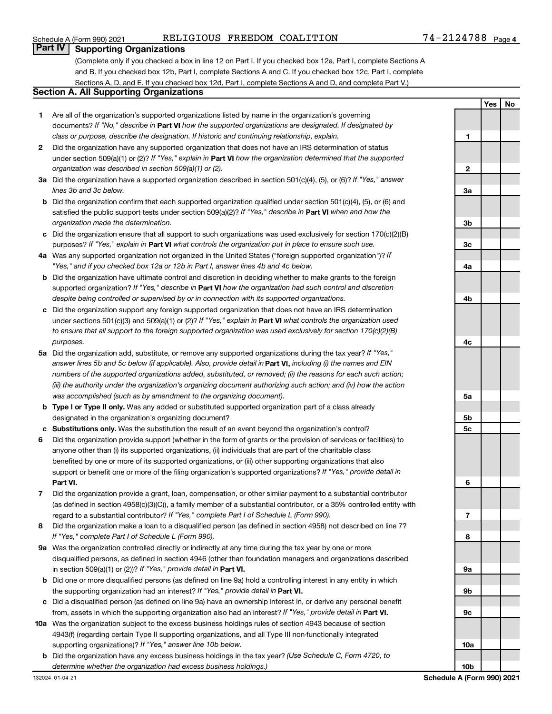## Schedule A (Form 990) 2021 RELIGIOUS FREEDOM COALITION 74-2124788 page

## **Part IV Supporting Organizations**

(Complete only if you checked a box in line 12 on Part I. If you checked box 12a, Part I, complete Sections A and B. If you checked box 12b, Part I, complete Sections A and C. If you checked box 12c, Part I, complete Sections A, D, and E. If you checked box 12d, Part I, complete Sections A and D, and complete Part V.)

## **Section A. All Supporting Organizations**

- **1** Are all of the organization's supported organizations listed by name in the organization's governing documents? If "No," describe in Part VI how the supported organizations are designated. If designated by *class or purpose, describe the designation. If historic and continuing relationship, explain.*
- **2** Did the organization have any supported organization that does not have an IRS determination of status under section 509(a)(1) or (2)? If "Yes," explain in Part **VI** how the organization determined that the supported *organization was described in section 509(a)(1) or (2).*
- **3a** Did the organization have a supported organization described in section 501(c)(4), (5), or (6)? If "Yes," answer *lines 3b and 3c below.*
- **b** Did the organization confirm that each supported organization qualified under section 501(c)(4), (5), or (6) and satisfied the public support tests under section 509(a)(2)? If "Yes," describe in Part VI when and how the *organization made the determination.*
- **c** Did the organization ensure that all support to such organizations was used exclusively for section 170(c)(2)(B) purposes? If "Yes," explain in Part VI what controls the organization put in place to ensure such use.
- **4 a** *If* Was any supported organization not organized in the United States ("foreign supported organization")? *"Yes," and if you checked box 12a or 12b in Part I, answer lines 4b and 4c below.*
- **b** Did the organization have ultimate control and discretion in deciding whether to make grants to the foreign supported organization? If "Yes," describe in Part VI how the organization had such control and discretion *despite being controlled or supervised by or in connection with its supported organizations.*
- **c** Did the organization support any foreign supported organization that does not have an IRS determination under sections 501(c)(3) and 509(a)(1) or (2)? If "Yes," explain in Part VI what controls the organization used *to ensure that all support to the foreign supported organization was used exclusively for section 170(c)(2)(B) purposes.*
- **5a** Did the organization add, substitute, or remove any supported organizations during the tax year? If "Yes," answer lines 5b and 5c below (if applicable). Also, provide detail in **Part VI,** including (i) the names and EIN *numbers of the supported organizations added, substituted, or removed; (ii) the reasons for each such action; (iii) the authority under the organization's organizing document authorizing such action; and (iv) how the action was accomplished (such as by amendment to the organizing document).*
- **b** Type I or Type II only. Was any added or substituted supported organization part of a class already designated in the organization's organizing document?
- **c Substitutions only.**  Was the substitution the result of an event beyond the organization's control?
- **6** Did the organization provide support (whether in the form of grants or the provision of services or facilities) to **Part VI.** support or benefit one or more of the filing organization's supported organizations? If "Yes," provide detail in anyone other than (i) its supported organizations, (ii) individuals that are part of the charitable class benefited by one or more of its supported organizations, or (iii) other supporting organizations that also
- **7** Did the organization provide a grant, loan, compensation, or other similar payment to a substantial contributor regard to a substantial contributor? If "Yes," complete Part I of Schedule L (Form 990). (as defined in section 4958(c)(3)(C)), a family member of a substantial contributor, or a 35% controlled entity with
- **8** Did the organization make a loan to a disqualified person (as defined in section 4958) not described on line 7? *If "Yes," complete Part I of Schedule L (Form 990).*
- **9 a** Was the organization controlled directly or indirectly at any time during the tax year by one or more in section 509(a)(1) or (2))? If "Yes," provide detail in **Part VI.** disqualified persons, as defined in section 4946 (other than foundation managers and organizations described
- **b** Did one or more disqualified persons (as defined on line 9a) hold a controlling interest in any entity in which the supporting organization had an interest? If "Yes," provide detail in Part VI.
- **c** Did a disqualified person (as defined on line 9a) have an ownership interest in, or derive any personal benefit from, assets in which the supporting organization also had an interest? If "Yes," provide detail in Part VI.
- **10 a** Was the organization subject to the excess business holdings rules of section 4943 because of section supporting organizations)? If "Yes," answer line 10b below. 4943(f) (regarding certain Type II supporting organizations, and all Type III non-functionally integrated
	- **b** Did the organization have any excess business holdings in the tax year? (Use Schedule C, Form 4720, to *determine whether the organization had excess business holdings.)*

|                 | <b>Yes</b> | $\lceil \frac{\mathsf{N}}{\mathsf{O}}\rceil$ |
|-----------------|------------|----------------------------------------------|
|                 |            |                                              |
|                 |            |                                              |
|                 |            |                                              |
| 1               |            |                                              |
|                 |            |                                              |
|                 |            |                                              |
| $\overline{2}$  |            |                                              |
|                 |            |                                              |
|                 |            |                                              |
| 3a              |            |                                              |
|                 |            |                                              |
|                 |            |                                              |
| 3b              |            |                                              |
|                 |            |                                              |
| 3c              |            |                                              |
|                 |            |                                              |
|                 |            |                                              |
| 4a              |            |                                              |
|                 |            |                                              |
|                 |            |                                              |
| 4b              |            |                                              |
|                 |            |                                              |
|                 |            |                                              |
|                 |            |                                              |
|                 |            |                                              |
| 4c              |            |                                              |
|                 |            |                                              |
|                 |            |                                              |
|                 |            |                                              |
|                 |            |                                              |
|                 |            |                                              |
| 5a              |            |                                              |
|                 |            |                                              |
| 5b              |            |                                              |
| 5c              |            |                                              |
|                 |            |                                              |
|                 |            |                                              |
|                 |            |                                              |
|                 |            |                                              |
|                 |            |                                              |
| 6               |            |                                              |
|                 |            |                                              |
|                 |            |                                              |
| 7               |            |                                              |
|                 |            |                                              |
|                 |            |                                              |
| 8               |            |                                              |
|                 |            |                                              |
|                 |            |                                              |
| 9a              |            |                                              |
|                 |            |                                              |
|                 |            |                                              |
| 9b              |            |                                              |
|                 |            |                                              |
| 9с              |            |                                              |
|                 |            |                                              |
|                 |            |                                              |
| 10a             |            |                                              |
|                 |            |                                              |
|                 |            |                                              |
| 10 <sub>b</sub> |            |                                              |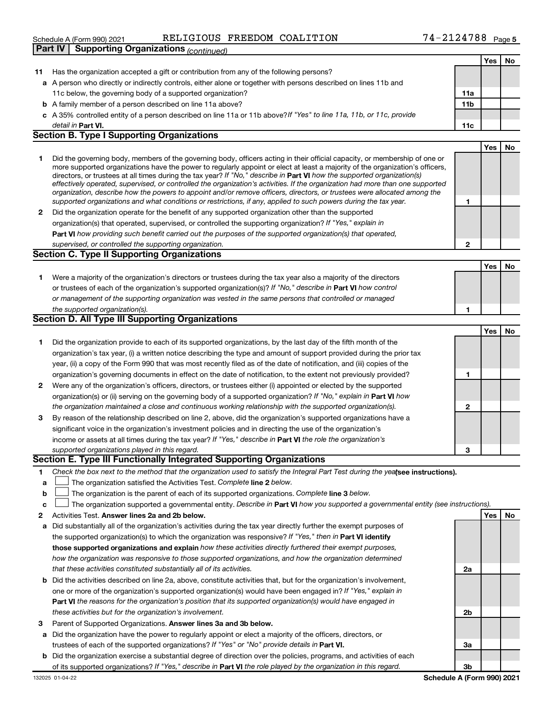| Schedule A (Form 990) 2021 |  |  | RELIGIOUS FREEDOM COALITION |  |  | $74 - 2124788$ Page 5 |  |
|----------------------------|--|--|-----------------------------|--|--|-----------------------|--|
|----------------------------|--|--|-----------------------------|--|--|-----------------------|--|

|              | <b>Supporting Organizations (continued)</b><br>Part IV                                                                                                                                                                                                      |                 |     |    |
|--------------|-------------------------------------------------------------------------------------------------------------------------------------------------------------------------------------------------------------------------------------------------------------|-----------------|-----|----|
|              |                                                                                                                                                                                                                                                             |                 | Yes | No |
| 11           | Has the organization accepted a gift or contribution from any of the following persons?                                                                                                                                                                     |                 |     |    |
|              | a A person who directly or indirectly controls, either alone or together with persons described on lines 11b and                                                                                                                                            |                 |     |    |
|              | 11c below, the governing body of a supported organization?                                                                                                                                                                                                  | 11a             |     |    |
|              | <b>b</b> A family member of a person described on line 11a above?                                                                                                                                                                                           | 11 <sub>b</sub> |     |    |
|              | c A 35% controlled entity of a person described on line 11a or 11b above?If "Yes" to line 11a, 11b, or 11c, provide                                                                                                                                         |                 |     |    |
|              | detail in Part VI.                                                                                                                                                                                                                                          | 11c             |     |    |
|              | <b>Section B. Type I Supporting Organizations</b>                                                                                                                                                                                                           |                 |     |    |
|              |                                                                                                                                                                                                                                                             |                 | Yes | No |
| 1            | Did the governing body, members of the governing body, officers acting in their official capacity, or membership of one or<br>more supported organizations have the power to regularly appoint or elect at least a majority of the organization's officers, |                 |     |    |
|              | directors, or trustees at all times during the tax year? If "No," describe in Part VI how the supported organization(s)                                                                                                                                     |                 |     |    |
|              | effectively operated, supervised, or controlled the organization's activities. If the organization had more than one supported                                                                                                                              |                 |     |    |
|              | organization, describe how the powers to appoint and/or remove officers, directors, or trustees were allocated among the                                                                                                                                    |                 |     |    |
|              | supported organizations and what conditions or restrictions, if any, applied to such powers during the tax year.                                                                                                                                            | 1               |     |    |
| $\mathbf{2}$ | Did the organization operate for the benefit of any supported organization other than the supported                                                                                                                                                         |                 |     |    |
|              | organization(s) that operated, supervised, or controlled the supporting organization? If "Yes," explain in                                                                                                                                                  |                 |     |    |
|              | Part VI how providing such benefit carried out the purposes of the supported organization(s) that operated,<br>supervised, or controlled the supporting organization.                                                                                       | $\mathbf{2}$    |     |    |
|              | <b>Section C. Type II Supporting Organizations</b>                                                                                                                                                                                                          |                 |     |    |
|              |                                                                                                                                                                                                                                                             |                 | Yes | No |
| 1            | Were a majority of the organization's directors or trustees during the tax year also a majority of the directors                                                                                                                                            |                 |     |    |
|              | or trustees of each of the organization's supported organization(s)? If "No," describe in Part VI how control                                                                                                                                               |                 |     |    |
|              | or management of the supporting organization was vested in the same persons that controlled or managed                                                                                                                                                      |                 |     |    |
|              | the supported organization(s).                                                                                                                                                                                                                              | 1               |     |    |
|              | <b>Section D. All Type III Supporting Organizations</b>                                                                                                                                                                                                     |                 |     |    |
|              |                                                                                                                                                                                                                                                             |                 | Yes | No |
| 1            | Did the organization provide to each of its supported organizations, by the last day of the fifth month of the                                                                                                                                              |                 |     |    |
|              | organization's tax year, (i) a written notice describing the type and amount of support provided during the prior tax                                                                                                                                       |                 |     |    |
|              | year, (ii) a copy of the Form 990 that was most recently filed as of the date of notification, and (iii) copies of the                                                                                                                                      |                 |     |    |
|              | organization's governing documents in effect on the date of notification, to the extent not previously provided?                                                                                                                                            | 1               |     |    |
| 2            | Were any of the organization's officers, directors, or trustees either (i) appointed or elected by the supported                                                                                                                                            |                 |     |    |
|              | organization(s) or (ii) serving on the governing body of a supported organization? If "No," explain in Part VI how                                                                                                                                          |                 |     |    |
|              | the organization maintained a close and continuous working relationship with the supported organization(s).                                                                                                                                                 | 2               |     |    |
| З            | By reason of the relationship described on line 2, above, did the organization's supported organizations have a                                                                                                                                             |                 |     |    |
|              | significant voice in the organization's investment policies and in directing the use of the organization's                                                                                                                                                  |                 |     |    |
|              | income or assets at all times during the tax year? If "Yes," describe in Part VI the role the organization's                                                                                                                                                |                 |     |    |
|              | supported organizations played in this regard.                                                                                                                                                                                                              | 3               |     |    |
|              | Section E. Type III Functionally Integrated Supporting Organizations                                                                                                                                                                                        |                 |     |    |
| 1            | Check the box next to the method that the organization used to satisfy the Integral Part Test during the yealsee instructions).                                                                                                                             |                 |     |    |
| a            | The organization satisfied the Activities Test. Complete line 2 below.                                                                                                                                                                                      |                 |     |    |
| b            | The organization is the parent of each of its supported organizations. Complete line 3 below.                                                                                                                                                               |                 |     |    |
| c            | The organization supported a governmental entity. Describe in Part VI how you supported a governmental entity (see instructions).                                                                                                                           |                 |     |    |
| 2            | Activities Test. Answer lines 2a and 2b below.                                                                                                                                                                                                              |                 | Yes | No |
| а            | Did substantially all of the organization's activities during the tax year directly further the exempt purposes of<br>the supported organization(s) to which the organization was responsive? If "Yes," then in Part VI identify                            |                 |     |    |
|              | those supported organizations and explain how these activities directly furthered their exempt purposes,                                                                                                                                                    |                 |     |    |
|              | how the organization was responsive to those supported organizations, and how the organization determined                                                                                                                                                   |                 |     |    |
|              | that these activities constituted substantially all of its activities.                                                                                                                                                                                      | 2a              |     |    |
|              | <b>b</b> Did the activities described on line 2a, above, constitute activities that, but for the organization's involvement,                                                                                                                                |                 |     |    |
|              | one or more of the organization's supported organization(s) would have been engaged in? If "Yes," explain in                                                                                                                                                |                 |     |    |
|              | Part VI the reasons for the organization's position that its supported organization(s) would have engaged in                                                                                                                                                |                 |     |    |
|              | these activities but for the organization's involvement.                                                                                                                                                                                                    | 2b              |     |    |
| з            | Parent of Supported Organizations. Answer lines 3a and 3b below.                                                                                                                                                                                            |                 |     |    |
| а            | Did the organization have the power to regularly appoint or elect a majority of the officers, directors, or                                                                                                                                                 |                 |     |    |
|              | trustees of each of the supported organizations? If "Yes" or "No" provide details in Part VI.                                                                                                                                                               | За              |     |    |

**b** Did the organization exercise a substantial degree of direction over the policies, programs, and activities of each of its supported organizations? If "Yes," describe in Part VI the role played by the organization in this regard.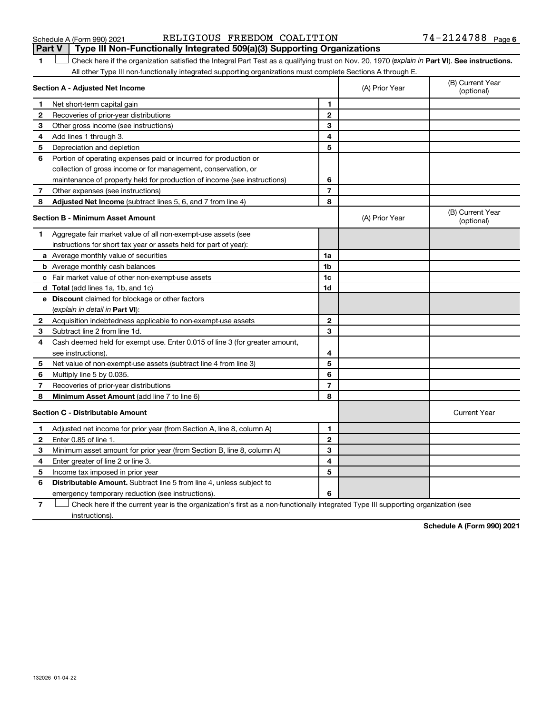| 1            | Check here if the organization satisfied the Integral Part Test as a qualifying trust on Nov. 20, 1970 (explain in Part VI). See instructions. |                          |                |                                |
|--------------|------------------------------------------------------------------------------------------------------------------------------------------------|--------------------------|----------------|--------------------------------|
|              | All other Type III non-functionally integrated supporting organizations must complete Sections A through E.                                    |                          |                |                                |
|              | Section A - Adjusted Net Income                                                                                                                |                          | (A) Prior Year | (B) Current Year<br>(optional) |
| 1            | Net short-term capital gain                                                                                                                    | 1                        |                |                                |
| $\mathbf 2$  | Recoveries of prior-year distributions                                                                                                         | $\overline{2}$           |                |                                |
| 3            | Other gross income (see instructions)                                                                                                          | 3                        |                |                                |
| 4            | Add lines 1 through 3.                                                                                                                         | 4                        |                |                                |
| 5            | Depreciation and depletion                                                                                                                     | 5                        |                |                                |
| 6            | Portion of operating expenses paid or incurred for production or                                                                               |                          |                |                                |
|              | collection of gross income or for management, conservation, or                                                                                 |                          |                |                                |
|              | maintenance of property held for production of income (see instructions)                                                                       | 6                        |                |                                |
| 7            | Other expenses (see instructions)                                                                                                              | $\overline{7}$           |                |                                |
| 8            | Adjusted Net Income (subtract lines 5, 6, and 7 from line 4)                                                                                   | 8                        |                |                                |
|              | Section B - Minimum Asset Amount                                                                                                               |                          | (A) Prior Year | (B) Current Year<br>(optional) |
| 1            | Aggregate fair market value of all non-exempt-use assets (see                                                                                  |                          |                |                                |
|              | instructions for short tax year or assets held for part of year):                                                                              |                          |                |                                |
|              | a Average monthly value of securities                                                                                                          | 1a                       |                |                                |
|              | <b>b</b> Average monthly cash balances                                                                                                         | 1b                       |                |                                |
|              | c Fair market value of other non-exempt-use assets                                                                                             | 1c                       |                |                                |
|              | <b>d</b> Total (add lines 1a, 1b, and 1c)                                                                                                      | 1d                       |                |                                |
|              | e Discount claimed for blockage or other factors                                                                                               |                          |                |                                |
|              | (explain in detail in <b>Part VI</b> ):                                                                                                        |                          |                |                                |
| 2            | Acquisition indebtedness applicable to non-exempt-use assets                                                                                   | $\mathbf{2}$             |                |                                |
| 3            | Subtract line 2 from line 1d.                                                                                                                  | 3                        |                |                                |
| 4            | Cash deemed held for exempt use. Enter 0.015 of line 3 (for greater amount,                                                                    |                          |                |                                |
|              | see instructions).                                                                                                                             | 4                        |                |                                |
| 5            | Net value of non-exempt-use assets (subtract line 4 from line 3)                                                                               | 5                        |                |                                |
| 6            | Multiply line 5 by 0.035.                                                                                                                      | 6                        |                |                                |
| 7            | Recoveries of prior-year distributions                                                                                                         | $\overline{\phantom{a}}$ |                |                                |
| 8            | <b>Minimum Asset Amount (add line 7 to line 6)</b>                                                                                             | 8                        |                |                                |
|              | <b>Section C - Distributable Amount</b>                                                                                                        |                          |                | <b>Current Year</b>            |
| 1            | Adjusted net income for prior year (from Section A, line 8, column A)                                                                          | 1                        |                |                                |
| $\mathbf{2}$ | Enter 0.85 of line 1.                                                                                                                          | $\mathbf{2}$             |                |                                |
| 3            | Minimum asset amount for prior year (from Section B, line 8, column A)                                                                         | 3                        |                |                                |
| 4            | Enter greater of line 2 or line 3.                                                                                                             | 4                        |                |                                |
| 5            | Income tax imposed in prior year                                                                                                               | 5                        |                |                                |
| 6            | <b>Distributable Amount.</b> Subtract line 5 from line 4, unless subject to                                                                    |                          |                |                                |
|              | emergency temporary reduction (see instructions).                                                                                              | 6                        |                |                                |

**7** Let Check here if the current year is the organization's first as a non-functionally integrated Type III supporting organization (see instructions).

**Schedule A (Form 990) 2021**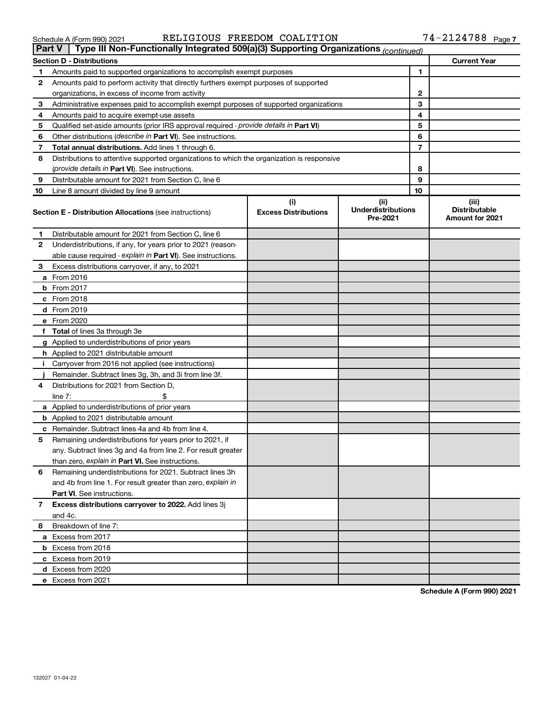132027 01-04-22

| 1  | Amounts paid to supported organizations to accomplish exempt purposes                      |                           | 1                                                |   |                            |
|----|--------------------------------------------------------------------------------------------|---------------------------|--------------------------------------------------|---|----------------------------|
| 2  | Amounts paid to perform activity that directly furthers exempt purposes of supported       |                           |                                                  |   |                            |
|    | organizations, in excess of income from activity                                           |                           | 2                                                |   |                            |
| 3  | Administrative expenses paid to accomplish exempt purposes of supported organizations      |                           |                                                  | 3 |                            |
| 4  | Amounts paid to acquire exempt-use assets                                                  |                           |                                                  | 4 |                            |
| 5  | Qualified set-aside amounts (prior IRS approval required - provide details in Part VI)     |                           |                                                  | 5 |                            |
| 6  | Other distributions (describe in Part VI). See instructions.                               |                           |                                                  | 6 |                            |
| 7  | Total annual distributions. Add lines 1 through 6.                                         |                           |                                                  | 7 |                            |
| 8  | Distributions to attentive supported organizations to which the organization is responsive |                           |                                                  |   |                            |
|    | (provide details in Part VI). See instructions.                                            |                           |                                                  | 8 |                            |
| 9  | Distributable amount for 2021 from Section C, line 6                                       |                           |                                                  | 9 |                            |
| 10 | Line 8 amount divided by line 9 amount                                                     |                           | 10                                               |   |                            |
|    | <b>Section E - Distribution Allocations (see instructions)</b>                             | <b>Underdistributions</b> | (iii)<br><b>Distributable</b><br>Amount for 2021 |   |                            |
| 1. | Distributable amount for 2021 from Section C, line 6                                       |                           |                                                  |   |                            |
| 2  | Underdistributions, if any, for years prior to 2021 (reason-                               |                           |                                                  |   |                            |
|    | able cause required - explain in Part VI). See instructions.                               |                           |                                                  |   |                            |
| З  | Excess distributions carryover, if any, to 2021                                            |                           |                                                  |   |                            |
|    | <b>a</b> From 2016                                                                         |                           |                                                  |   |                            |
|    | $b$ From 2017                                                                              |                           |                                                  |   |                            |
|    | $c$ From 2018                                                                              |                           |                                                  |   |                            |
|    | <b>d</b> From 2019                                                                         |                           |                                                  |   |                            |
|    | e From 2020                                                                                |                           |                                                  |   |                            |
| f  | <b>Total</b> of lines 3a through 3e                                                        |                           |                                                  |   |                            |
|    | g Applied to underdistributions of prior years                                             |                           |                                                  |   |                            |
|    | <b>h</b> Applied to 2021 distributable amount                                              |                           |                                                  |   |                            |
| j. | Carryover from 2016 not applied (see instructions)                                         |                           |                                                  |   |                            |
|    | Remainder. Subtract lines 3g, 3h, and 3i from line 3f.                                     |                           |                                                  |   |                            |
| 4  | Distributions for 2021 from Section D,                                                     |                           |                                                  |   |                            |
|    | line $7:$                                                                                  |                           |                                                  |   |                            |
|    | a Applied to underdistributions of prior years                                             |                           |                                                  |   |                            |
|    | <b>b</b> Applied to 2021 distributable amount                                              |                           |                                                  |   |                            |
|    | c Remainder. Subtract lines 4a and 4b from line 4.                                         |                           |                                                  |   |                            |
| 5  | Remaining underdistributions for years prior to 2021, if                                   |                           |                                                  |   |                            |
|    | any. Subtract lines 3g and 4a from line 2. For result greater                              |                           |                                                  |   |                            |
|    | than zero, explain in Part VI. See instructions.                                           |                           |                                                  |   |                            |
| 6  | Remaining underdistributions for 2021. Subtract lines 3h                                   |                           |                                                  |   |                            |
|    | and 4b from line 1. For result greater than zero, explain in                               |                           |                                                  |   |                            |
|    | <b>Part VI.</b> See instructions.                                                          |                           |                                                  |   |                            |
| 7  | Excess distributions carryover to 2022. Add lines 3j                                       |                           |                                                  |   |                            |
|    | and 4c.                                                                                    |                           |                                                  |   |                            |
| 8  | Breakdown of line 7:                                                                       |                           |                                                  |   |                            |
|    | a Excess from 2017                                                                         |                           |                                                  |   |                            |
|    | <b>b</b> Excess from 2018                                                                  |                           |                                                  |   |                            |
|    | c Excess from 2019                                                                         |                           |                                                  |   |                            |
|    | d Excess from 2020                                                                         |                           |                                                  |   |                            |
|    | e Excess from 2021                                                                         |                           |                                                  |   |                            |
|    |                                                                                            |                           |                                                  |   | Schedule A (Form 990) 2021 |

**Part V Type III Non-Functionally Integrated 509(a)(3) Supporting Organizations** *(continued)* 

**Section D - Distributions Current Year**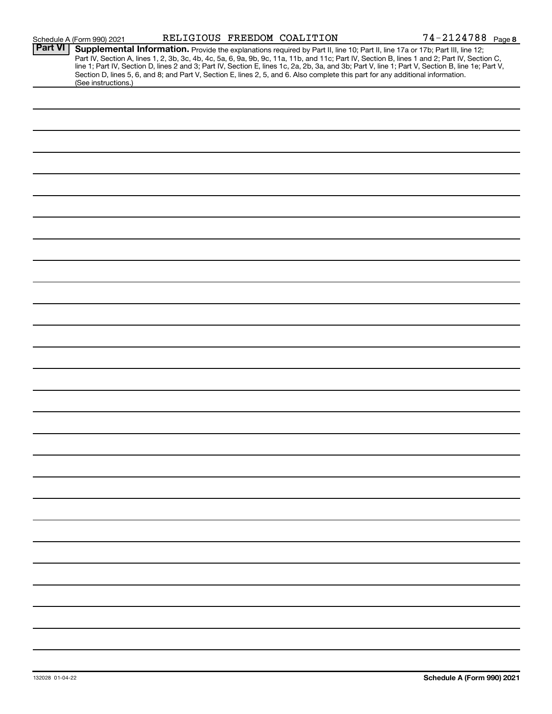|                | Schedule A (Form 990) 2021                                                                                                                                                                                                                                                    | RELIGIOUS FREEDOM COALITION |  | 74-2124788 Page 8                                                                                                                                |
|----------------|-------------------------------------------------------------------------------------------------------------------------------------------------------------------------------------------------------------------------------------------------------------------------------|-----------------------------|--|--------------------------------------------------------------------------------------------------------------------------------------------------|
| <b>Part VI</b> | Supplemental Information. Provide the explanations required by Part II, line 10; Part II, line 17a or 17b; Part III, line 12;<br>Part IV, Section A, lines 1, 2, 3b, 3c, 4b, 4c, 5a, 6, 9a, 9b, 9c, 11a, 11b, and 11c; Part IV, Section B, lines 1 and 2; Part IV, Section C, |                             |  | line 1; Part IV, Section D, lines 2 and 3; Part IV, Section E, lines 1c, 2a, 2b, 3a, and 3b; Part V, line 1; Part V, Section B, line 1e; Part V, |
|                | Section D, lines 5, 6, and 8; and Part V, Section E, lines 2, 5, and 6. Also complete this part for any additional information.<br>(See instructions.)                                                                                                                        |                             |  |                                                                                                                                                  |
|                |                                                                                                                                                                                                                                                                               |                             |  |                                                                                                                                                  |
|                |                                                                                                                                                                                                                                                                               |                             |  |                                                                                                                                                  |
|                |                                                                                                                                                                                                                                                                               |                             |  |                                                                                                                                                  |
|                |                                                                                                                                                                                                                                                                               |                             |  |                                                                                                                                                  |
|                |                                                                                                                                                                                                                                                                               |                             |  |                                                                                                                                                  |
|                |                                                                                                                                                                                                                                                                               |                             |  |                                                                                                                                                  |
|                |                                                                                                                                                                                                                                                                               |                             |  |                                                                                                                                                  |
|                |                                                                                                                                                                                                                                                                               |                             |  |                                                                                                                                                  |
|                |                                                                                                                                                                                                                                                                               |                             |  |                                                                                                                                                  |
|                |                                                                                                                                                                                                                                                                               |                             |  |                                                                                                                                                  |
|                |                                                                                                                                                                                                                                                                               |                             |  |                                                                                                                                                  |
|                |                                                                                                                                                                                                                                                                               |                             |  |                                                                                                                                                  |
|                |                                                                                                                                                                                                                                                                               |                             |  |                                                                                                                                                  |
|                |                                                                                                                                                                                                                                                                               |                             |  |                                                                                                                                                  |
|                |                                                                                                                                                                                                                                                                               |                             |  |                                                                                                                                                  |
|                |                                                                                                                                                                                                                                                                               |                             |  |                                                                                                                                                  |
|                |                                                                                                                                                                                                                                                                               |                             |  |                                                                                                                                                  |
|                |                                                                                                                                                                                                                                                                               |                             |  |                                                                                                                                                  |
|                |                                                                                                                                                                                                                                                                               |                             |  |                                                                                                                                                  |
|                |                                                                                                                                                                                                                                                                               |                             |  |                                                                                                                                                  |
|                |                                                                                                                                                                                                                                                                               |                             |  |                                                                                                                                                  |
|                |                                                                                                                                                                                                                                                                               |                             |  |                                                                                                                                                  |
|                |                                                                                                                                                                                                                                                                               |                             |  |                                                                                                                                                  |
|                |                                                                                                                                                                                                                                                                               |                             |  |                                                                                                                                                  |
|                |                                                                                                                                                                                                                                                                               |                             |  |                                                                                                                                                  |
|                |                                                                                                                                                                                                                                                                               |                             |  |                                                                                                                                                  |
|                |                                                                                                                                                                                                                                                                               |                             |  |                                                                                                                                                  |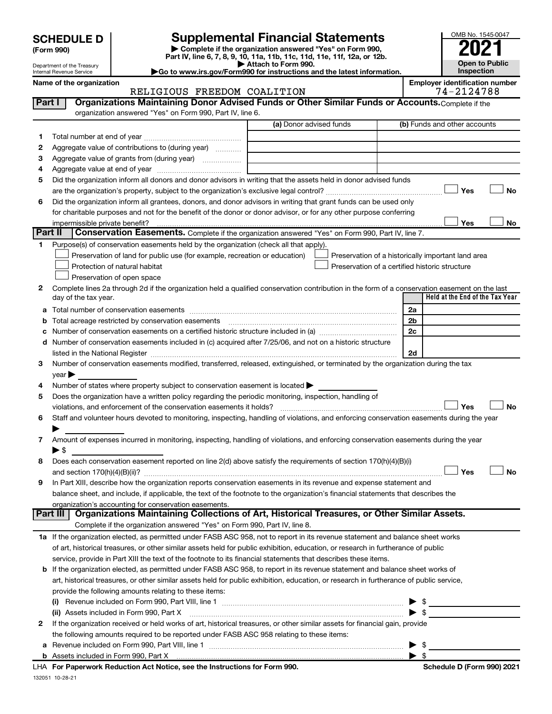| <b>SCHEDULE D</b> |  |
|-------------------|--|
|-------------------|--|

| (Form 990) |
|------------|
|            |

**| Complete if the organization answered "Yes" on Form 990, Part IV, line 6, 7, 8, 9, 10, 11a, 11b, 11c, 11d, 11e, 11f, 12a, or 12b. SCHEDULE D Supplemental Financial Statements**<br> **Form 990 Example 5 2021**<br>
Part IV. line 6, 7, 8, 9, 10, 11a, 11b, 11c, 11d, 11e, 11f, 12a, or 12b.

**| Attach to Form 990. |Go to www.irs.gov/Form990 for instructions and the latest information.**



Department of the Treasury Internal Revenue Service

#### Name of the organization<br>**RELIGIOUS FREEDOM COALITION Employer identification number**<br>74 - 2124 788 RELIGIOUS FREEDOM COALITION

| <b>Part I</b>  | Organizations Maintaining Donor Advised Funds or Other Similar Funds or Accounts. Complete if the<br>organization answered "Yes" on Form 990, Part IV, line 6.                                                                 |                         |                                                    |
|----------------|--------------------------------------------------------------------------------------------------------------------------------------------------------------------------------------------------------------------------------|-------------------------|----------------------------------------------------|
|                |                                                                                                                                                                                                                                | (a) Donor advised funds | (b) Funds and other accounts                       |
| 1              |                                                                                                                                                                                                                                |                         |                                                    |
| 2              | Aggregate value of contributions to (during year)                                                                                                                                                                              |                         |                                                    |
| з              |                                                                                                                                                                                                                                |                         |                                                    |
| 4              |                                                                                                                                                                                                                                |                         |                                                    |
| 5              | Did the organization inform all donors and donor advisors in writing that the assets held in donor advised funds                                                                                                               |                         |                                                    |
|                |                                                                                                                                                                                                                                |                         | Yes<br>No                                          |
| 6              | Did the organization inform all grantees, donors, and donor advisors in writing that grant funds can be used only                                                                                                              |                         |                                                    |
|                | for charitable purposes and not for the benefit of the donor or donor advisor, or for any other purpose conferring                                                                                                             |                         |                                                    |
|                |                                                                                                                                                                                                                                |                         | Yes<br>No                                          |
| <b>Part II</b> | <b>Conservation Easements.</b> Complete if the organization answered "Yes" on Form 990, Part IV, line 7.                                                                                                                       |                         |                                                    |
| 1              | Purpose(s) of conservation easements held by the organization (check all that apply).                                                                                                                                          |                         |                                                    |
|                | Preservation of land for public use (for example, recreation or education)                                                                                                                                                     |                         | Preservation of a historically important land area |
|                | Protection of natural habitat                                                                                                                                                                                                  |                         | Preservation of a certified historic structure     |
|                | Preservation of open space                                                                                                                                                                                                     |                         |                                                    |
| 2              | Complete lines 2a through 2d if the organization held a qualified conservation contribution in the form of a conservation easement on the last                                                                                 |                         |                                                    |
|                | day of the tax year.                                                                                                                                                                                                           |                         | Held at the End of the Tax Year                    |
| a              |                                                                                                                                                                                                                                |                         | 2a                                                 |
| b              |                                                                                                                                                                                                                                |                         | 2 <sub>b</sub>                                     |
| с              |                                                                                                                                                                                                                                |                         | 2c                                                 |
| d              | Number of conservation easements included in (c) acquired after 7/25/06, and not on a historic structure                                                                                                                       |                         |                                                    |
|                | listed in the National Register [111] Marshall Register [11] Marshall Register [11] Marshall Register [11] Marshall Register [11] Marshall Register [11] Marshall Register [11] Marshall Register [11] Marshall Register [11]  |                         | 2d                                                 |
| 3              | Number of conservation easements modified, transferred, released, extinguished, or terminated by the organization during the tax                                                                                               |                         |                                                    |
|                | year                                                                                                                                                                                                                           |                         |                                                    |
| 4              | Number of states where property subject to conservation easement is located >                                                                                                                                                  |                         |                                                    |
| 5              | Does the organization have a written policy regarding the periodic monitoring, inspection, handling of                                                                                                                         |                         |                                                    |
|                | violations, and enforcement of the conservation easements it holds?                                                                                                                                                            |                         | Yes<br>No                                          |
| 6              | Staff and volunteer hours devoted to monitoring, inspecting, handling of violations, and enforcing conservation easements during the year                                                                                      |                         |                                                    |
|                |                                                                                                                                                                                                                                |                         |                                                    |
| 7              | Amount of expenses incurred in monitoring, inspecting, handling of violations, and enforcing conservation easements during the year                                                                                            |                         |                                                    |
|                | $\blacktriangleright$ \$                                                                                                                                                                                                       |                         |                                                    |
| 8              | Does each conservation easement reported on line 2(d) above satisfy the requirements of section 170(h)(4)(B)(i)                                                                                                                |                         |                                                    |
|                |                                                                                                                                                                                                                                |                         | Yes<br>No                                          |
| 9              | In Part XIII, describe how the organization reports conservation easements in its revenue and expense statement and                                                                                                            |                         |                                                    |
|                | balance sheet, and include, if applicable, the text of the footnote to the organization's financial statements that describes the                                                                                              |                         |                                                    |
|                | organization's accounting for conservation easements.                                                                                                                                                                          |                         |                                                    |
|                | Organizations Maintaining Collections of Art, Historical Treasures, or Other Similar Assets.<br><b>Part III</b>                                                                                                                |                         |                                                    |
|                | Complete if the organization answered "Yes" on Form 990, Part IV, line 8.                                                                                                                                                      |                         |                                                    |
|                | 1a If the organization elected, as permitted under FASB ASC 958, not to report in its revenue statement and balance sheet works                                                                                                |                         |                                                    |
|                | of art, historical treasures, or other similar assets held for public exhibition, education, or research in furtherance of public                                                                                              |                         |                                                    |
|                | service, provide in Part XIII the text of the footnote to its financial statements that describes these items.                                                                                                                 |                         |                                                    |
| b              | If the organization elected, as permitted under FASB ASC 958, to report in its revenue statement and balance sheet works of                                                                                                    |                         |                                                    |
|                | art, historical treasures, or other similar assets held for public exhibition, education, or research in furtherance of public service,                                                                                        |                         |                                                    |
|                | provide the following amounts relating to these items:                                                                                                                                                                         |                         |                                                    |
|                |                                                                                                                                                                                                                                |                         | $\sim$                                             |
|                | (ii) Assets included in Form 990, Part X                                                                                                                                                                                       |                         | $\blacktriangleright$ \$                           |
| 2              | If the organization received or held works of art, historical treasures, or other similar assets for financial gain, provide                                                                                                   |                         |                                                    |
|                | the following amounts required to be reported under FASB ASC 958 relating to these items:                                                                                                                                      |                         |                                                    |
| а              |                                                                                                                                                                                                                                |                         | \$<br>▶                                            |
| b              | Assets included in Form 990, Part X [11, 120] Martin March 2014 (1997) Assets included in Form 990, Part X [11, 120] Martin Martin Martin Martin March 2014 (1997) Martin March 2014 (1997) March 2014 (1997) March 2014 (1997 |                         | -\$                                                |
|                | LHA For Paperwork Reduction Act Notice, see the Instructions for Form 990.                                                                                                                                                     |                         | Schedule D (Form 990) 2021                         |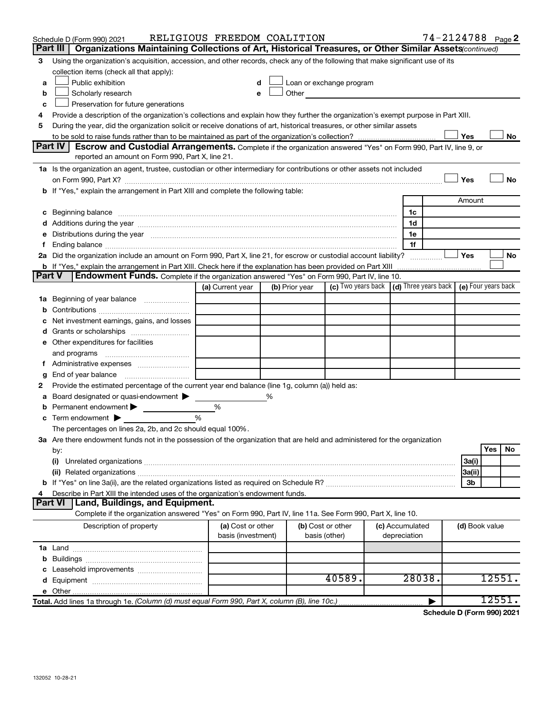|        | Schedule D (Form 990) 2021                                                                                                                                                                                                     | RELIGIOUS FREEDOM COALITION             |                |                                                                                                                                                                                                                               |                                                                 |                | 74-2124788 Page 2 |
|--------|--------------------------------------------------------------------------------------------------------------------------------------------------------------------------------------------------------------------------------|-----------------------------------------|----------------|-------------------------------------------------------------------------------------------------------------------------------------------------------------------------------------------------------------------------------|-----------------------------------------------------------------|----------------|-------------------|
|        | Part III   Organizations Maintaining Collections of Art, Historical Treasures, or Other Similar Assets (continued)                                                                                                             |                                         |                |                                                                                                                                                                                                                               |                                                                 |                |                   |
| 3      | Using the organization's acquisition, accession, and other records, check any of the following that make significant use of its                                                                                                |                                         |                |                                                                                                                                                                                                                               |                                                                 |                |                   |
|        | collection items (check all that apply):                                                                                                                                                                                       |                                         |                |                                                                                                                                                                                                                               |                                                                 |                |                   |
| a      | Public exhibition                                                                                                                                                                                                              | d                                       |                | Loan or exchange program                                                                                                                                                                                                      |                                                                 |                |                   |
| b      | Scholarly research                                                                                                                                                                                                             | e                                       |                | Other and the contract of the contract of the contract of the contract of the contract of the contract of the contract of the contract of the contract of the contract of the contract of the contract of the contract of the |                                                                 |                |                   |
| с      | Preservation for future generations                                                                                                                                                                                            |                                         |                |                                                                                                                                                                                                                               |                                                                 |                |                   |
| 4      | Provide a description of the organization's collections and explain how they further the organization's exempt purpose in Part XIII.                                                                                           |                                         |                |                                                                                                                                                                                                                               |                                                                 |                |                   |
| 5      | During the year, did the organization solicit or receive donations of art, historical treasures, or other similar assets                                                                                                       |                                         |                |                                                                                                                                                                                                                               |                                                                 |                |                   |
|        |                                                                                                                                                                                                                                |                                         |                |                                                                                                                                                                                                                               |                                                                 | Yes            | No                |
|        | <b>Part IV</b><br><b>Escrow and Custodial Arrangements.</b> Complete if the organization answered "Yes" on Form 990, Part IV, line 9, or                                                                                       |                                         |                |                                                                                                                                                                                                                               |                                                                 |                |                   |
|        | reported an amount on Form 990, Part X, line 21.                                                                                                                                                                               |                                         |                |                                                                                                                                                                                                                               |                                                                 |                |                   |
|        | 1a Is the organization an agent, trustee, custodian or other intermediary for contributions or other assets not included                                                                                                       |                                         |                |                                                                                                                                                                                                                               |                                                                 |                |                   |
|        |                                                                                                                                                                                                                                |                                         |                |                                                                                                                                                                                                                               |                                                                 | Yes            | <b>No</b>         |
|        | b If "Yes," explain the arrangement in Part XIII and complete the following table:                                                                                                                                             |                                         |                |                                                                                                                                                                                                                               |                                                                 |                |                   |
|        |                                                                                                                                                                                                                                |                                         |                |                                                                                                                                                                                                                               |                                                                 | Amount         |                   |
|        |                                                                                                                                                                                                                                |                                         |                |                                                                                                                                                                                                                               | 1c                                                              |                |                   |
|        |                                                                                                                                                                                                                                |                                         |                |                                                                                                                                                                                                                               | 1d                                                              |                |                   |
|        | e Distributions during the year manufactured and contained and contained and the year manufactured and contained and the year manufactured and contained and contained and contained and contained and contained and contained |                                         |                |                                                                                                                                                                                                                               | 1е                                                              |                |                   |
|        |                                                                                                                                                                                                                                |                                         |                |                                                                                                                                                                                                                               | 1f                                                              |                |                   |
|        | 2a Did the organization include an amount on Form 990, Part X, line 21, for escrow or custodial account liability?                                                                                                             |                                         |                |                                                                                                                                                                                                                               | .                                                               | Yes            | No                |
|        | <b>b</b> If "Yes," explain the arrangement in Part XIII. Check here if the explanation has been provided on Part XIII                                                                                                          |                                         |                |                                                                                                                                                                                                                               |                                                                 |                |                   |
| Part V | <b>Endowment Funds.</b> Complete if the organization answered "Yes" on Form 990, Part IV, line 10.                                                                                                                             |                                         |                |                                                                                                                                                                                                                               |                                                                 |                |                   |
|        |                                                                                                                                                                                                                                | (a) Current year                        | (b) Prior year |                                                                                                                                                                                                                               | (c) Two years back   (d) Three years back   (e) Four years back |                |                   |
|        |                                                                                                                                                                                                                                |                                         |                |                                                                                                                                                                                                                               |                                                                 |                |                   |
|        |                                                                                                                                                                                                                                |                                         |                |                                                                                                                                                                                                                               |                                                                 |                |                   |
|        | Net investment earnings, gains, and losses                                                                                                                                                                                     |                                         |                |                                                                                                                                                                                                                               |                                                                 |                |                   |
|        |                                                                                                                                                                                                                                |                                         |                |                                                                                                                                                                                                                               |                                                                 |                |                   |
|        | e Other expenditures for facilities                                                                                                                                                                                            |                                         |                |                                                                                                                                                                                                                               |                                                                 |                |                   |
|        |                                                                                                                                                                                                                                |                                         |                |                                                                                                                                                                                                                               |                                                                 |                |                   |
|        |                                                                                                                                                                                                                                |                                         |                |                                                                                                                                                                                                                               |                                                                 |                |                   |
| g      |                                                                                                                                                                                                                                |                                         |                |                                                                                                                                                                                                                               |                                                                 |                |                   |
| 2      | Provide the estimated percentage of the current year end balance (line 1g, column (a)) held as:                                                                                                                                |                                         |                |                                                                                                                                                                                                                               |                                                                 |                |                   |
|        | Board designated or quasi-endowment                                                                                                                                                                                            |                                         | ℅              |                                                                                                                                                                                                                               |                                                                 |                |                   |
|        | Permanent endowment                                                                                                                                                                                                            | %                                       |                |                                                                                                                                                                                                                               |                                                                 |                |                   |
|        | Term endowment $\blacktriangleright$                                                                                                                                                                                           | %                                       |                |                                                                                                                                                                                                                               |                                                                 |                |                   |
|        | The percentages on lines 2a, 2b, and 2c should equal 100%.                                                                                                                                                                     |                                         |                |                                                                                                                                                                                                                               |                                                                 |                |                   |
|        | 3a Are there endowment funds not in the possession of the organization that are held and administered for the organization                                                                                                     |                                         |                |                                                                                                                                                                                                                               |                                                                 |                |                   |
|        | by:                                                                                                                                                                                                                            |                                         |                |                                                                                                                                                                                                                               |                                                                 |                | Yes<br>No         |
|        | (i)                                                                                                                                                                                                                            |                                         |                |                                                                                                                                                                                                                               |                                                                 | 3a(i)          |                   |
|        |                                                                                                                                                                                                                                |                                         |                |                                                                                                                                                                                                                               |                                                                 | 3a(ii)         |                   |
|        |                                                                                                                                                                                                                                |                                         |                |                                                                                                                                                                                                                               |                                                                 | 3b             |                   |
|        | Describe in Part XIII the intended uses of the organization's endowment funds.                                                                                                                                                 |                                         |                |                                                                                                                                                                                                                               |                                                                 |                |                   |
|        | Land, Buildings, and Equipment.<br>Part VI                                                                                                                                                                                     |                                         |                |                                                                                                                                                                                                                               |                                                                 |                |                   |
|        | Complete if the organization answered "Yes" on Form 990, Part IV, line 11a. See Form 990, Part X, line 10.                                                                                                                     |                                         |                |                                                                                                                                                                                                                               |                                                                 |                |                   |
|        | Description of property                                                                                                                                                                                                        | (a) Cost or other<br>basis (investment) |                | (b) Cost or other<br>basis (other)                                                                                                                                                                                            | (c) Accumulated<br>depreciation                                 | (d) Book value |                   |
|        |                                                                                                                                                                                                                                |                                         |                |                                                                                                                                                                                                                               |                                                                 |                |                   |
|        |                                                                                                                                                                                                                                |                                         |                |                                                                                                                                                                                                                               |                                                                 |                |                   |
|        |                                                                                                                                                                                                                                |                                         |                |                                                                                                                                                                                                                               |                                                                 |                |                   |
|        |                                                                                                                                                                                                                                |                                         |                | 40589.                                                                                                                                                                                                                        | 28038.                                                          |                | 12551.            |
|        |                                                                                                                                                                                                                                |                                         |                |                                                                                                                                                                                                                               |                                                                 |                |                   |
|        | Total. Add lines 1a through 1e. (Column (d) must equal Form 990, Part X, column (B), line 10c.)                                                                                                                                |                                         |                |                                                                                                                                                                                                                               |                                                                 |                | 12551.            |

**Schedule D (Form 990) 2021**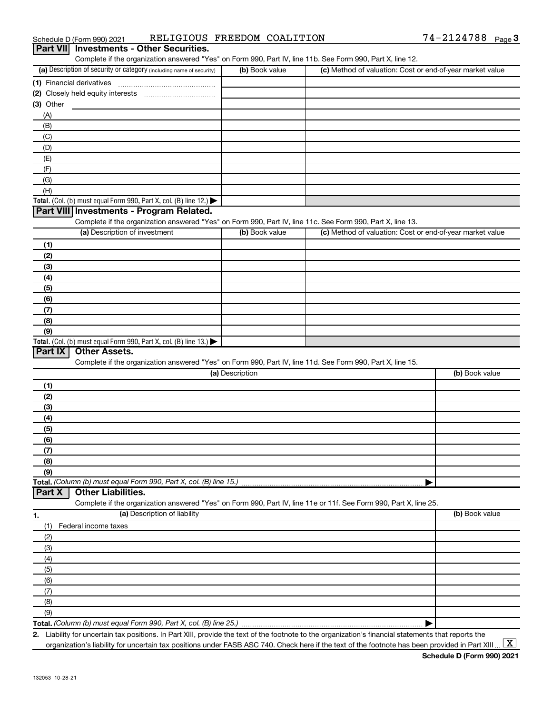| Complete if the organization answered "Yes" on Form 990, Part IV, line 11b. See Form 990, Part X, line 12.        | (b) Book value  |                                                           |                |
|-------------------------------------------------------------------------------------------------------------------|-----------------|-----------------------------------------------------------|----------------|
| (a) Description of security or category (including name of security)                                              |                 | (c) Method of valuation: Cost or end-of-year market value |                |
| (1) Financial derivatives                                                                                         |                 |                                                           |                |
|                                                                                                                   |                 |                                                           |                |
| (3) Other                                                                                                         |                 |                                                           |                |
| (A)                                                                                                               |                 |                                                           |                |
| (B)                                                                                                               |                 |                                                           |                |
| (C)                                                                                                               |                 |                                                           |                |
| (D)                                                                                                               |                 |                                                           |                |
| (E)                                                                                                               |                 |                                                           |                |
| (F)                                                                                                               |                 |                                                           |                |
| (G)                                                                                                               |                 |                                                           |                |
| (H)                                                                                                               |                 |                                                           |                |
| Total. (Col. (b) must equal Form 990, Part X, col. (B) line 12.)                                                  |                 |                                                           |                |
| Part VIII Investments - Program Related.                                                                          |                 |                                                           |                |
| Complete if the organization answered "Yes" on Form 990, Part IV, line 11c. See Form 990, Part X, line 13.        |                 |                                                           |                |
| (a) Description of investment                                                                                     | (b) Book value  | (c) Method of valuation: Cost or end-of-year market value |                |
| (1)                                                                                                               |                 |                                                           |                |
| (2)                                                                                                               |                 |                                                           |                |
| (3)                                                                                                               |                 |                                                           |                |
| (4)                                                                                                               |                 |                                                           |                |
| (5)                                                                                                               |                 |                                                           |                |
| (6)                                                                                                               |                 |                                                           |                |
| (7)                                                                                                               |                 |                                                           |                |
| (8)                                                                                                               |                 |                                                           |                |
| (9)                                                                                                               |                 |                                                           |                |
|                                                                                                                   |                 |                                                           |                |
| Total. (Col. (b) must equal Form 990, Part X, col. (B) line $13$ .)<br>Part IX<br><b>Other Assets.</b>            |                 |                                                           |                |
|                                                                                                                   |                 |                                                           |                |
| Complete if the organization answered "Yes" on Form 990, Part IV, line 11d. See Form 990, Part X, line 15.        | (a) Description |                                                           | (b) Book value |
|                                                                                                                   |                 |                                                           |                |
| (1)                                                                                                               |                 |                                                           |                |
| (2)                                                                                                               |                 |                                                           |                |
| (3)                                                                                                               |                 |                                                           |                |
| (4)                                                                                                               |                 |                                                           |                |
| (5)                                                                                                               |                 |                                                           |                |
| (6)                                                                                                               |                 |                                                           |                |
| (7)                                                                                                               |                 |                                                           |                |
| (8)                                                                                                               |                 |                                                           |                |
| (9)                                                                                                               |                 |                                                           |                |
| Total. (Column (b) must equal Form 990, Part X, col. (B) line 15.)                                                |                 |                                                           |                |
| <b>Other Liabilities.</b><br>Part X                                                                               |                 |                                                           |                |
| Complete if the organization answered "Yes" on Form 990, Part IV, line 11e or 11f. See Form 990, Part X, line 25. |                 |                                                           |                |
| (a) Description of liability                                                                                      |                 |                                                           | (b) Book value |
| (1)<br>Federal income taxes                                                                                       |                 |                                                           |                |
| (2)                                                                                                               |                 |                                                           |                |
| (3)                                                                                                               |                 |                                                           |                |
| (4)                                                                                                               |                 |                                                           |                |
| (5)                                                                                                               |                 |                                                           |                |
| (6)                                                                                                               |                 |                                                           |                |
| (7)                                                                                                               |                 |                                                           |                |
|                                                                                                                   |                 |                                                           |                |
|                                                                                                                   |                 |                                                           |                |
| (8)                                                                                                               |                 |                                                           |                |
| (9)<br>Total. (Column (b) must equal Form 990, Part X, col. (B) line 25.)                                         |                 |                                                           |                |

## Schedule D (Form 990) 2021  $\qquad$  RELIGIOUS FREEDOM COALITION  $\qquad$  74 - 2124788  $\qquad$  Page

# **Part VII Investments - Other Securities.**

organization's liability for uncertain tax positions under FASB ASC 740. Check here if the text of the footnote has been provided in Part XIII ...  $\fbox{\bf X}$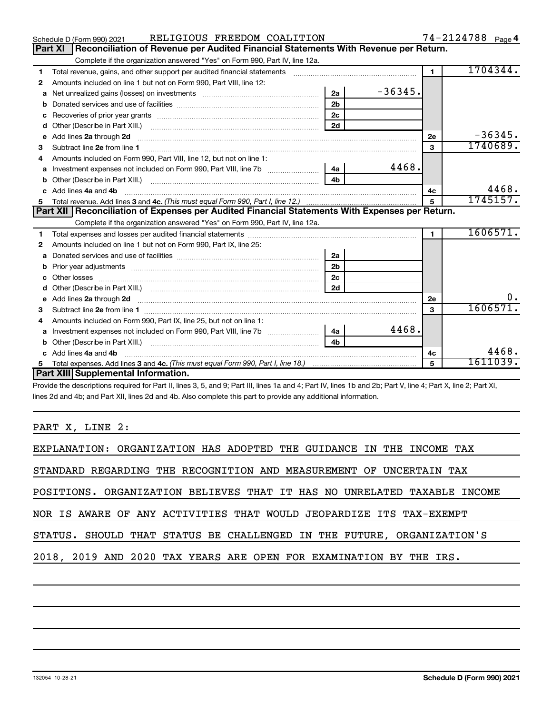|   | RELIGIOUS FREEDOM COALITION<br>Schedule D (Form 990) 2021                                                                                                                                                                            |                |           |                | 74-2124788 Page 4 |
|---|--------------------------------------------------------------------------------------------------------------------------------------------------------------------------------------------------------------------------------------|----------------|-----------|----------------|-------------------|
|   | <b>Part XI</b><br>Reconciliation of Revenue per Audited Financial Statements With Revenue per Return.                                                                                                                                |                |           |                |                   |
|   | Complete if the organization answered "Yes" on Form 990, Part IV, line 12a.                                                                                                                                                          |                |           |                |                   |
| 1 | Total revenue, gains, and other support per audited financial statements [[[[[[[[[[[[[[[[[[[[[[[[[]]]]]]]]]]]                                                                                                                        |                |           | $\mathbf{1}$   | 1704344.          |
| 2 | Amounts included on line 1 but not on Form 990, Part VIII, line 12:                                                                                                                                                                  |                |           |                |                   |
| a | Net unrealized gains (losses) on investments [111] [12] matter contracts and a new metal-                                                                                                                                            | 2a             | $-36345.$ |                |                   |
| b |                                                                                                                                                                                                                                      | 2 <sub>b</sub> |           |                |                   |
| C |                                                                                                                                                                                                                                      | 2c             |           |                |                   |
| d | Other (Describe in Part XIII.)                                                                                                                                                                                                       |                |           |                |                   |
| e | Add lines 2a through 2d <b>[10]</b> University of the state of the state of the state of the state of the state of the state of the state of the state of the state of the state of the state of the state of the state of the stat  |                |           | 2e             | $-36345.$         |
| З |                                                                                                                                                                                                                                      |                |           | 3              | 1740689.          |
|   | Amounts included on Form 990, Part VIII, line 12, but not on line 1:                                                                                                                                                                 |                |           |                |                   |
| a |                                                                                                                                                                                                                                      |                | 4468.     |                |                   |
| b |                                                                                                                                                                                                                                      | 4 <sub>b</sub> |           |                |                   |
| C | Add lines 4a and 4b                                                                                                                                                                                                                  |                |           | 4c             | 4468.             |
| 5 |                                                                                                                                                                                                                                      |                |           | 5              | 1745157.          |
|   | Part XII Reconciliation of Expenses per Audited Financial Statements With Expenses per Return.                                                                                                                                       |                |           |                |                   |
|   | Complete if the organization answered "Yes" on Form 990, Part IV, line 12a.                                                                                                                                                          |                |           |                |                   |
| 1 |                                                                                                                                                                                                                                      |                |           | $\blacksquare$ | 1606571.          |
| 2 | Amounts included on line 1 but not on Form 990, Part IX, line 25:                                                                                                                                                                    |                |           |                |                   |
| a |                                                                                                                                                                                                                                      | 2a             |           |                |                   |
| b |                                                                                                                                                                                                                                      | 2 <sub>b</sub> |           |                |                   |
| C |                                                                                                                                                                                                                                      | 2 <sub>c</sub> |           |                |                   |
|   |                                                                                                                                                                                                                                      |                |           |                |                   |
| е | Add lines 2a through 2d <b>minimum contained a contract of the contract of the contract of the contract of the contract of the contract of the contract of the contract of the contract of the contract of the contract of the c</b> |                |           | 2е             |                   |
| 3 | Subtract line 2e from line 1                                                                                                                                                                                                         |                |           | 3              | 1606571           |
| 4 | Amounts included on Form 990, Part IX, line 25, but not on line 1:                                                                                                                                                                   |                |           |                |                   |
| a |                                                                                                                                                                                                                                      |                | 4468.     |                |                   |
| b |                                                                                                                                                                                                                                      | 4b             |           |                |                   |
|   | Add lines 4a and 4b                                                                                                                                                                                                                  |                |           | 4c             | 4468.             |
| 5 |                                                                                                                                                                                                                                      |                |           | 5              | <u> 1611039.</u>  |
|   | <b>Part XIII Supplemental Information.</b>                                                                                                                                                                                           |                |           |                |                   |

Provide the descriptions required for Part II, lines 3, 5, and 9; Part III, lines 1a and 4; Part IV, lines 1b and 2b; Part V, line 4; Part X, line 2; Part XI, lines 2d and 4b; and Part XII, lines 2d and 4b. Also complete this part to provide any additional information.

# PART X, LINE 2:

| EXPLANATION: ORGANIZATION HAS ADOPTED THE GUIDANCE IN THE INCOME TAX     |
|--------------------------------------------------------------------------|
| STANDARD REGARDING THE RECOGNITION AND MEASUREMENT OF UNCERTAIN TAX      |
| POSITIONS. ORGANIZATION BELIEVES THAT IT HAS NO UNRELATED TAXABLE INCOME |
| NOR IS AWARE OF ANY ACTIVITIES THAT WOULD JEOPARDIZE ITS TAX-EXEMPT      |
| STATUS. SHOULD THAT STATUS BE CHALLENGED IN THE FUTURE, ORGANIZATION'S   |
| 2018, 2019 AND 2020 TAX YEARS ARE OPEN FOR EXAMINATION BY THE IRS.       |
|                                                                          |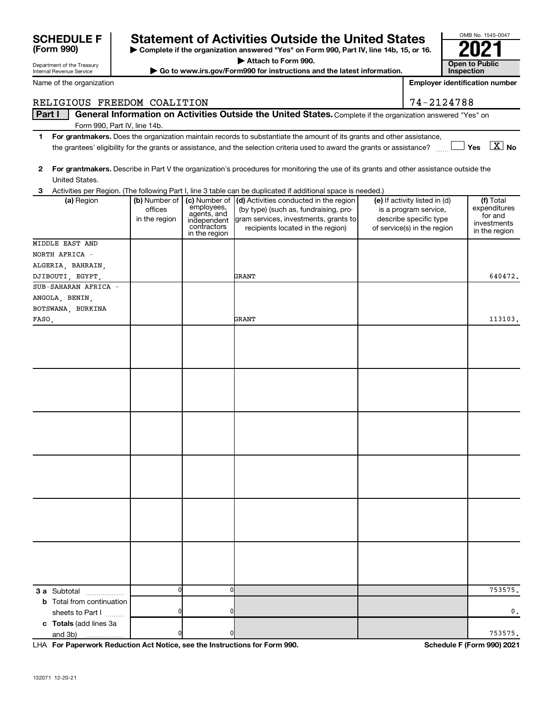| (b) Number of<br>offices<br>in the region | employees,<br>agents, and<br>independent<br>contractors<br>in the region | (c) Number of $\vert$ (d) Activities conducted in the region<br>(by type) (such as, fundraising, pro-<br>gram services, investments, grants to<br>recipients located in the region)<br>GRANT<br>GRANT | (e) If activity listed in (d)<br>is a program service,<br>describe specific type<br>of service(s) in the region | (f) Total<br>expenditures<br>for and<br>investments<br>in the region<br>640472.<br>113103.               |
|-------------------------------------------|--------------------------------------------------------------------------|-------------------------------------------------------------------------------------------------------------------------------------------------------------------------------------------------------|-----------------------------------------------------------------------------------------------------------------|----------------------------------------------------------------------------------------------------------|
|                                           |                                                                          |                                                                                                                                                                                                       |                                                                                                                 |                                                                                                          |
|                                           |                                                                          |                                                                                                                                                                                                       |                                                                                                                 |                                                                                                          |
|                                           |                                                                          |                                                                                                                                                                                                       |                                                                                                                 |                                                                                                          |
|                                           |                                                                          |                                                                                                                                                                                                       |                                                                                                                 |                                                                                                          |
|                                           |                                                                          |                                                                                                                                                                                                       |                                                                                                                 |                                                                                                          |
|                                           |                                                                          |                                                                                                                                                                                                       |                                                                                                                 |                                                                                                          |
|                                           |                                                                          |                                                                                                                                                                                                       |                                                                                                                 |                                                                                                          |
|                                           |                                                                          |                                                                                                                                                                                                       |                                                                                                                 |                                                                                                          |
|                                           |                                                                          |                                                                                                                                                                                                       |                                                                                                                 |                                                                                                          |
|                                           |                                                                          |                                                                                                                                                                                                       |                                                                                                                 |                                                                                                          |
|                                           |                                                                          |                                                                                                                                                                                                       |                                                                                                                 |                                                                                                          |
|                                           |                                                                          |                                                                                                                                                                                                       |                                                                                                                 |                                                                                                          |
|                                           |                                                                          |                                                                                                                                                                                                       |                                                                                                                 |                                                                                                          |
|                                           |                                                                          |                                                                                                                                                                                                       |                                                                                                                 |                                                                                                          |
|                                           |                                                                          |                                                                                                                                                                                                       |                                                                                                                 |                                                                                                          |
|                                           |                                                                          |                                                                                                                                                                                                       |                                                                                                                 |                                                                                                          |
|                                           |                                                                          |                                                                                                                                                                                                       |                                                                                                                 |                                                                                                          |
| $\mathbf 0$                               |                                                                          |                                                                                                                                                                                                       |                                                                                                                 | 753575.                                                                                                  |
| 0                                         |                                                                          |                                                                                                                                                                                                       |                                                                                                                 | 0.                                                                                                       |
| 0                                         |                                                                          |                                                                                                                                                                                                       |                                                                                                                 | 753575.                                                                                                  |
|                                           |                                                                          |                                                                                                                                                                                                       | ol<br>0<br>0                                                                                                    | LHA For Paperwork Reduction Act Notice, see the Instructions for Form 990.<br>Schedule F (Form 990) 2021 |

- **1 For grantmakers.**  Does the organization maintain records to substantiate the amount of its grants and other assistance, **Yes No** the grantees' eligibility for the grants or assistance, and the selection criteria used to award the grants or assistance? ~~ † † X
- 
- Part I | General Information on Activities Outside the United States. Complete if the organization answered "Yes" on Form 990, Part IV, line 14b. RELIGIOUS FREEDOM COALITION 74-2124788

# **SCHEDULE F Statement of Activities Outside the United States 2021**

**| Complete if the organization answered "Yes" on Form 990, Part IV, line 14b, 15, or 16. | Attach to Form 990.**

**| Go to www.irs.gov/Form990 for instructions and the latest information. Open to Public** 

**Employer identification number**

**(Form 990)**

Department of the Treasury Internal Revenue Service

Name of the organization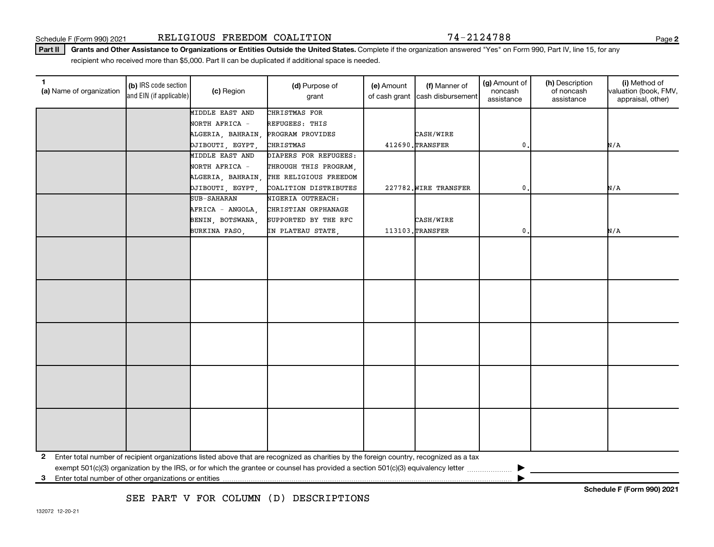Part II | Grants and Other Assistance to Organizations or Entities Outside the United States. Complete if the organization answered "Yes" on Form 990, Part IV, line 15, for any recipient who received more than \$5,000. Part II can be duplicated if additional space is needed.

| $\mathbf{1}$<br>(a) Name of organization                   | (b) IRS code section<br>and EIN (if applicable) | (c) Region        | (d) Purpose of<br>grant                                                                                                                 | (e) Amount<br>of cash grant | (f) Manner of<br>cash disbursement | (g) Amount of<br>noncash<br>assistance | (h) Description<br>of noncash<br>assistance | (i) Method of<br>valuation (book, FMV,<br>appraisal, other) |
|------------------------------------------------------------|-------------------------------------------------|-------------------|-----------------------------------------------------------------------------------------------------------------------------------------|-----------------------------|------------------------------------|----------------------------------------|---------------------------------------------|-------------------------------------------------------------|
|                                                            |                                                 | MIDDLE EAST AND   | CHRISTMAS FOR                                                                                                                           |                             |                                    |                                        |                                             |                                                             |
|                                                            |                                                 | NORTH AFRICA -    | REFUGEES: THIS                                                                                                                          |                             |                                    |                                        |                                             |                                                             |
|                                                            |                                                 | ALGERIA, BAHRAIN, | PROGRAM PROVIDES                                                                                                                        |                             | CASH/WIRE                          |                                        |                                             |                                                             |
|                                                            |                                                 | DJIBOUTI, EGYPT,  | <b>CHRISTMAS</b>                                                                                                                        |                             | 412690.TRANSFER                    | 0.                                     |                                             | N/A                                                         |
|                                                            |                                                 | MIDDLE EAST AND   | DIAPERS FOR REFUGEES:                                                                                                                   |                             |                                    |                                        |                                             |                                                             |
|                                                            |                                                 | NORTH AFRICA -    | THROUGH THIS PROGRAM,                                                                                                                   |                             |                                    |                                        |                                             |                                                             |
|                                                            |                                                 | ALGERIA, BAHRAIN, | THE RELIGIOUS FREEDOM                                                                                                                   |                             |                                    |                                        |                                             |                                                             |
|                                                            |                                                 | DJIBOUTI, EGYPT,  | COALITION DISTRIBUTES                                                                                                                   |                             | 227782. WIRE TRANSFER              | $\mathbf{0}$ .                         |                                             | N/A                                                         |
|                                                            |                                                 | SUB-SAHARAN       | NIGERIA OUTREACH:                                                                                                                       |                             |                                    |                                        |                                             |                                                             |
|                                                            |                                                 | AFRICA - ANGOLA,  | CHRISTIAN ORPHANAGE                                                                                                                     |                             |                                    |                                        |                                             |                                                             |
|                                                            |                                                 | BENIN, BOTSWANA,  | SUPPORTED BY THE RFC                                                                                                                    |                             | CASH/WIRE                          |                                        |                                             |                                                             |
|                                                            |                                                 | BURKINA FASO,     | IN PLATEAU STATE,                                                                                                                       |                             | 113103.TRANSFER                    | 0                                      |                                             | N/A                                                         |
|                                                            |                                                 |                   |                                                                                                                                         |                             |                                    |                                        |                                             |                                                             |
|                                                            |                                                 |                   |                                                                                                                                         |                             |                                    |                                        |                                             |                                                             |
|                                                            |                                                 |                   |                                                                                                                                         |                             |                                    |                                        |                                             |                                                             |
|                                                            |                                                 |                   |                                                                                                                                         |                             |                                    |                                        |                                             |                                                             |
|                                                            |                                                 |                   |                                                                                                                                         |                             |                                    |                                        |                                             |                                                             |
|                                                            |                                                 |                   |                                                                                                                                         |                             |                                    |                                        |                                             |                                                             |
|                                                            |                                                 |                   |                                                                                                                                         |                             |                                    |                                        |                                             |                                                             |
|                                                            |                                                 |                   |                                                                                                                                         |                             |                                    |                                        |                                             |                                                             |
|                                                            |                                                 |                   |                                                                                                                                         |                             |                                    |                                        |                                             |                                                             |
|                                                            |                                                 |                   |                                                                                                                                         |                             |                                    |                                        |                                             |                                                             |
|                                                            |                                                 |                   |                                                                                                                                         |                             |                                    |                                        |                                             |                                                             |
|                                                            |                                                 |                   |                                                                                                                                         |                             |                                    |                                        |                                             |                                                             |
|                                                            |                                                 |                   |                                                                                                                                         |                             |                                    |                                        |                                             |                                                             |
|                                                            |                                                 |                   |                                                                                                                                         |                             |                                    |                                        |                                             |                                                             |
|                                                            |                                                 |                   |                                                                                                                                         |                             |                                    |                                        |                                             |                                                             |
|                                                            |                                                 |                   |                                                                                                                                         |                             |                                    |                                        |                                             |                                                             |
|                                                            |                                                 |                   |                                                                                                                                         |                             |                                    |                                        |                                             |                                                             |
|                                                            |                                                 |                   |                                                                                                                                         |                             |                                    |                                        |                                             |                                                             |
|                                                            |                                                 |                   |                                                                                                                                         |                             |                                    |                                        |                                             |                                                             |
|                                                            |                                                 |                   |                                                                                                                                         |                             |                                    |                                        |                                             |                                                             |
| 2                                                          |                                                 |                   | Enter total number of recipient organizations listed above that are recognized as charities by the foreign country, recognized as a tax |                             |                                    |                                        |                                             |                                                             |
|                                                            |                                                 |                   |                                                                                                                                         |                             |                                    |                                        |                                             |                                                             |
| Enter total number of other organizations or entities<br>3 |                                                 |                   |                                                                                                                                         |                             |                                    |                                        |                                             |                                                             |

SEE PART V FOR COLUMN (D) DESCRIPTIONS

**Schedule F (Form 990) 2021**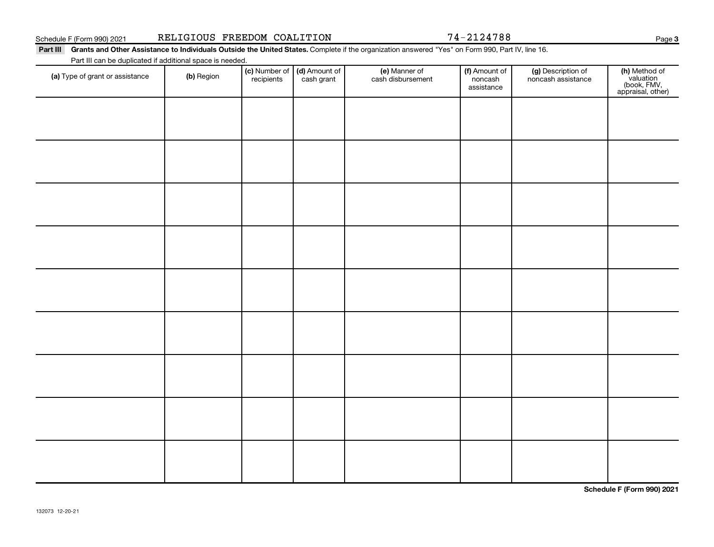74-2124788

**3**

Part III Grants and Other Assistance to Individuals Outside the United States. Complete if the organization answered "Yes" on Form 990, Part IV, line 16. Part III can be duplicated if additional space is needed.

| r art in carr be duplicated in additional space is riceded.<br>(a) Type of grant or assistance | (b) Region | recipients | (c) Number of $\vert$ (d) Amount of $\vert$<br>cash grant | (e) Manner of<br>cash disbursement | (f) Amount of<br>noncash<br>assistance | (g) Description of<br>noncash assistance | (h) Method of<br>valuation<br>(book, FMV,<br>appraisal, other) |
|------------------------------------------------------------------------------------------------|------------|------------|-----------------------------------------------------------|------------------------------------|----------------------------------------|------------------------------------------|----------------------------------------------------------------|
|                                                                                                |            |            |                                                           |                                    |                                        |                                          |                                                                |
|                                                                                                |            |            |                                                           |                                    |                                        |                                          |                                                                |
|                                                                                                |            |            |                                                           |                                    |                                        |                                          |                                                                |
|                                                                                                |            |            |                                                           |                                    |                                        |                                          |                                                                |
|                                                                                                |            |            |                                                           |                                    |                                        |                                          |                                                                |
|                                                                                                |            |            |                                                           |                                    |                                        |                                          |                                                                |
|                                                                                                |            |            |                                                           |                                    |                                        |                                          |                                                                |
|                                                                                                |            |            |                                                           |                                    |                                        |                                          |                                                                |
|                                                                                                |            |            |                                                           |                                    |                                        |                                          |                                                                |
|                                                                                                |            |            |                                                           |                                    |                                        |                                          |                                                                |

**Schedule F (Form 990) 2021**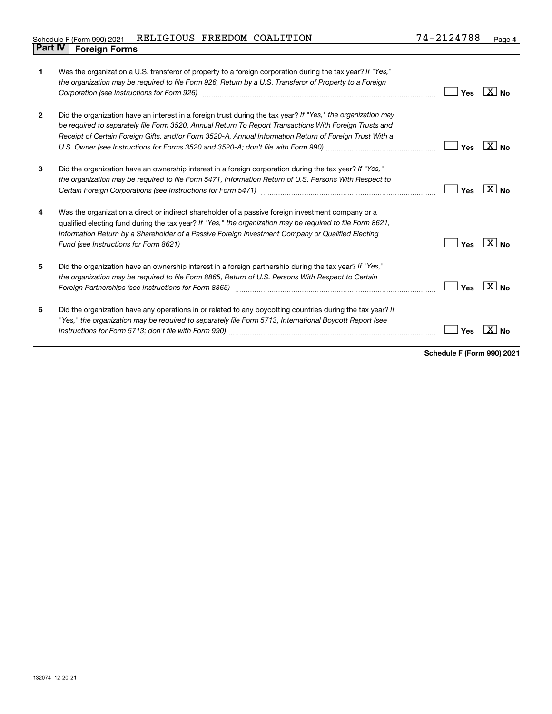### Schedule F (Form 990) 2021 RELIGIOUS FREEDOM COALITION 74-2124788 Page **Part IV F** (Form 990) 2021 **I**<br>**Part IV Foreign Forms**

| $\mathbf{1}$ | Was the organization a U.S. transferor of property to a foreign corporation during the tax year? If "Yes,"<br>the organization may be required to file Form 926, Return by a U.S. Transferor of Property to a Foreign<br>Corporation (see Instructions for Form 926) manufactured control and the control of the control of the control of the control of the control of the control of the control of the control of the control of the control of the | Yes | $X _{N_{\Omega}}$ |
|--------------|---------------------------------------------------------------------------------------------------------------------------------------------------------------------------------------------------------------------------------------------------------------------------------------------------------------------------------------------------------------------------------------------------------------------------------------------------------|-----|-------------------|
| $\mathbf{2}$ | Did the organization have an interest in a foreign trust during the tax year? If "Yes," the organization may<br>be required to separately file Form 3520, Annual Return To Report Transactions With Foreign Trusts and<br>Receipt of Certain Foreign Gifts, and/or Form 3520-A, Annual Information Return of Foreign Trust With a                                                                                                                       | Yes | ΧI<br><b>No</b>   |
| 3            | Did the organization have an ownership interest in a foreign corporation during the tax year? If "Yes,"<br>the organization may be required to file Form 5471, Information Return of U.S. Persons With Respect to<br>Certain Foreign Corporations (see Instructions for Form 5471) [11] [12] Certain Foreign Corporations (see Instructions for Form 5471)                                                                                              | Yes | ΧI<br><b>No</b>   |
| 4            | Was the organization a direct or indirect shareholder of a passive foreign investment company or a<br>qualified electing fund during the tax year? If "Yes," the organization may be required to file Form 8621,<br>Information Return by a Shareholder of a Passive Foreign Investment Company or Qualified Electing                                                                                                                                   | Yes | ΧI<br><b>No</b>   |
| 5            | Did the organization have an ownership interest in a foreign partnership during the tax year? If "Yes,"<br>the organization may be required to file Form 8865, Return of U.S. Persons With Respect to Certain<br>Foreign Partnerships (see Instructions for Form 8865)                                                                                                                                                                                  | Yes | ΧI<br><b>No</b>   |
| 6            | Did the organization have any operations in or related to any boycotting countries during the tax year? If<br>"Yes," the organization may be required to separately file Form 5713, International Boycott Report (see                                                                                                                                                                                                                                   | Yes |                   |

**Schedule F (Form 990) 2021**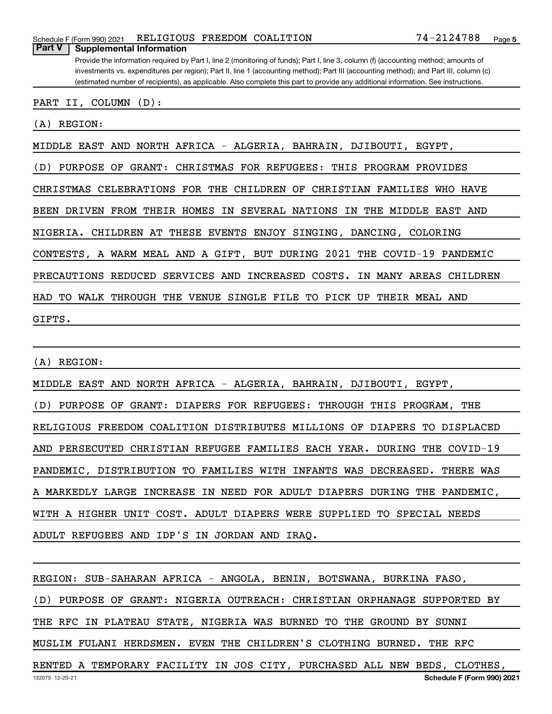| RELIGIOUS FREEDOM COALITION<br>Schedule F (Form 990) 2021                                                                             | 74-2124788             | Page 5 |
|---------------------------------------------------------------------------------------------------------------------------------------|------------------------|--------|
| <b>Supplemental Information</b><br><b>Part V</b>                                                                                      |                        |        |
| Provide the information required by Part I, line 2 (monitoring of funds); Part I, line 3, column (f) (accounting method; amounts of   |                        |        |
| investments vs. expenditures per region); Part II, line 1 (accounting method); Part III (accounting method); and Part III, column (c) |                        |        |
| (estimated number of recipients), as applicable. Also complete this part to provide any additional information. See instructions.     |                        |        |
| PART II, COLUMN (D):                                                                                                                  |                        |        |
| REGION:<br>(A)                                                                                                                        |                        |        |
| MIDDLE EAST AND NORTH AFRICA - ALGERIA, BAHRAIN, DJIBOUTI, EGYPT,                                                                     |                        |        |
| PURPOSE OF GRANT: CHRISTMAS FOR REFUGEES: THIS PROGRAM PROVIDES<br>(D)                                                                |                        |        |
| CHRISTMAS CELEBRATIONS FOR THE CHILDREN OF CHRISTIAN FAMILIES WHO HAVE                                                                |                        |        |
| BEEN DRIVEN FROM THEIR HOMES IN SEVERAL NATIONS                                                                                       | IN THE MIDDLE EAST AND |        |
| NIGERIA. CHILDREN AT THESE EVENTS ENJOY SINGING, DANCING, COLORING                                                                    |                        |        |
| CONTESTS, A WARM MEAL AND A GIFT, BUT DURING 2021                                                                                     | THE COVID-19 PANDEMIC  |        |
| PRECAUTIONS REDUCED SERVICES AND INCREASED COSTS.                                                                                     | IN MANY AREAS CHILDREN |        |
| HAD TO WALK THROUGH THE VENUE SINGLE FILE TO PICK UP                                                                                  | THEIR MEAL AND         |        |
| GIFTS.                                                                                                                                |                        |        |

(A) REGION:

MIDDLE EAST AND NORTH AFRICA - ALGERIA, BAHRAIN, DJIBOUTI, EGYPT, (D) PURPOSE OF GRANT: DIAPERS FOR REFUGEES: THROUGH THIS PROGRAM, THE RELIGIOUS FREEDOM COALITION DISTRIBUTES MILLIONS OF DIAPERS TO DISPLACED AND PERSECUTED CHRISTIAN REFUGEE FAMILIES EACH YEAR. DURING THE COVID-19 PANDEMIC, DISTRIBUTION TO FAMILIES WITH INFANTS WAS DECREASED. THERE WAS A MARKEDLY LARGE INCREASE IN NEED FOR ADULT DIAPERS DURING THE PANDEMIC, WITH A HIGHER UNIT COST. ADULT DIAPERS WERE SUPPLIED TO SPECIAL NEEDS ADULT REFUGEES AND IDP'S IN JORDAN AND IRAQ.

132075 12-20-21 **Schedule F (Form 990) 2021** REGION: SUB-SAHARAN AFRICA - ANGOLA, BENIN, BOTSWANA, BURKINA FASO, (D) PURPOSE OF GRANT: NIGERIA OUTREACH: CHRISTIAN ORPHANAGE SUPPORTED BY THE RFC IN PLATEAU STATE, NIGERIA WAS BURNED TO THE GROUND BY SUNNI MUSLIM FULANI HERDSMEN. EVEN THE CHILDREN'S CLOTHING BURNED. THE RFC RENTED A TEMPORARY FACILITY IN JOS CITY, PURCHASED ALL NEW BEDS, CLOTHES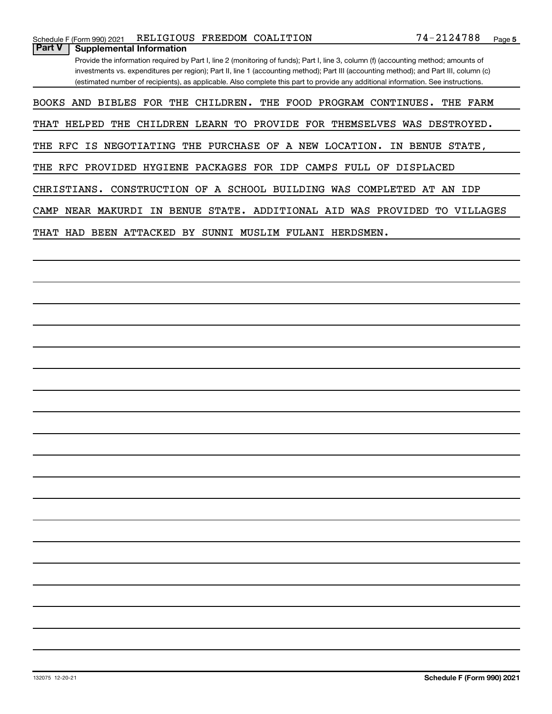| RELIGIOUS FREEDOM COALITION<br>Schedule F (Form 990) 2021                                                                                                                        | 74-2124788      | Page 5 |
|----------------------------------------------------------------------------------------------------------------------------------------------------------------------------------|-----------------|--------|
| Part V<br><b>Supplemental Information</b><br>Provide the information required by Part I, line 2 (monitoring of funds); Part I, line 3, column (f) (accounting method; amounts of |                 |        |
| investments vs. expenditures per region); Part II, line 1 (accounting method); Part III (accounting method); and Part III, column (c)                                            |                 |        |
| (estimated number of recipients), as applicable. Also complete this part to provide any additional information. See instructions.                                                |                 |        |
| BOOKS AND BIBLES FOR THE CHILDREN. THE FOOD PROGRAM CONTINUES. THE FARM                                                                                                          |                 |        |
| THE CHILDREN LEARN TO PROVIDE FOR THEMSELVES WAS DESTROYED.<br>THAT HELPED                                                                                                       |                 |        |
| THE RFC IS NEGOTIATING THE PURCHASE OF A NEW LOCATION.                                                                                                                           | IN BENUE STATE, |        |
| THE RFC PROVIDED HYGIENE PACKAGES FOR IDP CAMPS FULL OF DISPLACED                                                                                                                |                 |        |
| CONSTRUCTION OF A SCHOOL BUILDING WAS COMPLETED AT AN IDP<br>CHRISTIANS.                                                                                                         |                 |        |
| NEAR MAKURDI IN BENUE STATE. ADDITIONAL AID WAS PROVIDED TO VILLAGES<br>CAMP                                                                                                     |                 |        |
| THAT HAD BEEN ATTACKED BY SUNNI MUSLIM FULANI HERDSMEN.                                                                                                                          |                 |        |
|                                                                                                                                                                                  |                 |        |
|                                                                                                                                                                                  |                 |        |
|                                                                                                                                                                                  |                 |        |
|                                                                                                                                                                                  |                 |        |
|                                                                                                                                                                                  |                 |        |
|                                                                                                                                                                                  |                 |        |
|                                                                                                                                                                                  |                 |        |
|                                                                                                                                                                                  |                 |        |
|                                                                                                                                                                                  |                 |        |
|                                                                                                                                                                                  |                 |        |
|                                                                                                                                                                                  |                 |        |
|                                                                                                                                                                                  |                 |        |
|                                                                                                                                                                                  |                 |        |
|                                                                                                                                                                                  |                 |        |
|                                                                                                                                                                                  |                 |        |
|                                                                                                                                                                                  |                 |        |
|                                                                                                                                                                                  |                 |        |
|                                                                                                                                                                                  |                 |        |
|                                                                                                                                                                                  |                 |        |
|                                                                                                                                                                                  |                 |        |
|                                                                                                                                                                                  |                 |        |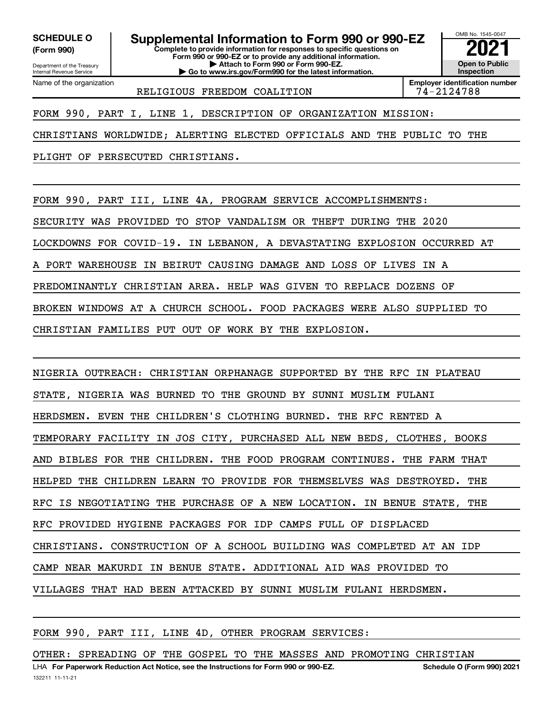**(Form 990)**

Department of the Treasury Internal Revenue Service

Name of the organization

**Complete to provide information for responses to specific questions on Form 990 or 990-EZ or to provide any additional information. SCHEDULE O Supplemental Information to Form 990 or 990-EZ**  $\frac{100000}{2}$ 

**| Attach to Form 990 or Form 990-EZ. | Go to www.irs.gov/Form990 for the latest information.**

**Open to Public Inspection Employer identification number**

OMB No. 1545-0047

RELIGIOUS FREEDOM COALITION 74-2124788

FORM 990, PART I, LINE 1, DESCRIPTION OF ORGANIZATION MISSION:

CHRISTIANS WORLDWIDE; ALERTING ELECTED OFFICIALS AND THE PUBLIC TO THE

PLIGHT OF PERSECUTED CHRISTIANS.

FORM 990, PART III, LINE 4A, PROGRAM SERVICE ACCOMPLISHMENTS:

SECURITY WAS PROVIDED TO STOP VANDALISM OR THEFT DURING THE 2020

LOCKDOWNS FOR COVID-19. IN LEBANON, A DEVASTATING EXPLOSION OCCURRED AT

A PORT WAREHOUSE IN BEIRUT CAUSING DAMAGE AND LOSS OF LIVES IN A

PREDOMINANTLY CHRISTIAN AREA. HELP WAS GIVEN TO REPLACE DOZENS OF

BROKEN WINDOWS AT A CHURCH SCHOOL. FOOD PACKAGES WERE ALSO SUPPLIED TO

CHRISTIAN FAMILIES PUT OUT OF WORK BY THE EXPLOSION.

NIGERIA OUTREACH: CHRISTIAN ORPHANAGE SUPPORTED BY THE RFC IN PLATEAU

STATE, NIGERIA WAS BURNED TO THE GROUND BY SUNNI MUSLIM FULANI

HERDSMEN. EVEN THE CHILDREN'S CLOTHING BURNED. THE RFC RENTED A

TEMPORARY FACILITY IN JOS CITY, PURCHASED ALL NEW BEDS, CLOTHES, BOOKS

AND BIBLES FOR THE CHILDREN. THE FOOD PROGRAM CONTINUES. THE FARM THAT

HELPED THE CHILDREN LEARN TO PROVIDE FOR THEMSELVES WAS DESTROYED. THE

RFC IS NEGOTIATING THE PURCHASE OF A NEW LOCATION. IN BENUE STATE, THE

RFC PROVIDED HYGIENE PACKAGES FOR IDP CAMPS FULL OF DISPLACED

CHRISTIANS. CONSTRUCTION OF A SCHOOL BUILDING WAS COMPLETED AT AN IDP

CAMP NEAR MAKURDI IN BENUE STATE. ADDITIONAL AID WAS PROVIDED TO

VILLAGES THAT HAD BEEN ATTACKED BY SUNNI MUSLIM FULANI HERDSMEN.

FORM 990, PART III, LINE 4D, OTHER PROGRAM SERVICES:

OTHER: SPREADING OF THE GOSPEL TO THE MASSES AND PROMOTING CHRISTIAN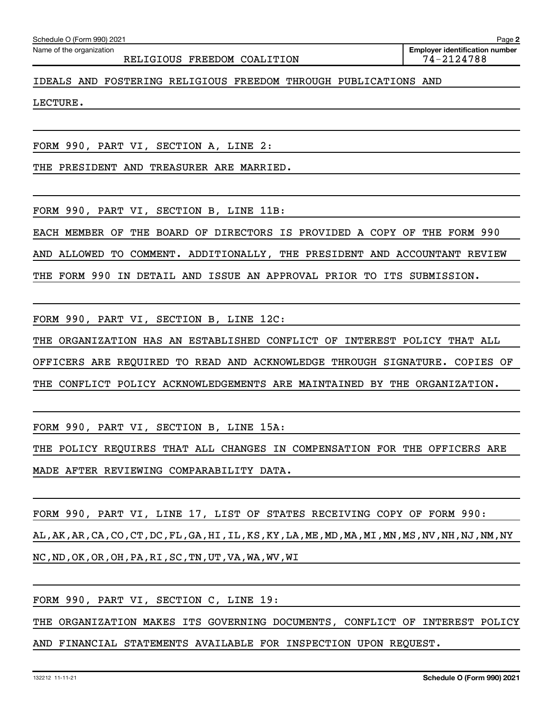Name of the organization

RELIGIOUS FREEDOM COALITION 74-2124788

**Employer identification number**

#### IDEALS AND FOSTERING RELIGIOUS FREEDOM THROUGH PUBLICATIONS AND

LECTURE.

FORM 990, PART VI, SECTION A, LINE 2:

THE PRESIDENT AND TREASURER ARE MARRIED.

FORM 990, PART VI, SECTION B, LINE 11B:

EACH MEMBER OF THE BOARD OF DIRECTORS IS PROVIDED A COPY OF THE FORM 990 AND ALLOWED TO COMMENT. ADDITIONALLY, THE PRESIDENT AND ACCOUNTANT REVIEW THE FORM 990 IN DETAIL AND ISSUE AN APPROVAL PRIOR TO ITS SUBMISSION.

FORM 990, PART VI, SECTION B, LINE 12C:

THE ORGANIZATION HAS AN ESTABLISHED CONFLICT OF INTEREST POLICY THAT ALL OFFICERS ARE REQUIRED TO READ AND ACKNOWLEDGE THROUGH SIGNATURE. COPIES OF THE CONFLICT POLICY ACKNOWLEDGEMENTS ARE MAINTAINED BY THE ORGANIZATION.

FORM 990, PART VI, SECTION B, LINE 15A:

THE POLICY REQUIRES THAT ALL CHANGES IN COMPENSATION FOR THE OFFICERS ARE MADE AFTER REVIEWING COMPARABILITY DATA.

FORM 990, PART VI, LINE 17, LIST OF STATES RECEIVING COPY OF FORM 990: AL,AK,AR,CA,CO,CT,DC,FL,GA,HI,IL,KS,KY,LA,ME,MD,MA,MI,MN,MS,NV,NH,NJ,NM,NY NC,ND,OK,OR,OH,PA,RI,SC,TN,UT,VA,WA,WV,WI

FORM 990, PART VI, SECTION C, LINE 19:

THE ORGANIZATION MAKES ITS GOVERNING DOCUMENTS, CONFLICT OF INTEREST POLICY AND FINANCIAL STATEMENTS AVAILABLE FOR INSPECTION UPON REQUEST.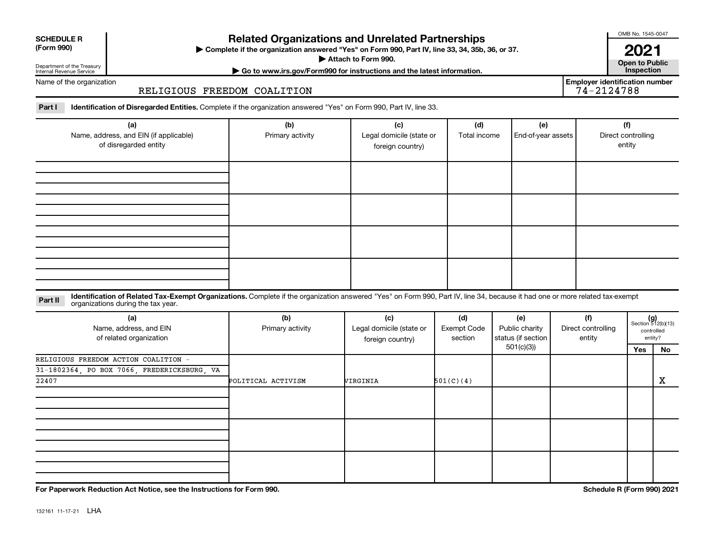| <b>SCHEDULE R</b> |  |
|-------------------|--|
|                   |  |

# Department of the Treasury Internal Revenue Service

# **Related Organizations and Unrelated Partnerships**

**(Form 990) Complete if the organization answered "Yes" on Form 990, Part IV, line 33, 34, 35b, 36, or 37.** |

▶ Attach to Form 990. **Open to Public** 

**2021**<br>Open to Public

**Employer identification number**

OMB No. 1545-0047

**| Go to www.irs.gov/Form990 for instructions and the latest information. Inspection**

Name of the organization

### RELIGIOUS FREEDOM COALITION

Part I ldentification of Disregarded Entities. Complete if the organization answered "Yes" on Form 990, Part IV, line 33.

| (a)<br>Name, address, and EIN (if applicable)<br>of disregarded entity | (b)<br>Primary activity | (c)<br>Legal domicile (state or<br>foreign country) | (d)<br>Total income | (e)<br>End-of-year assets | (f)<br>Direct controlling<br>entity |
|------------------------------------------------------------------------|-------------------------|-----------------------------------------------------|---------------------|---------------------------|-------------------------------------|
|                                                                        |                         |                                                     |                     |                           |                                     |
|                                                                        |                         |                                                     |                     |                           |                                     |
|                                                                        |                         |                                                     |                     |                           |                                     |
|                                                                        |                         |                                                     |                     |                           |                                     |

#### **Part II** Identification of Related Tax-Exempt Organizations. Complete if the organization answered "Yes" on Form 990, Part IV, line 34, because it had one or more related tax-exempt<br>Part II acconizations during the tax ye organizations during the tax year.

| (a)<br>Name, address, and EIN<br>of related organization | (b)<br>Primary activity | (c)<br>Legal domicile (state or<br>foreign country) | (d)<br><b>Exempt Code</b><br>section | (e)<br>Public charity<br>status (if section | (f)<br>Direct controlling<br>entity |     | $(g)$<br>Section 512(b)(13)<br>controlled<br>entity? |  |
|----------------------------------------------------------|-------------------------|-----------------------------------------------------|--------------------------------------|---------------------------------------------|-------------------------------------|-----|------------------------------------------------------|--|
|                                                          |                         |                                                     |                                      | 501(c)(3))                                  |                                     | Yes | No                                                   |  |
| RELIGIOUS FREEDOM ACTION COALITION -                     |                         |                                                     |                                      |                                             |                                     |     |                                                      |  |
| 31-1802364, PO BOX 7066, FREDERICKSBURG, VA              |                         |                                                     |                                      |                                             |                                     |     |                                                      |  |
| 22407                                                    | POLITICAL ACTIVISM      | VIRGINIA                                            | 501(C)(4)                            |                                             |                                     |     | X                                                    |  |
|                                                          |                         |                                                     |                                      |                                             |                                     |     |                                                      |  |
|                                                          |                         |                                                     |                                      |                                             |                                     |     |                                                      |  |
|                                                          |                         |                                                     |                                      |                                             |                                     |     |                                                      |  |

**For Paperwork Reduction Act Notice, see the Instructions for Form 990. Schedule R (Form 990) 2021**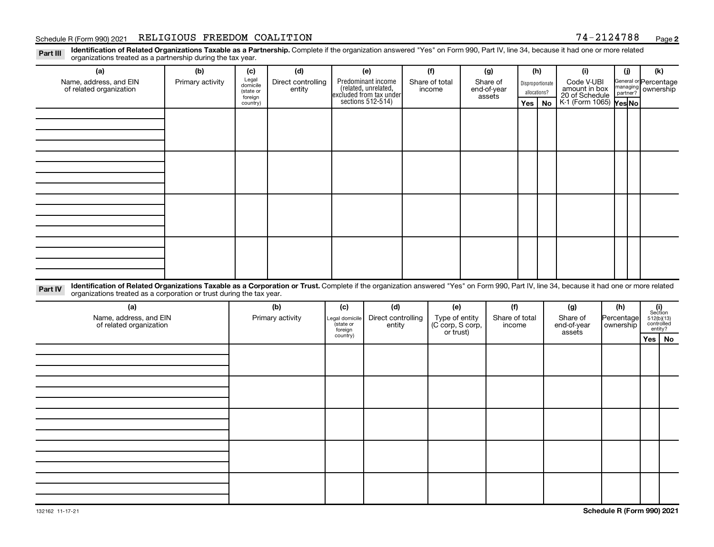**2**

Disproportionate allocations? Legal domicile (state or foreign country) General or Percentage managing partner? Section 512(b)(13) controlled entity? Legal domicile (state or foreign country) Part III Identification of Related Organizations Taxable as a Partnership. Complete if the organization answered "Yes" on Form 990, Part IV, line 34, because it had one or more related<br>Read to the organizations tracted as **(a) (b) (c) (d) (e) (f) (g) (h) (i) (j) (k) Yes No Yes No** K-1 (Form 1065) Part IV Identification of Related Organizations Taxable as a Corporation or Trust. Complete if the organization answered "Yes" on Form 990, Part IV, line 34, because it had one or more related **(a) (b) (c) (d) (e) (f) (g) (h) (i) Yes No** Predominant income<br>(related, unrelated, excluded from tax under sections 512-514) Schedule R (Form 990) 2021 RELIGIOUS FREEDOM COALITION 74-2124788 Page organizations treated as a partnership during the tax year. Name, address, and EIN of related organization Primary activity  $\left| \begin{array}{c} \text{Legal} \\ \text{demi} \end{array} \right|$  Direct controlling entity Share of total income Share of end-of-year assets Code V-UBI<br>amount in box 20 of Schedule ownership organizations treated as a corporation or trust during the tax year. Name, address, and EIN of related organization Primary activity |Legal domicile | Direct controlling entity Type of entity (C corp, S corp, or trust) Share of total income Share of end-of-year assets Percentage ownership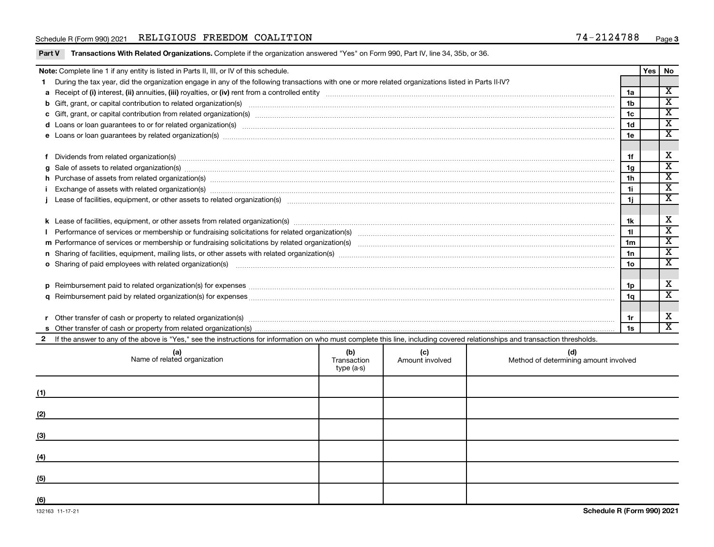### Schedule R (Form 990) 2021 RELIGIOUS FREEDOM COALITION 74-2124788 Page

| Part V Transactions With Related Organizations. Complete if the organization answered "Yes" on Form 990, Part IV, line 34, 35b, or 36. |  |  |
|----------------------------------------------------------------------------------------------------------------------------------------|--|--|
|                                                                                                                                        |  |  |

| Note: Complete line 1 if any entity is listed in Parts II, III, or IV of this schedule.<br>During the tax year, did the organization engage in any of the following transactions with one or more related organizations listed in Parts II-IV?<br>1a<br>1 <sub>b</sub><br>1 <sub>c</sub><br>1 <sub>d</sub><br>d Loans or loan guarantees to or for related organization(s) mature content to the content of the content of the content of the content of the content of the content of the content of the content of the content of the cont<br>1e<br>e Loans or loan guarantees by related organization(s) material contents and content to content the content of the content of the content of the content of the content of the content of the content of the content of the con<br>Dividends from related organization(s) machinesis and contract and contract and contract and contract and contract and contract and contract and contract and contract and contract and contract and contract and contract and<br>1f<br>Sale of assets to related organization(s) www.assets.com/www.assets.com/www.assets.com/www.assets.com/www.assets.com/www.assets.com/www.assets.com/www.assets.com/www.assets.com/www.assets.com/www.assets.com/www.assets.com/<br>1 <sub>q</sub><br>a<br>h Purchase of assets from related organization(s) www.assettion.com/www.assettion.com/www.assettion.com/www.assettion.com/www.assettion.com/www.assettion.com/www.assettion.com/www.assettion.com/www.assettion.com/www.assett<br>1h<br>1i.<br>Exchange of assets with related organization(s) macrocommutation material control and a set of the control of the control of the control of the control of the control of the control of the control of the control of the con<br>11<br>Lease of facilities, equipment, or other assets to related organization(s) manufaction content and content and content and content and content and content and content and content and content and content and content and con<br>1k<br>11<br>1 <sub>m</sub><br>1n<br>o Sharing of paid employees with related organization(s) manufactured and content to the content of the content of the content of the content of the content of the content of the content of the content of the content of th<br>10 <sub>o</sub><br>1 <sub>p</sub><br>1q<br>1r |                             |
|---------------------------------------------------------------------------------------------------------------------------------------------------------------------------------------------------------------------------------------------------------------------------------------------------------------------------------------------------------------------------------------------------------------------------------------------------------------------------------------------------------------------------------------------------------------------------------------------------------------------------------------------------------------------------------------------------------------------------------------------------------------------------------------------------------------------------------------------------------------------------------------------------------------------------------------------------------------------------------------------------------------------------------------------------------------------------------------------------------------------------------------------------------------------------------------------------------------------------------------------------------------------------------------------------------------------------------------------------------------------------------------------------------------------------------------------------------------------------------------------------------------------------------------------------------------------------------------------------------------------------------------------------------------------------------------------------------------------------------------------------------------------------------------------------------------------------------------------------------------------------------------------------------------------------------------------------------------------------------------------------------------------------------------------------------------------------------------------------------------------------------------------------------------------------------------------------------------------------------------------------------------------------------------------------------------------------------------|-----------------------------|
|                                                                                                                                                                                                                                                                                                                                                                                                                                                                                                                                                                                                                                                                                                                                                                                                                                                                                                                                                                                                                                                                                                                                                                                                                                                                                                                                                                                                                                                                                                                                                                                                                                                                                                                                                                                                                                                                                                                                                                                                                                                                                                                                                                                                                                                                                                                                       | Yes  <br>l No               |
|                                                                                                                                                                                                                                                                                                                                                                                                                                                                                                                                                                                                                                                                                                                                                                                                                                                                                                                                                                                                                                                                                                                                                                                                                                                                                                                                                                                                                                                                                                                                                                                                                                                                                                                                                                                                                                                                                                                                                                                                                                                                                                                                                                                                                                                                                                                                       |                             |
|                                                                                                                                                                                                                                                                                                                                                                                                                                                                                                                                                                                                                                                                                                                                                                                                                                                                                                                                                                                                                                                                                                                                                                                                                                                                                                                                                                                                                                                                                                                                                                                                                                                                                                                                                                                                                                                                                                                                                                                                                                                                                                                                                                                                                                                                                                                                       | X                           |
|                                                                                                                                                                                                                                                                                                                                                                                                                                                                                                                                                                                                                                                                                                                                                                                                                                                                                                                                                                                                                                                                                                                                                                                                                                                                                                                                                                                                                                                                                                                                                                                                                                                                                                                                                                                                                                                                                                                                                                                                                                                                                                                                                                                                                                                                                                                                       | $\overline{\mathbf{x}}$     |
|                                                                                                                                                                                                                                                                                                                                                                                                                                                                                                                                                                                                                                                                                                                                                                                                                                                                                                                                                                                                                                                                                                                                                                                                                                                                                                                                                                                                                                                                                                                                                                                                                                                                                                                                                                                                                                                                                                                                                                                                                                                                                                                                                                                                                                                                                                                                       | $\overline{\texttt{x}}$     |
|                                                                                                                                                                                                                                                                                                                                                                                                                                                                                                                                                                                                                                                                                                                                                                                                                                                                                                                                                                                                                                                                                                                                                                                                                                                                                                                                                                                                                                                                                                                                                                                                                                                                                                                                                                                                                                                                                                                                                                                                                                                                                                                                                                                                                                                                                                                                       | $\overline{\mathbf{x}}$     |
|                                                                                                                                                                                                                                                                                                                                                                                                                                                                                                                                                                                                                                                                                                                                                                                                                                                                                                                                                                                                                                                                                                                                                                                                                                                                                                                                                                                                                                                                                                                                                                                                                                                                                                                                                                                                                                                                                                                                                                                                                                                                                                                                                                                                                                                                                                                                       | $\overline{\textnormal{x}}$ |
|                                                                                                                                                                                                                                                                                                                                                                                                                                                                                                                                                                                                                                                                                                                                                                                                                                                                                                                                                                                                                                                                                                                                                                                                                                                                                                                                                                                                                                                                                                                                                                                                                                                                                                                                                                                                                                                                                                                                                                                                                                                                                                                                                                                                                                                                                                                                       |                             |
|                                                                                                                                                                                                                                                                                                                                                                                                                                                                                                                                                                                                                                                                                                                                                                                                                                                                                                                                                                                                                                                                                                                                                                                                                                                                                                                                                                                                                                                                                                                                                                                                                                                                                                                                                                                                                                                                                                                                                                                                                                                                                                                                                                                                                                                                                                                                       | X                           |
|                                                                                                                                                                                                                                                                                                                                                                                                                                                                                                                                                                                                                                                                                                                                                                                                                                                                                                                                                                                                                                                                                                                                                                                                                                                                                                                                                                                                                                                                                                                                                                                                                                                                                                                                                                                                                                                                                                                                                                                                                                                                                                                                                                                                                                                                                                                                       | $\overline{\texttt{x}}$     |
|                                                                                                                                                                                                                                                                                                                                                                                                                                                                                                                                                                                                                                                                                                                                                                                                                                                                                                                                                                                                                                                                                                                                                                                                                                                                                                                                                                                                                                                                                                                                                                                                                                                                                                                                                                                                                                                                                                                                                                                                                                                                                                                                                                                                                                                                                                                                       | $\overline{\texttt{x}}$     |
|                                                                                                                                                                                                                                                                                                                                                                                                                                                                                                                                                                                                                                                                                                                                                                                                                                                                                                                                                                                                                                                                                                                                                                                                                                                                                                                                                                                                                                                                                                                                                                                                                                                                                                                                                                                                                                                                                                                                                                                                                                                                                                                                                                                                                                                                                                                                       | $\overline{\texttt{x}}$     |
|                                                                                                                                                                                                                                                                                                                                                                                                                                                                                                                                                                                                                                                                                                                                                                                                                                                                                                                                                                                                                                                                                                                                                                                                                                                                                                                                                                                                                                                                                                                                                                                                                                                                                                                                                                                                                                                                                                                                                                                                                                                                                                                                                                                                                                                                                                                                       | X                           |
|                                                                                                                                                                                                                                                                                                                                                                                                                                                                                                                                                                                                                                                                                                                                                                                                                                                                                                                                                                                                                                                                                                                                                                                                                                                                                                                                                                                                                                                                                                                                                                                                                                                                                                                                                                                                                                                                                                                                                                                                                                                                                                                                                                                                                                                                                                                                       |                             |
|                                                                                                                                                                                                                                                                                                                                                                                                                                                                                                                                                                                                                                                                                                                                                                                                                                                                                                                                                                                                                                                                                                                                                                                                                                                                                                                                                                                                                                                                                                                                                                                                                                                                                                                                                                                                                                                                                                                                                                                                                                                                                                                                                                                                                                                                                                                                       | $\mathbf{x}$                |
|                                                                                                                                                                                                                                                                                                                                                                                                                                                                                                                                                                                                                                                                                                                                                                                                                                                                                                                                                                                                                                                                                                                                                                                                                                                                                                                                                                                                                                                                                                                                                                                                                                                                                                                                                                                                                                                                                                                                                                                                                                                                                                                                                                                                                                                                                                                                       | $\overline{\mathbf{x}}$     |
|                                                                                                                                                                                                                                                                                                                                                                                                                                                                                                                                                                                                                                                                                                                                                                                                                                                                                                                                                                                                                                                                                                                                                                                                                                                                                                                                                                                                                                                                                                                                                                                                                                                                                                                                                                                                                                                                                                                                                                                                                                                                                                                                                                                                                                                                                                                                       | $\overline{\texttt{x}}$     |
|                                                                                                                                                                                                                                                                                                                                                                                                                                                                                                                                                                                                                                                                                                                                                                                                                                                                                                                                                                                                                                                                                                                                                                                                                                                                                                                                                                                                                                                                                                                                                                                                                                                                                                                                                                                                                                                                                                                                                                                                                                                                                                                                                                                                                                                                                                                                       | $\overline{\mathbf{x}}$     |
|                                                                                                                                                                                                                                                                                                                                                                                                                                                                                                                                                                                                                                                                                                                                                                                                                                                                                                                                                                                                                                                                                                                                                                                                                                                                                                                                                                                                                                                                                                                                                                                                                                                                                                                                                                                                                                                                                                                                                                                                                                                                                                                                                                                                                                                                                                                                       | $\overline{\mathbf{x}}$     |
|                                                                                                                                                                                                                                                                                                                                                                                                                                                                                                                                                                                                                                                                                                                                                                                                                                                                                                                                                                                                                                                                                                                                                                                                                                                                                                                                                                                                                                                                                                                                                                                                                                                                                                                                                                                                                                                                                                                                                                                                                                                                                                                                                                                                                                                                                                                                       |                             |
|                                                                                                                                                                                                                                                                                                                                                                                                                                                                                                                                                                                                                                                                                                                                                                                                                                                                                                                                                                                                                                                                                                                                                                                                                                                                                                                                                                                                                                                                                                                                                                                                                                                                                                                                                                                                                                                                                                                                                                                                                                                                                                                                                                                                                                                                                                                                       | X                           |
|                                                                                                                                                                                                                                                                                                                                                                                                                                                                                                                                                                                                                                                                                                                                                                                                                                                                                                                                                                                                                                                                                                                                                                                                                                                                                                                                                                                                                                                                                                                                                                                                                                                                                                                                                                                                                                                                                                                                                                                                                                                                                                                                                                                                                                                                                                                                       | $\overline{\texttt{x}}$     |
|                                                                                                                                                                                                                                                                                                                                                                                                                                                                                                                                                                                                                                                                                                                                                                                                                                                                                                                                                                                                                                                                                                                                                                                                                                                                                                                                                                                                                                                                                                                                                                                                                                                                                                                                                                                                                                                                                                                                                                                                                                                                                                                                                                                                                                                                                                                                       |                             |
| Other transfer of cash or property to related organization(s) COLOGY CONSERVINTS OF THE RESERVINTS OF THE RESERVINTS OF THE RESERVINTS OF THE RESERVINTS OF THE RESERVINTS OF THE RESERVINTS OF THE RESERVINTS OF THE RESERVIN                                                                                                                                                                                                                                                                                                                                                                                                                                                                                                                                                                                                                                                                                                                                                                                                                                                                                                                                                                                                                                                                                                                                                                                                                                                                                                                                                                                                                                                                                                                                                                                                                                                                                                                                                                                                                                                                                                                                                                                                                                                                                                        | X                           |
| 1s                                                                                                                                                                                                                                                                                                                                                                                                                                                                                                                                                                                                                                                                                                                                                                                                                                                                                                                                                                                                                                                                                                                                                                                                                                                                                                                                                                                                                                                                                                                                                                                                                                                                                                                                                                                                                                                                                                                                                                                                                                                                                                                                                                                                                                                                                                                                    | $\overline{\mathbf{x}}$     |
| 2 If the answer to any of the above is "Yes," see the instructions for information on who must complete this line, including covered relationships and transaction thresholds.                                                                                                                                                                                                                                                                                                                                                                                                                                                                                                                                                                                                                                                                                                                                                                                                                                                                                                                                                                                                                                                                                                                                                                                                                                                                                                                                                                                                                                                                                                                                                                                                                                                                                                                                                                                                                                                                                                                                                                                                                                                                                                                                                        |                             |
| (b)<br>(c)<br>(d)<br>(a) (a<br>the contract of the contract of the                                                                                                                                                                                                                                                                                                                                                                                                                                                                                                                                                                                                                                                                                                                                                                                                                                                                                                                                                                                                                                                                                                                                                                                                                                                                                                                                                                                                                                                                                                                                                                                                                                                                                                                                                                                                                                                                                                                                                                                                                                                                                                                                                                                                                                                                    |                             |

|     | (a)<br>Name of related organization | (b)<br>Transaction<br>type (a-s) | (c)<br>Amount involved | (d)<br>Method of determining amount involved |
|-----|-------------------------------------|----------------------------------|------------------------|----------------------------------------------|
| (1) |                                     |                                  |                        |                                              |
| (2) |                                     |                                  |                        |                                              |
| (3) |                                     |                                  |                        |                                              |
| (4) |                                     |                                  |                        |                                              |
| (5) |                                     |                                  |                        |                                              |
| (6) |                                     |                                  |                        |                                              |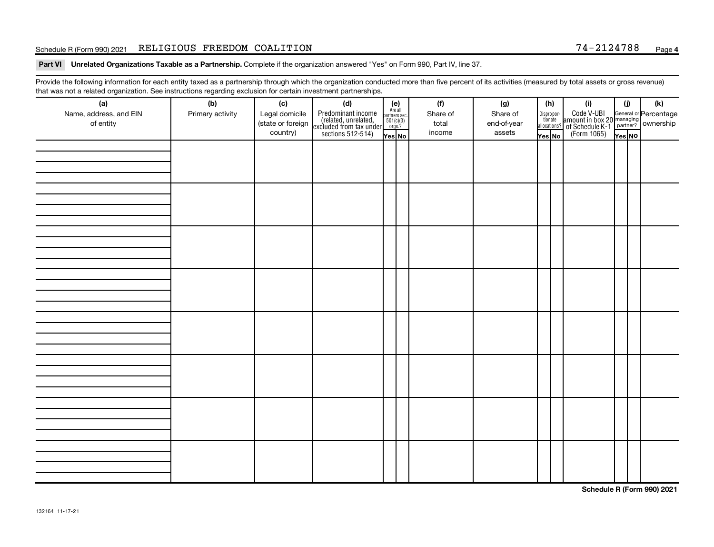### Schedule R (Form 990) 2021 RELIGIOUS FREEDOM COALITION 74-2124788 Page

Part VI Unrelated Organizations Taxable as a Partnership. Complete if the organization answered "Yes" on Form 990, Part IV, line 37.

Provide the following information for each entity taxed as a partnership through which the organization conducted more than five percent of its activities (measured by total assets or gross revenue) that was not a related organization. See instructions regarding exclusion for certain investment partnerships.

| (a)<br>Name, address, and EIN<br>of entity | ۔ ت<br>- -- - - - - -<br>(b)<br>Primary activity | (c)<br>Legal domicile<br>(state or foreign<br>country) | . <b>.</b><br>(d)<br>Predominant income<br>(related, unrelated,<br>excluded from tax under<br>sections 512-514) | (e)<br>Are all<br>partners sec.<br>$501(c)(3)$<br>orgs.?<br>Yes No | (f)<br>Share of<br>total<br>income | (g)<br>Share of<br>end-of-year<br>assets | (h)<br>Dispropor-<br>tionate<br>allocations?<br>Yes No | (i)<br>Code V-UBI<br>amount in box 20 managing<br>of Schedule K-1<br>(Form 1065)<br>$\overline{Yes}$ No | (i)<br>Yes NO | (k) |
|--------------------------------------------|--------------------------------------------------|--------------------------------------------------------|-----------------------------------------------------------------------------------------------------------------|--------------------------------------------------------------------|------------------------------------|------------------------------------------|--------------------------------------------------------|---------------------------------------------------------------------------------------------------------|---------------|-----|
|                                            |                                                  |                                                        |                                                                                                                 |                                                                    |                                    |                                          |                                                        |                                                                                                         |               |     |
|                                            |                                                  |                                                        |                                                                                                                 |                                                                    |                                    |                                          |                                                        |                                                                                                         |               |     |
|                                            |                                                  |                                                        |                                                                                                                 |                                                                    |                                    |                                          |                                                        |                                                                                                         |               |     |
|                                            |                                                  |                                                        |                                                                                                                 |                                                                    |                                    |                                          |                                                        |                                                                                                         |               |     |
|                                            |                                                  |                                                        |                                                                                                                 |                                                                    |                                    |                                          |                                                        |                                                                                                         |               |     |
|                                            |                                                  |                                                        |                                                                                                                 |                                                                    |                                    |                                          |                                                        |                                                                                                         |               |     |
|                                            |                                                  |                                                        |                                                                                                                 |                                                                    |                                    |                                          |                                                        |                                                                                                         |               |     |
|                                            |                                                  |                                                        |                                                                                                                 |                                                                    |                                    |                                          |                                                        |                                                                                                         |               |     |

**Schedule R (Form 990) 2021**